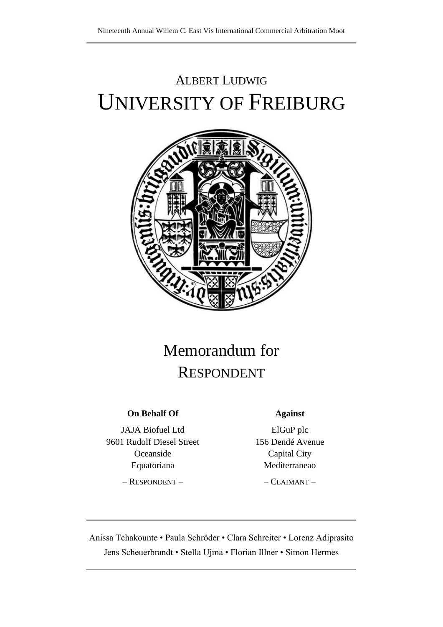# ALBERT LUDWIG UNIVERSITY OF FREIBURG



## Memorandum for RESPONDENT

## **On Behalf Of**

JAJA Biofuel Ltd 9601 Rudolf Diesel Street Oceanside Equatoriana

– RESPONDENT –

#### **Against**

ElGuP plc 156 Dendé Avenue Capital City Mediterraneao

– CLAIMANT –

Anissa Tchakounte • Paula Schröder • Clara Schreiter • Lorenz Adiprasito Jens Scheuerbrandt • Stella Ujma • Florian Illner • Simon Hermes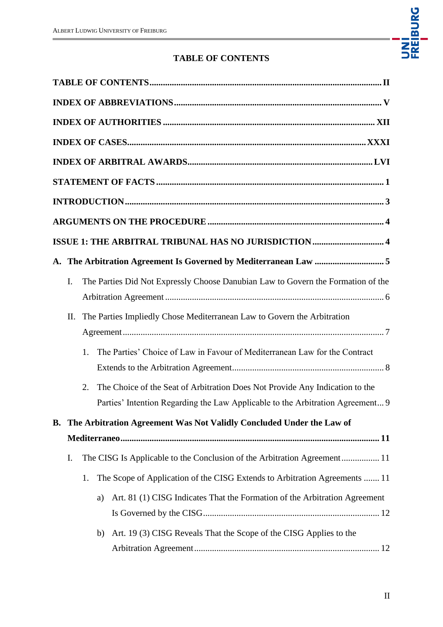

## **TABLE OF CONTENTS**

<span id="page-1-0"></span>

|    | ISSUE 1: THE ARBITRAL TRIBUNAL HAS NO JURISDICTION  4                              |
|----|------------------------------------------------------------------------------------|
|    | A. The Arbitration Agreement Is Governed by Mediterranean Law 5                    |
| I. | The Parties Did Not Expressly Choose Danubian Law to Govern the Formation of the   |
|    |                                                                                    |
| Π. | The Parties Impliedly Chose Mediterranean Law to Govern the Arbitration            |
|    |                                                                                    |
|    | The Parties' Choice of Law in Favour of Mediterranean Law for the Contract<br>1.   |
|    |                                                                                    |
|    | The Choice of the Seat of Arbitration Does Not Provide Any Indication to the<br>2. |
|    | Parties' Intention Regarding the Law Applicable to the Arbitration Agreement 9     |
|    | B. The Arbitration Agreement Was Not Validly Concluded Under the Law of            |
|    |                                                                                    |
| I. | The CISG Is Applicable to the Conclusion of the Arbitration Agreement 11           |
|    | The Scope of Application of the CISG Extends to Arbitration Agreements  11<br>1.   |
|    | Art. 81 (1) CISG Indicates That the Formation of the Arbitration Agreement<br>a)   |
|    |                                                                                    |
|    | Art. 19 (3) CISG Reveals That the Scope of the CISG Applies to the<br>b)           |
|    |                                                                                    |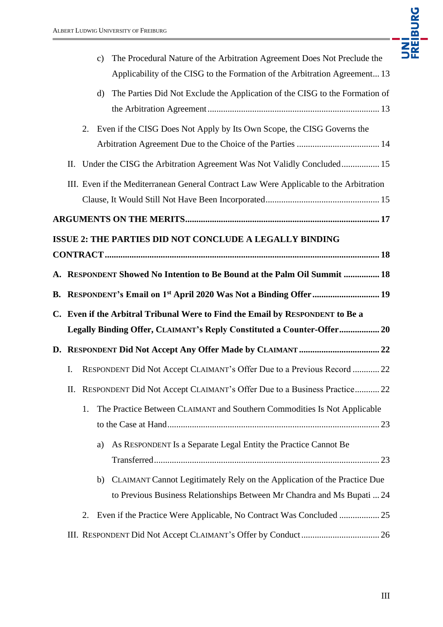

|                |                                                                            |    | The Procedural Nature of the Arbitration Agreement Does Not Preclude the<br>$\mathbf{c})$<br>Applicability of the CISG to the Formation of the Arbitration Agreement 13 |
|----------------|----------------------------------------------------------------------------|----|-------------------------------------------------------------------------------------------------------------------------------------------------------------------------|
|                |                                                                            |    | The Parties Did Not Exclude the Application of the CISG to the Formation of<br>$\rm d$                                                                                  |
|                |                                                                            | 2. | Even if the CISG Does Not Apply by Its Own Scope, the CISG Governs the                                                                                                  |
|                | П.                                                                         |    | Under the CISG the Arbitration Agreement Was Not Validly Concluded 15                                                                                                   |
|                |                                                                            |    | III. Even if the Mediterranean General Contract Law Were Applicable to the Arbitration                                                                                  |
|                |                                                                            |    |                                                                                                                                                                         |
|                |                                                                            |    | ISSUE 2: THE PARTIES DID NOT CONCLUDE A LEGALLY BINDING                                                                                                                 |
|                |                                                                            |    |                                                                                                                                                                         |
|                |                                                                            |    | A. RESPONDENT Showed No Intention to Be Bound at the Palm Oil Summit  18                                                                                                |
|                |                                                                            |    | B. RESPONDENT's Email on 1 <sup>st</sup> April 2020 Was Not a Binding Offer  19                                                                                         |
| $\mathbf{C}$ . | Even if the Arbitral Tribunal Were to Find the Email by RESPONDENT to Be a |    |                                                                                                                                                                         |
|                |                                                                            |    | Legally Binding Offer, CLAIMANT's Reply Constituted a Counter-Offer 20                                                                                                  |
|                |                                                                            |    |                                                                                                                                                                         |
|                | I.                                                                         |    | RESPONDENT Did Not Accept CLAIMANT's Offer Due to a Previous Record  22                                                                                                 |
|                | Π.                                                                         |    | RESPONDENT Did Not Accept CLAIMANT's Offer Due to a Business Practice 22                                                                                                |
|                |                                                                            | 1. | The Practice Between CLAIMANT and Southern Commodities Is Not Applicable                                                                                                |
|                |                                                                            |    |                                                                                                                                                                         |
|                |                                                                            |    | As RESPONDENT Is a Separate Legal Entity the Practice Cannot Be<br>a)                                                                                                   |
|                |                                                                            |    | CLAIMANT Cannot Legitimately Rely on the Application of the Practice Due<br>b)<br>to Previous Business Relationships Between Mr Chandra and Ms Bupati  24               |
|                |                                                                            | 2. |                                                                                                                                                                         |
|                |                                                                            |    | Even if the Practice Were Applicable, No Contract Was Concluded  25                                                                                                     |
|                |                                                                            |    |                                                                                                                                                                         |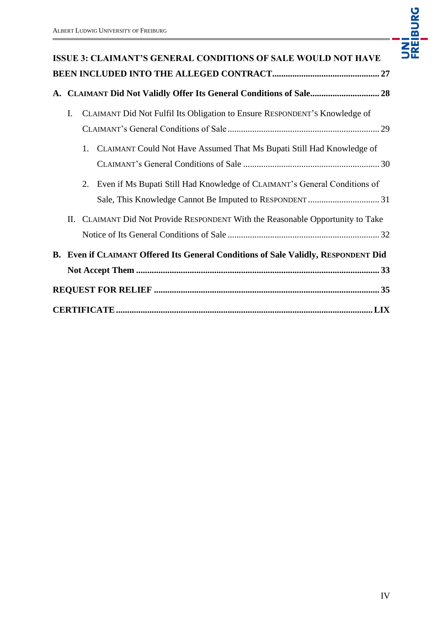ń



|                                                                     | <b>ISSUE 3: CLAIMANT'S GENERAL CONDITIONS OF SALE WOULD NOT HAVE</b>               |  |
|---------------------------------------------------------------------|------------------------------------------------------------------------------------|--|
|                                                                     |                                                                                    |  |
| A. CLAIMANT Did Not Validly Offer Its General Conditions of Sale 28 |                                                                                    |  |
| I.                                                                  | CLAIMANT Did Not Fulfil Its Obligation to Ensure RESPONDENT'S Knowledge of         |  |
|                                                                     | 1. CLAIMANT Could Not Have Assumed That Ms Bupati Still Had Knowledge of           |  |
|                                                                     | Even if Ms Bupati Still Had Knowledge of CLAIMANT's General Conditions of<br>2.    |  |
|                                                                     | II. CLAIMANT Did Not Provide RESPONDENT With the Reasonable Opportunity to Take    |  |
|                                                                     | B. Even if CLAIMANT Offered Its General Conditions of Sale Validly, RESPONDENT Did |  |
|                                                                     |                                                                                    |  |
|                                                                     |                                                                                    |  |
|                                                                     |                                                                                    |  |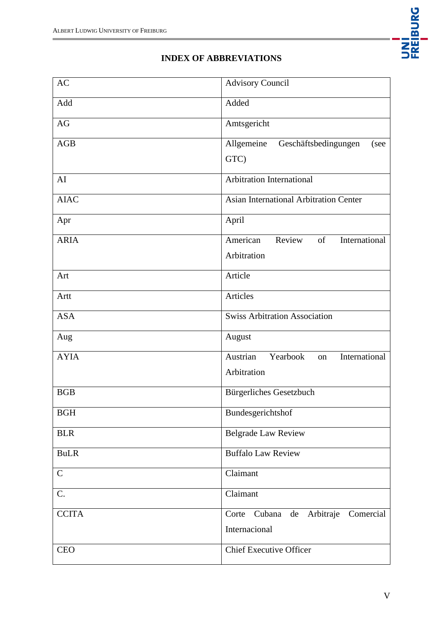

## **INDEX OF ABBREVIATIONS**

<span id="page-4-0"></span>

| AC           | <b>Advisory Council</b>                     |
|--------------|---------------------------------------------|
| Add          | Added                                       |
| AG           | Amtsgericht                                 |
| AGB          | Allgemeine<br>Geschäftsbedingungen<br>(see  |
|              | GTC)                                        |
| AI           | Arbitration International                   |
| <b>AIAC</b>  | Asian International Arbitration Center      |
| Apr          | April                                       |
| <b>ARIA</b>  | American<br>Review<br>of<br>International   |
|              | Arbitration                                 |
| Art          | Article                                     |
| Artt         | Articles                                    |
| <b>ASA</b>   | <b>Swiss Arbitration Association</b>        |
| Aug          | August                                      |
| <b>AYIA</b>  | International<br>Austrian<br>Yearbook<br>on |
|              | Arbitration                                 |
| <b>BGB</b>   | <b>Bürgerliches Gesetzbuch</b>              |
| <b>BGH</b>   | Bundesgerichtshof                           |
| <b>BLR</b>   | <b>Belgrade Law Review</b>                  |
| <b>BuLR</b>  | <b>Buffalo Law Review</b>                   |
| $\mathbf C$  | Claimant                                    |
| C.           | Claimant                                    |
| <b>CCITA</b> | Cubana de Arbitraje Comercial<br>Corte      |
|              | Internacional                               |
| <b>CEO</b>   | <b>Chief Executive Officer</b>              |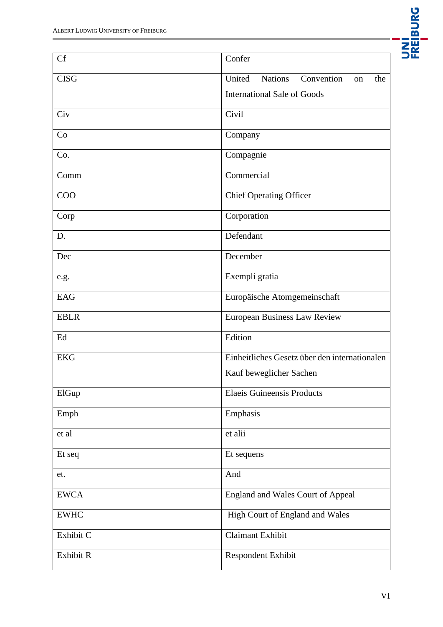

| <b>Cf</b>   | Confer                                              |
|-------------|-----------------------------------------------------|
| <b>CISG</b> | United<br><b>Nations</b><br>Convention<br>the<br>on |
|             | <b>International Sale of Goods</b>                  |
| Civ         | Civil                                               |
| Co          | Company                                             |
| Co.         | Compagnie                                           |
| Comm        | Commercial                                          |
| <b>COO</b>  | <b>Chief Operating Officer</b>                      |
| Corp        | Corporation                                         |
| D.          | Defendant                                           |
| Dec         | December                                            |
| e.g.        | Exempli gratia                                      |
| <b>EAG</b>  | Europäische Atomgemeinschaft                        |
| <b>EBLR</b> | <b>European Business Law Review</b>                 |
| Ed          | Edition                                             |
| <b>EKG</b>  | Einheitliches Gesetz über den internationalen       |
|             | Kauf beweglicher Sachen                             |
| ElGup       | <b>Elaeis Guineensis Products</b>                   |
| Emph        | Emphasis                                            |
| et al       | et alii                                             |
| Et seq      | Et sequens                                          |
| et.         | And                                                 |
| <b>EWCA</b> | England and Wales Court of Appeal                   |
| <b>EWHC</b> | High Court of England and Wales                     |
| Exhibit C   | Claimant Exhibit                                    |
| Exhibit R   | Respondent Exhibit                                  |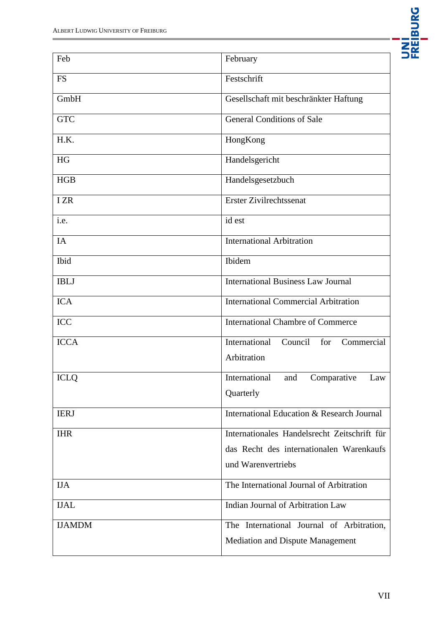

| Feb           | February                                      |
|---------------|-----------------------------------------------|
| <b>FS</b>     | Festschrift                                   |
| GmbH          | Gesellschaft mit beschränkter Haftung         |
| <b>GTC</b>    | <b>General Conditions of Sale</b>             |
| H.K.          | HongKong                                      |
| HG            | Handelsgericht                                |
| HGB           | Handelsgesetzbuch                             |
| I ZR          | Erster Zivilrechtssenat                       |
| i.e.          | id est                                        |
| IA            | <b>International Arbitration</b>              |
| Ibid          | Ibidem                                        |
| <b>IBLJ</b>   | <b>International Business Law Journal</b>     |
| <b>ICA</b>    | <b>International Commercial Arbitration</b>   |
| ICC           | <b>International Chambre of Commerce</b>      |
| <b>ICCA</b>   | Commercial<br>International<br>Council<br>for |
|               | Arbitration                                   |
| <b>ICLQ</b>   | International<br>Comparative<br>and<br>Law    |
|               | Quarterly                                     |
| <b>IERJ</b>   | International Education & Research Journal    |
| <b>IHR</b>    | Internationales Handelsrecht Zeitschrift für  |
|               | das Recht des internationalen Warenkaufs      |
|               | und Warenvertriebs                            |
| <b>IJA</b>    | The International Journal of Arbitration      |
| <b>IJAL</b>   | Indian Journal of Arbitration Law             |
| <b>IJAMDM</b> | The International Journal of Arbitration,     |
|               | <b>Mediation and Dispute Management</b>       |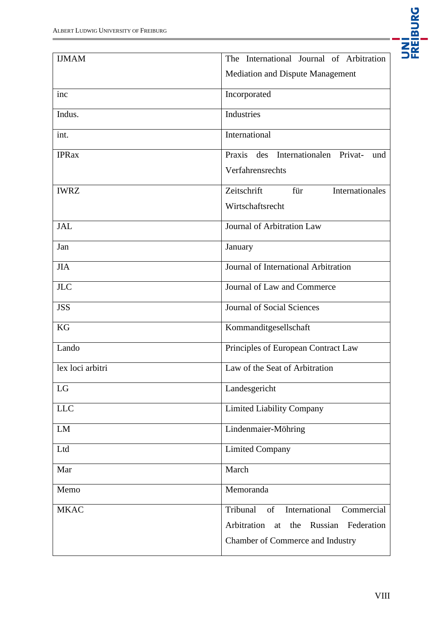

| <b>IJMAM</b>     | The International Journal of Arbitration       |
|------------------|------------------------------------------------|
|                  | Mediation and Dispute Management               |
| inc              | Incorporated                                   |
| Indus.           | Industries                                     |
| int.             | International                                  |
| <b>IPRax</b>     | Praxis des Internationalen Privat-<br>und      |
|                  | Verfahrensrechts                               |
| <b>IWRZ</b>      | Zeitschrift<br>Internationales<br>für          |
|                  | Wirtschaftsrecht                               |
| <b>JAL</b>       | Journal of Arbitration Law                     |
| Jan              | January                                        |
| <b>JIA</b>       | Journal of International Arbitration           |
| <b>JLC</b>       | Journal of Law and Commerce                    |
| <b>JSS</b>       | <b>Journal of Social Sciences</b>              |
| KG               | Kommanditgesellschaft                          |
| Lando            | Principles of European Contract Law            |
| lex loci arbitri | Law of the Seat of Arbitration                 |
| LG               | Landesgericht                                  |
| <b>LLC</b>       | <b>Limited Liability Company</b>               |
| ${\rm LM}$       | Lindenmaier-Möhring                            |
| Ltd              | <b>Limited Company</b>                         |
| Mar              | March                                          |
| Memo             | Memoranda                                      |
| <b>MKAC</b>      | Tribunal<br>International<br>Commercial<br>of  |
|                  | Arbitration<br>the Russian<br>Federation<br>at |
|                  | Chamber of Commerce and Industry               |
|                  |                                                |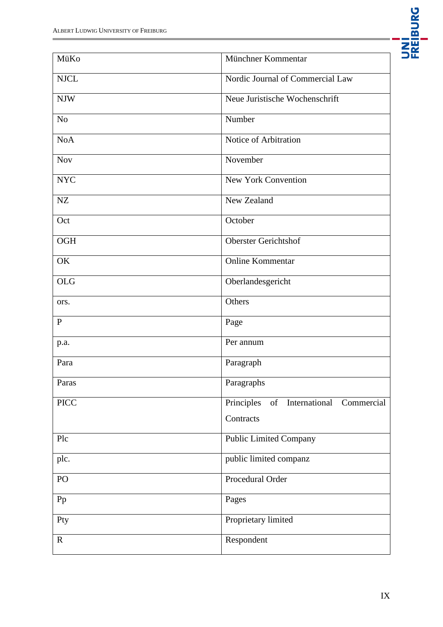

| MüKo                      | Münchner Kommentar                              |
|---------------------------|-------------------------------------------------|
| <b>NJCL</b>               | Nordic Journal of Commercial Law                |
| $\ensuremath{\text{NIW}}$ | Neue Juristische Wochenschrift                  |
| No                        | Number                                          |
| <b>NoA</b>                | Notice of Arbitration                           |
| <b>Nov</b>                | November                                        |
| <b>NYC</b>                | <b>New York Convention</b>                      |
| NZ                        | New Zealand                                     |
| Oct                       | October                                         |
| <b>OGH</b>                | <b>Oberster Gerichtshof</b>                     |
| OK                        | Online Kommentar                                |
| <b>OLG</b>                | Oberlandesgericht                               |
| ors.                      | Others                                          |
| $\mathbf{P}$              | Page                                            |
| p.a.                      | Per annum                                       |
| Para                      | Paragraph                                       |
| Paras                     | Paragraphs                                      |
| <b>PICC</b>               | Principles<br>of<br>International<br>Commercial |
|                           | Contracts                                       |
| Plc                       | <b>Public Limited Company</b>                   |
| plc.                      | public limited companz                          |
| PO                        | Procedural Order                                |
| Pp                        | Pages                                           |
| Pty                       | Proprietary limited                             |
| $\mathbf R$               | Respondent                                      |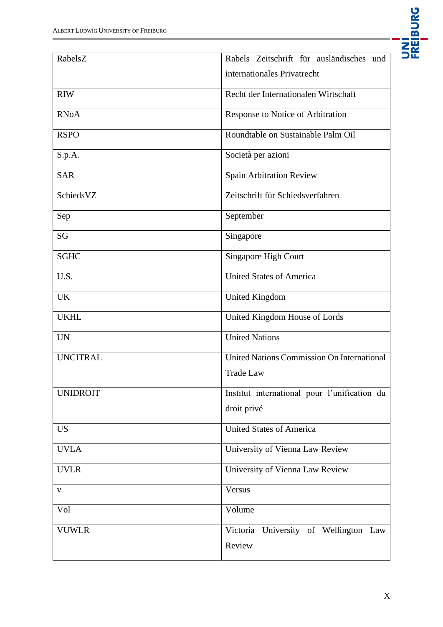ń

| RabelsZ         | Rabels Zeitschrift für ausländisches und     |
|-----------------|----------------------------------------------|
|                 | internationales Privatrecht                  |
| <b>RIW</b>      | Recht der Internationalen Wirtschaft         |
| <b>RNoA</b>     | Response to Notice of Arbitration            |
| <b>RSPO</b>     | Roundtable on Sustainable Palm Oil           |
| S.p.A.          | Società per azioni                           |
| <b>SAR</b>      | Spain Arbitration Review                     |
| SchiedsVZ       | Zeitschrift für Schiedsverfahren             |
| Sep             | September                                    |
| SG              | Singapore                                    |
| <b>SGHC</b>     | Singapore High Court                         |
| U.S.            | <b>United States of America</b>              |
| <b>UK</b>       | <b>United Kingdom</b>                        |
| <b>UKHL</b>     | United Kingdom House of Lords                |
| <b>UN</b>       | <b>United Nations</b>                        |
| <b>UNCITRAL</b> | United Nations Commission On International   |
|                 | <b>Trade Law</b>                             |
| <b>UNIDROIT</b> | Institut international pour l'unification du |
|                 | droit privé                                  |
| <b>US</b>       | <b>United States of America</b>              |
| <b>UVLA</b>     | University of Vienna Law Review              |
| <b>UVLR</b>     | University of Vienna Law Review              |
| $\mathbf{V}$    | Versus                                       |
| Vol             | Volume                                       |
| <b>VUWLR</b>    | Victoria University of Wellington Law        |
|                 | Review                                       |

UNI<br>FREIBURG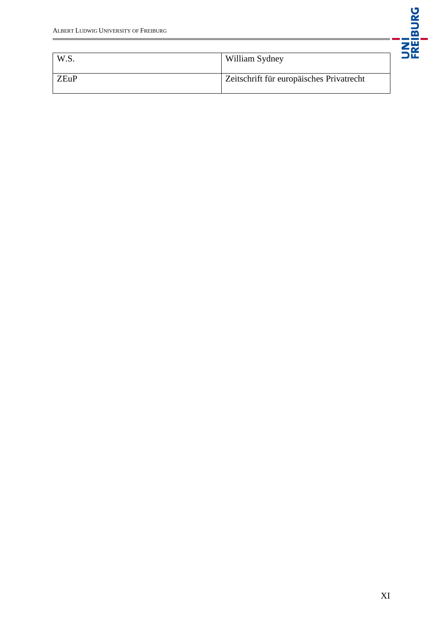

| W.S. | William Sydney                           |
|------|------------------------------------------|
| ZEuP | Zeitschrift für europäisches Privatrecht |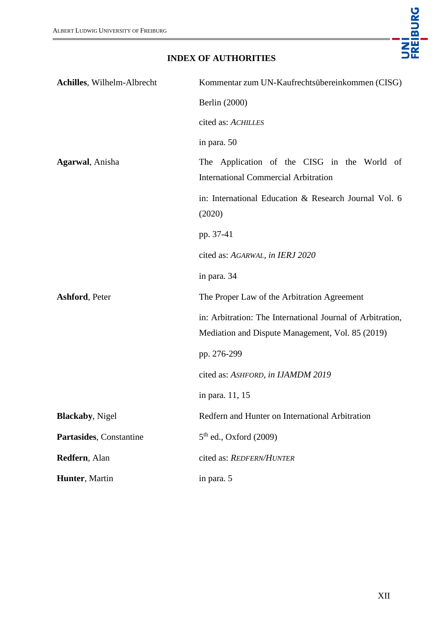

## **INDEX OF AUTHORITIES**

<span id="page-11-0"></span>

| <b>Achilles, Wilhelm-Albrecht</b> | Kommentar zum UN-Kaufrechtsübereinkommen (CISG)                                                                |
|-----------------------------------|----------------------------------------------------------------------------------------------------------------|
|                                   | Berlin (2000)                                                                                                  |
|                                   | cited as: ACHILLES                                                                                             |
|                                   | in para. 50                                                                                                    |
| Agarwal, Anisha                   | The Application of the CISG in the World of<br><b>International Commercial Arbitration</b>                     |
|                                   | in: International Education & Research Journal Vol. 6<br>(2020)                                                |
|                                   | pp. 37-41                                                                                                      |
|                                   | cited as: AGARWAL, in IERJ 2020                                                                                |
|                                   | in para. 34                                                                                                    |
| <b>Ashford, Peter</b>             | The Proper Law of the Arbitration Agreement                                                                    |
|                                   | in: Arbitration: The International Journal of Arbitration,<br>Mediation and Dispute Management, Vol. 85 (2019) |
|                                   | pp. 276-299                                                                                                    |
|                                   | cited as: ASHFORD, in IJAMDM 2019                                                                              |
|                                   | in para. 11, 15                                                                                                |
| <b>Blackaby</b> , Nigel           | Redfern and Hunter on International Arbitration                                                                |
| Partasides, Constantine           | $5th$ ed., Oxford (2009)                                                                                       |
| Redfern, Alan                     | cited as: REDFERN/HUNTER                                                                                       |
| Hunter, Martin                    | in para. 5                                                                                                     |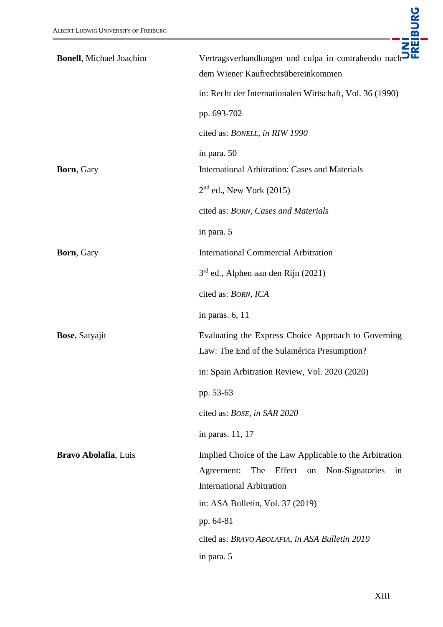| <b>Bonell</b> , Michael Joachim | Vertragsverhandlungen und culpa in contrahendo nach<br>dem Wiener Kaufrechtsübereinkommen                                                           |
|---------------------------------|-----------------------------------------------------------------------------------------------------------------------------------------------------|
|                                 | in: Recht der Internationalen Wirtschaft, Vol. 36 (1990)                                                                                            |
|                                 | pp. 693-702                                                                                                                                         |
|                                 | cited as: BONELL, in RIW 1990                                                                                                                       |
|                                 | in para. 50                                                                                                                                         |
| <b>Born</b> , Gary              | <b>International Arbitration: Cases and Materials</b>                                                                                               |
|                                 | $2nd$ ed., New York (2015)                                                                                                                          |
|                                 | cited as: BORN, Cases and Materials                                                                                                                 |
|                                 | in para. 5                                                                                                                                          |
| Born, Gary                      | <b>International Commercial Arbitration</b>                                                                                                         |
|                                 | $3rd$ ed., Alphen aan den Rijn (2021)                                                                                                               |
|                                 | cited as: BORN, ICA                                                                                                                                 |
|                                 | in paras. 6, 11                                                                                                                                     |
| <b>Bose</b> , Satyajit          | Evaluating the Express Choice Approach to Governing<br>Law: The End of the Sulamérica Presumption?                                                  |
|                                 | in: Spain Arbitration Review, Vol. 2020 (2020)                                                                                                      |
|                                 | pp. 53-63                                                                                                                                           |
|                                 | cited as: BOSE, in SAR 2020                                                                                                                         |
|                                 | in paras. 11, 17                                                                                                                                    |
| Bravo Abolafia, Luis            | Implied Choice of the Law Applicable to the Arbitration<br>Agreement:<br>The Effect on<br>Non-Signatories<br>in<br><b>International Arbitration</b> |
|                                 | in: ASA Bulletin, Vol. 37 (2019)                                                                                                                    |
|                                 | pp. 64-81                                                                                                                                           |
|                                 | cited as: BRAVO ABOLAFIA, in ASA Bulletin 2019                                                                                                      |
|                                 | in para. 5                                                                                                                                          |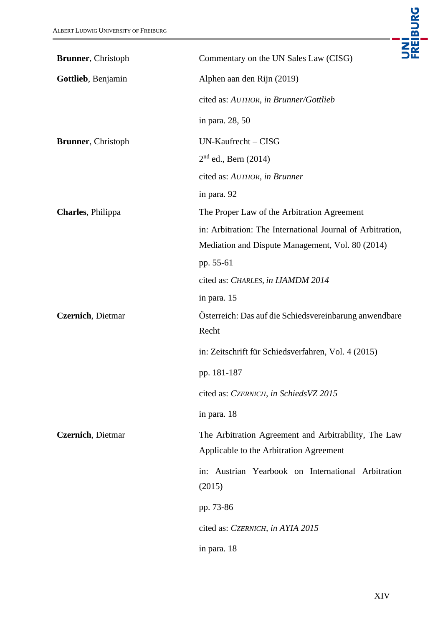| <b>Brunner</b> , Christoph | UNI<br>FREIBURG<br>Commentary on the UN Sales Law (CISG)                                        |
|----------------------------|-------------------------------------------------------------------------------------------------|
| Gottlieb, Benjamin         |                                                                                                 |
|                            | Alphen aan den Rijn (2019)                                                                      |
|                            | cited as: AUTHOR, in Brunner/Gottlieb                                                           |
|                            | in para. 28, 50                                                                                 |
| <b>Brunner</b> , Christoph | UN-Kaufrecht - CISG                                                                             |
|                            | $2nd$ ed., Bern (2014)                                                                          |
|                            | cited as: AUTHOR, in Brunner                                                                    |
|                            | in para. 92                                                                                     |
| Charles, Philippa          | The Proper Law of the Arbitration Agreement                                                     |
|                            | in: Arbitration: The International Journal of Arbitration,                                      |
|                            | Mediation and Dispute Management, Vol. 80 (2014)                                                |
|                            | pp. 55-61                                                                                       |
|                            | cited as: CHARLES, in IJAMDM 2014                                                               |
|                            | in para. 15                                                                                     |
| Czernich, Dietmar          | Österreich: Das auf die Schiedsvereinbarung anwendbare<br>Recht                                 |
|                            | in: Zeitschrift für Schiedsverfahren, Vol. 4 (2015)                                             |
|                            | pp. 181-187                                                                                     |
|                            | cited as: CZERNICH, in SchiedsVZ 2015                                                           |
|                            | in para. 18                                                                                     |
| Czernich, Dietmar          | The Arbitration Agreement and Arbitrability, The Law<br>Applicable to the Arbitration Agreement |
|                            | in: Austrian Yearbook on International Arbitration<br>(2015)                                    |
|                            | pp. 73-86                                                                                       |
|                            | cited as: CZERNICH, in AYIA 2015                                                                |
|                            | in para. 18                                                                                     |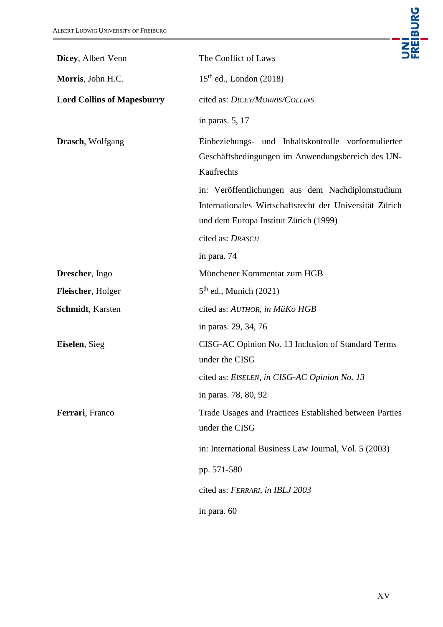| ALBERT LUDWIG UNIVERSITY OF FREIBURG | <b>JNI<br/>Freiburg</b>                                                                                                                              |
|--------------------------------------|------------------------------------------------------------------------------------------------------------------------------------------------------|
| Dicey, Albert Venn                   | The Conflict of Laws                                                                                                                                 |
| Morris, John H.C.                    | $15th$ ed., London (2018)                                                                                                                            |
| <b>Lord Collins of Mapesburry</b>    | cited as: DICEY/MORRIS/COLLINS                                                                                                                       |
|                                      | in paras. 5, 17                                                                                                                                      |
| <b>Drasch</b> , Wolfgang             | Einbeziehungs- und Inhaltskontrolle vorformulierter<br>Geschäftsbedingungen im Anwendungsbereich des UN-<br>Kaufrechts                               |
|                                      | in: Veröffentlichungen aus dem Nachdiplomstudium<br>Internationales Wirtschaftsrecht der Universität Zürich<br>und dem Europa Institut Zürich (1999) |
|                                      | cited as: DRASCH                                                                                                                                     |
|                                      | in para. 74                                                                                                                                          |
| Drescher, Ingo                       | Münchener Kommentar zum HGB                                                                                                                          |
| Fleischer, Holger                    | $5th$ ed., Munich (2021)                                                                                                                             |
| <b>Schmidt</b> , Karsten             | cited as: AUTHOR, in MüKo HGB                                                                                                                        |
|                                      | in paras. 29, 34, 76                                                                                                                                 |
| <b>Eiselen</b> , Sieg                | CISG-AC Opinion No. 13 Inclusion of Standard Terms<br>under the CISG                                                                                 |
|                                      | cited as: EISELEN, in CISG-AC Opinion No. 13                                                                                                         |
|                                      | in paras. 78, 80, 92                                                                                                                                 |
| Ferrari, Franco                      | Trade Usages and Practices Established between Parties<br>under the CISG                                                                             |
|                                      | in: International Business Law Journal, Vol. 5 (2003)                                                                                                |
|                                      | pp. 571-580                                                                                                                                          |
|                                      | cited as: FERRARI, in IBLJ 2003                                                                                                                      |
|                                      | in para. 60                                                                                                                                          |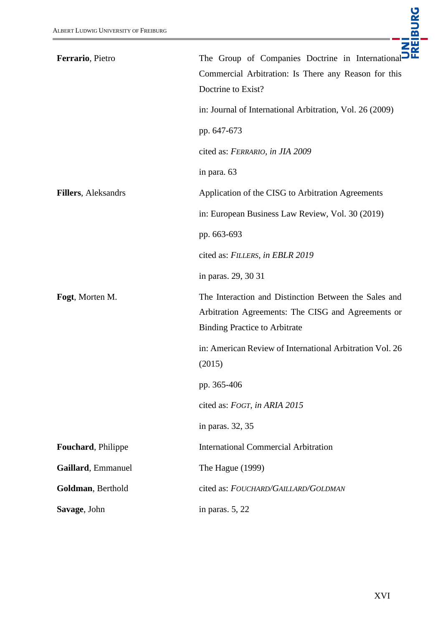| Ferrario, Pietro            | The Group of Companies Doctrine in International<br>Commercial Arbitration: Is There any Reason for this<br>Doctrine to Exist?<br>in: Journal of International Arbitration, Vol. 26 (2009)<br>pp. 647-673<br>cited as: FERRARIO, in JIA 2009<br>in para. 63 |
|-----------------------------|-------------------------------------------------------------------------------------------------------------------------------------------------------------------------------------------------------------------------------------------------------------|
| <b>Fillers</b> , Aleksandrs | Application of the CISG to Arbitration Agreements                                                                                                                                                                                                           |
|                             | in: European Business Law Review, Vol. 30 (2019)                                                                                                                                                                                                            |
|                             | pp. 663-693                                                                                                                                                                                                                                                 |
|                             | cited as: FILLERS, in EBLR 2019                                                                                                                                                                                                                             |
|                             | in paras. 29, 30 31                                                                                                                                                                                                                                         |
| Fogt, Morten M.             | The Interaction and Distinction Between the Sales and<br>Arbitration Agreements: The CISG and Agreements or<br><b>Binding Practice to Arbitrate</b>                                                                                                         |
|                             | in: American Review of International Arbitration Vol. 26<br>(2015)                                                                                                                                                                                          |
|                             | pp. 365-406                                                                                                                                                                                                                                                 |
|                             | cited as: FOGT, in ARIA 2015                                                                                                                                                                                                                                |
|                             | in paras. 32, 35                                                                                                                                                                                                                                            |
| Fouchard, Philippe          | <b>International Commercial Arbitration</b>                                                                                                                                                                                                                 |
| Gaillard, Emmanuel          | The Hague (1999)                                                                                                                                                                                                                                            |
| Goldman, Berthold           | cited as: FOUCHARD/GAILLARD/GOLDMAN                                                                                                                                                                                                                         |
| Savage, John                | in paras. $5, 22$                                                                                                                                                                                                                                           |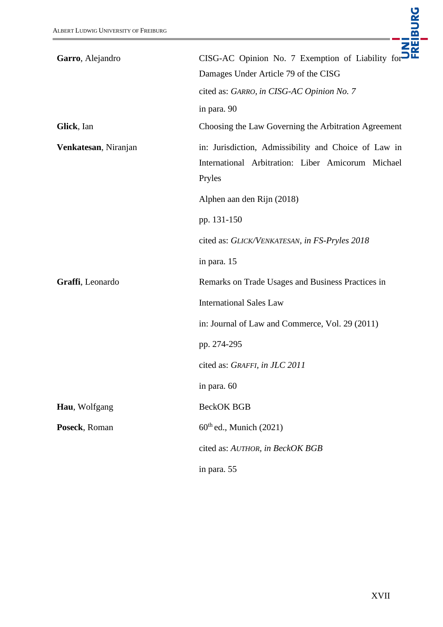| Garro, Alejandro     | CISG-AC Opinion No. 7 Exemption of Liability for-                                                                   |
|----------------------|---------------------------------------------------------------------------------------------------------------------|
|                      | Damages Under Article 79 of the CISG                                                                                |
|                      | cited as: GARRO, in CISG-AC Opinion No. 7                                                                           |
|                      | in para. 90                                                                                                         |
| Glick, Ian           | Choosing the Law Governing the Arbitration Agreement                                                                |
| Venkatesan, Niranjan | in: Jurisdiction, Admissibility and Choice of Law in<br>International Arbitration: Liber Amicorum Michael<br>Pryles |
|                      | Alphen aan den Rijn (2018)                                                                                          |
|                      | pp. 131-150                                                                                                         |
|                      | cited as: GLICK/VENKATESAN, in FS-Pryles 2018                                                                       |
|                      | in para. 15                                                                                                         |
| Graffi, Leonardo     | Remarks on Trade Usages and Business Practices in                                                                   |
|                      | <b>International Sales Law</b>                                                                                      |
|                      | in: Journal of Law and Commerce, Vol. 29 (2011)                                                                     |
|                      | pp. 274-295                                                                                                         |
|                      | cited as: GRAFFI, in JLC 2011                                                                                       |
|                      | in para. 60                                                                                                         |
| Hau, Wolfgang        | <b>BeckOK BGB</b>                                                                                                   |
| Poseck, Roman        | $60th$ ed., Munich (2021)                                                                                           |
|                      | cited as: AUTHOR, in BeckOK BGB                                                                                     |
|                      | in para. 55                                                                                                         |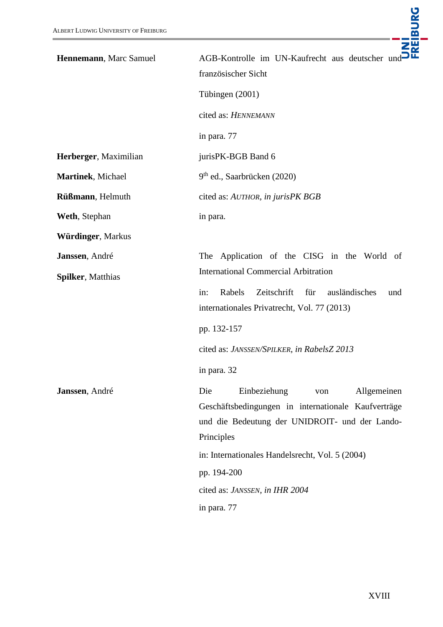| Hennemann, Marc Samuel   | AGB-Kontrolle im UN-Kaufrecht aus deutscher und<br>französischer Sicht                                                                                                                                                                                               |
|--------------------------|----------------------------------------------------------------------------------------------------------------------------------------------------------------------------------------------------------------------------------------------------------------------|
|                          | Tübingen (2001)                                                                                                                                                                                                                                                      |
|                          | cited as: HENNEMANN                                                                                                                                                                                                                                                  |
|                          | in para. 77                                                                                                                                                                                                                                                          |
| Herberger, Maximilian    | jurisPK-BGB Band 6                                                                                                                                                                                                                                                   |
| Martinek, Michael        | 9 <sup>th</sup> ed., Saarbrücken (2020)                                                                                                                                                                                                                              |
| Rüßmann, Helmuth         | cited as: AUTHOR, in jurisPK BGB                                                                                                                                                                                                                                     |
| Weth, Stephan            | in para.                                                                                                                                                                                                                                                             |
| Würdinger, Markus        |                                                                                                                                                                                                                                                                      |
| Janssen, André           | The Application of the CISG in the World of                                                                                                                                                                                                                          |
| <b>Spilker, Matthias</b> | <b>International Commercial Arbitration</b>                                                                                                                                                                                                                          |
|                          | Zeitschrift<br>in:<br>Rabels<br>für<br>ausländisches<br>und<br>internationales Privatrecht, Vol. 77 (2013)                                                                                                                                                           |
|                          | pp. 132-157                                                                                                                                                                                                                                                          |
|                          | cited as: JANSSEN/SPILKER, in RabelsZ 2013                                                                                                                                                                                                                           |
|                          | in para. 32                                                                                                                                                                                                                                                          |
| Janssen, André           | Die<br>Einbeziehung<br>Allgemeinen<br>von<br>Geschäftsbedingungen in internationale Kaufverträge<br>und die Bedeutung der UNIDROIT- und der Lando-<br>Principles<br>in: Internationales Handelsrecht, Vol. 5 (2004)<br>pp. 194-200<br>cited as: JANSSEN, in IHR 2004 |
|                          | in para. 77                                                                                                                                                                                                                                                          |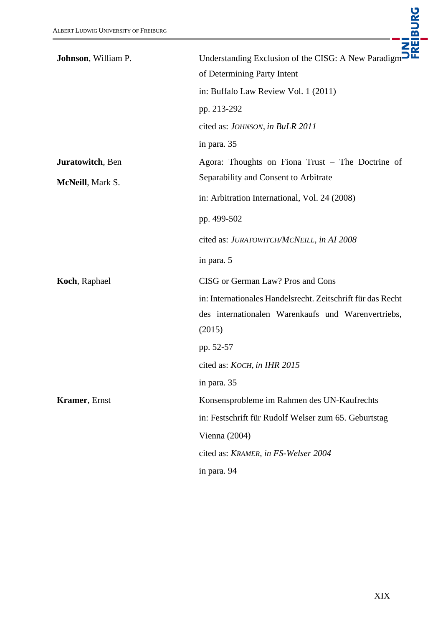| Johnson, William P.   | Understanding Exclusion of the CISG: A New Paradigm $\overline{\mathbf{B}}$ |
|-----------------------|-----------------------------------------------------------------------------|
|                       | of Determining Party Intent                                                 |
|                       | in: Buffalo Law Review Vol. 1 (2011)                                        |
|                       | pp. 213-292                                                                 |
|                       | cited as: JOHNSON, in BuLR 2011                                             |
|                       | in para. 35                                                                 |
| Juratowitch, Ben      | Agora: Thoughts on Fiona Trust – The Doctrine of                            |
| McNeill, Mark S.      | Separability and Consent to Arbitrate                                       |
|                       | in: Arbitration International, Vol. 24 (2008)                               |
|                       | pp. 499-502                                                                 |
|                       | cited as: JURATOWITCH/MCNEILL, in AI 2008                                   |
|                       | in para. 5                                                                  |
| Koch, Raphael         | CISG or German Law? Pros and Cons                                           |
|                       | in: Internationales Handelsrecht. Zeitschrift für das Recht                 |
|                       | des internationalen Warenkaufs und Warenvertriebs,                          |
|                       | (2015)                                                                      |
|                       | pp. 52-57                                                                   |
|                       | cited as: KOCH, in IHR 2015                                                 |
|                       | in para. 35                                                                 |
| <b>Kramer</b> , Ernst | Konsensprobleme im Rahmen des UN-Kaufrechts                                 |
|                       | in: Festschrift für Rudolf Welser zum 65. Geburtstag                        |
|                       | Vienna $(2004)$                                                             |
|                       | cited as: KRAMER, in FS-Welser 2004                                         |
|                       | in para. 94                                                                 |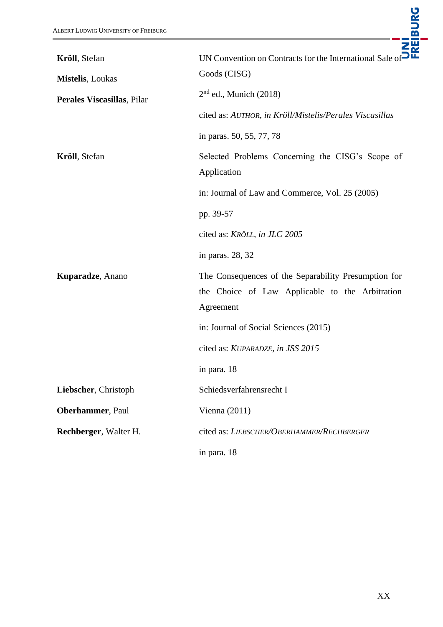| Kröll, Stefan              | UN Convention on Contracts for the International Sale of                                                             |
|----------------------------|----------------------------------------------------------------------------------------------------------------------|
| <b>Mistelis</b> , Loukas   | Goods (CISG)                                                                                                         |
| Perales Viscasillas, Pilar | $2nd$ ed., Munich (2018)                                                                                             |
|                            | cited as: AUTHOR, in Kröll/Mistelis/Perales Viscasillas                                                              |
|                            | in paras. 50, 55, 77, 78                                                                                             |
| Kröll, Stefan              | Selected Problems Concerning the CISG's Scope of<br>Application                                                      |
|                            | in: Journal of Law and Commerce, Vol. 25 (2005)                                                                      |
|                            | pp. 39-57                                                                                                            |
|                            | cited as: KRÖLL, in JLC 2005                                                                                         |
|                            | in paras. 28, 32                                                                                                     |
| Kuparadze, Anano           | The Consequences of the Separability Presumption for<br>the Choice of Law Applicable to the Arbitration<br>Agreement |
|                            | in: Journal of Social Sciences (2015)                                                                                |
|                            | cited as: KUPARADZE, in JSS 2015                                                                                     |
|                            | in para. 18                                                                                                          |
| Liebscher, Christoph       | Schiedsverfahrensrecht I                                                                                             |
| Oberhammer, Paul           | Vienna $(2011)$                                                                                                      |
| Rechberger, Walter H.      | cited as: LIEBSCHER/OBERHAMMER/RECHBERGER                                                                            |
|                            | in para. 18                                                                                                          |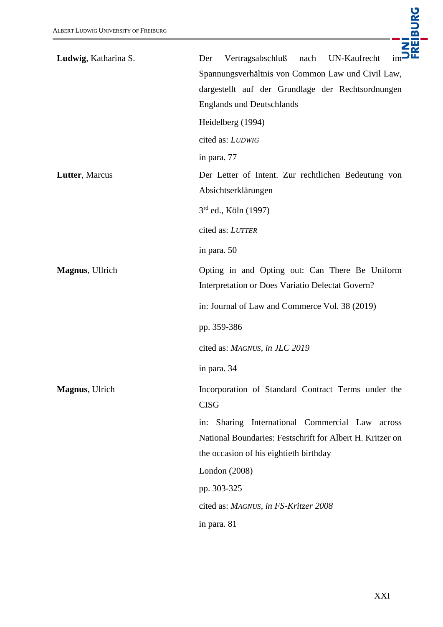

| Ludwig, Katharina S. | UN-Kaufrecht<br>Vertragsabschluß<br>nach<br>im<br>Der                                                                                                        |
|----------------------|--------------------------------------------------------------------------------------------------------------------------------------------------------------|
|                      | Spannungsverhältnis von Common Law und Civil Law,                                                                                                            |
|                      | dargestellt auf der Grundlage der Rechtsordnungen                                                                                                            |
|                      | <b>Englands und Deutschlands</b>                                                                                                                             |
|                      | Heidelberg (1994)                                                                                                                                            |
|                      | cited as: LUDWIG                                                                                                                                             |
|                      | in para. 77                                                                                                                                                  |
| Lutter, Marcus       | Der Letter of Intent. Zur rechtlichen Bedeutung von<br>Absichtserklärungen                                                                                   |
|                      | $3^{rd}$ ed., Köln (1997)                                                                                                                                    |
|                      | cited as: LUTTER                                                                                                                                             |
|                      | in para. 50                                                                                                                                                  |
| Magnus, Ullrich      | Opting in and Opting out: Can There Be Uniform<br>Interpretation or Does Variatio Delectat Govern?                                                           |
|                      | in: Journal of Law and Commerce Vol. 38 (2019)                                                                                                               |
|                      | pp. 359-386                                                                                                                                                  |
|                      | cited as: MAGNUS, in JLC 2019                                                                                                                                |
|                      | in para. 34                                                                                                                                                  |
| Magnus, Ulrich       | Incorporation of Standard Contract Terms under the<br><b>CISG</b>                                                                                            |
|                      | Sharing International Commercial Law<br>in:<br>across<br>National Boundaries: Festschrift for Albert H. Kritzer on<br>the occasion of his eightieth birthday |
|                      | London (2008)                                                                                                                                                |
|                      | pp. 303-325                                                                                                                                                  |
|                      | cited as: MAGNUS, in FS-Kritzer 2008                                                                                                                         |
|                      | in para. 81                                                                                                                                                  |
|                      |                                                                                                                                                              |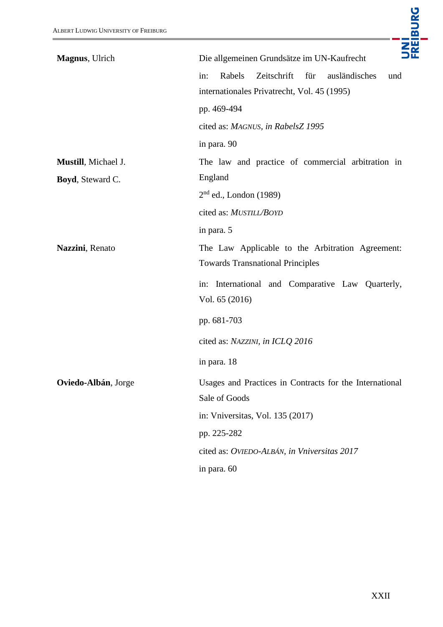| <b>ALBERT LUDWIG UNIVERSITY OF FREIBURG</b> | UNI<br>Freiburg                                                                                            |
|---------------------------------------------|------------------------------------------------------------------------------------------------------------|
| Magnus, Ulrich                              | Die allgemeinen Grundsätze im UN-Kaufrecht                                                                 |
|                                             | Rabels<br>Zeitschrift<br>für<br>ausländisches<br>in:<br>und<br>internationales Privatrecht, Vol. 45 (1995) |
|                                             | pp. 469-494                                                                                                |
|                                             | cited as: MAGNUS, in RabelsZ 1995                                                                          |
|                                             | in para. 90                                                                                                |
| Mustill, Michael J.                         | The law and practice of commercial arbitration in                                                          |
| Boyd, Steward C.                            | England                                                                                                    |
|                                             | $2nd$ ed., London (1989)                                                                                   |
|                                             | cited as: MUSTILL/BOYD                                                                                     |
|                                             | in para. 5                                                                                                 |
| Nazzini, Renato                             | The Law Applicable to the Arbitration Agreement:<br><b>Towards Transnational Principles</b>                |
|                                             | International and Comparative Law Quarterly,<br>in:<br>Vol. 65 (2016)                                      |
|                                             | pp. 681-703                                                                                                |
|                                             | cited as: NAZZINI, in ICLQ 2016                                                                            |
|                                             | in para. 18                                                                                                |
| Oviedo-Albán, Jorge                         | Usages and Practices in Contracts for the International<br>Sale of Goods                                   |
|                                             | in: Vniversitas, Vol. 135 (2017)                                                                           |
|                                             | pp. 225-282                                                                                                |
|                                             | cited as: OVIEDO-ALBÁN, in Vniversitas 2017                                                                |
|                                             | in para. 60                                                                                                |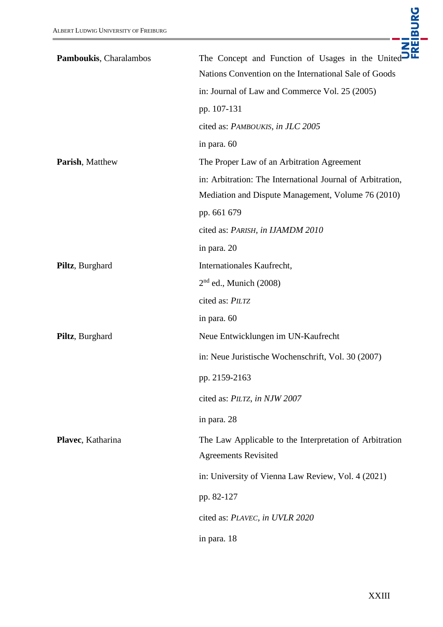| Pamboukis, Charalambos | The Concept and Function of Usages in the United           |
|------------------------|------------------------------------------------------------|
|                        | Nations Convention on the International Sale of Goods      |
|                        | in: Journal of Law and Commerce Vol. 25 (2005)             |
|                        | pp. 107-131                                                |
|                        | cited as: PAMBOUKIS, in JLC 2005                           |
|                        | in para. 60                                                |
| Parish, Matthew        | The Proper Law of an Arbitration Agreement                 |
|                        | in: Arbitration: The International Journal of Arbitration, |
|                        | Mediation and Dispute Management, Volume 76 (2010)         |
|                        | pp. 661 679                                                |
|                        | cited as: PARISH, in IJAMDM 2010                           |
|                        | in para. 20                                                |
| Piltz, Burghard        | Internationales Kaufrecht,                                 |
|                        | $2nd$ ed., Munich (2008)                                   |
|                        | cited as: PILTZ                                            |
|                        | in para. 60                                                |
| Piltz, Burghard        | Neue Entwicklungen im UN-Kaufrecht                         |
|                        | in: Neue Juristische Wochenschrift, Vol. 30 (2007)         |
|                        | pp. 2159-2163                                              |
|                        | cited as: PILTZ, in NJW 2007                               |
|                        | in para. 28                                                |
| Plavec, Katharina      | The Law Applicable to the Interpretation of Arbitration    |
|                        | <b>Agreements Revisited</b>                                |
|                        | in: University of Vienna Law Review, Vol. 4 (2021)         |
|                        | pp. 82-127                                                 |
|                        | cited as: PLAVEC, in UVLR 2020                             |
|                        | in para. 18                                                |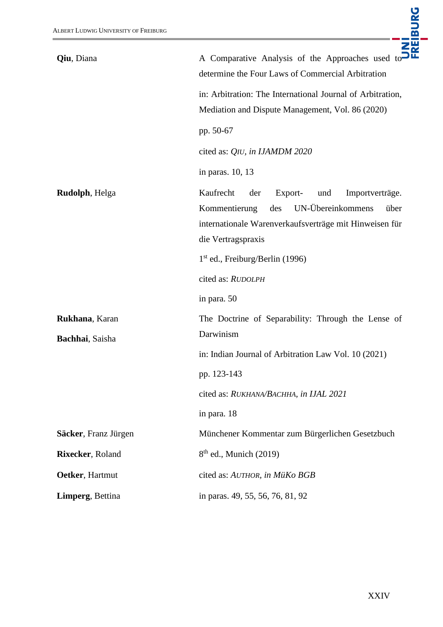

| Qiu, Diana             | A Comparative Analysis of the Approaches used to<br>determine the Four Laws of Commercial Arbitration                                                                                      |
|------------------------|--------------------------------------------------------------------------------------------------------------------------------------------------------------------------------------------|
|                        | in: Arbitration: The International Journal of Arbitration,<br>Mediation and Dispute Management, Vol. 86 (2020)                                                                             |
|                        | pp. 50-67                                                                                                                                                                                  |
|                        | cited as: QIU, in IJAMDM 2020                                                                                                                                                              |
|                        | in paras. 10, 13                                                                                                                                                                           |
| <b>Rudolph</b> , Helga | Kaufrecht<br>Export-<br>der<br>und<br>Importverträge.<br>UN-Übereinkommens<br>Kommentierung<br>des<br>über<br>internationale Warenverkaufsverträge mit Hinweisen für<br>die Vertragspraxis |
|                        | $1st$ ed., Freiburg/Berlin (1996)                                                                                                                                                          |
|                        | cited as: RUDOLPH                                                                                                                                                                          |
|                        | in para. 50                                                                                                                                                                                |
| Rukhana, Karan         | The Doctrine of Separability: Through the Lense of                                                                                                                                         |
| Bachhai, Saisha        | Darwinism                                                                                                                                                                                  |
|                        | in: Indian Journal of Arbitration Law Vol. 10 (2021)                                                                                                                                       |
|                        | pp. 123-143                                                                                                                                                                                |
|                        | cited as: RUKHANA/BACHHA, in IJAL 2021                                                                                                                                                     |
|                        | in para. 18                                                                                                                                                                                |
| Säcker, Franz Jürgen   | Münchener Kommentar zum Bürgerlichen Gesetzbuch                                                                                                                                            |
| Rixecker, Roland       | $8th$ ed., Munich (2019)                                                                                                                                                                   |
| Oetker, Hartmut        | cited as: AUTHOR, in MüKo BGB                                                                                                                                                              |
| Limperg, Bettina       | in paras. 49, 55, 56, 76, 81, 92                                                                                                                                                           |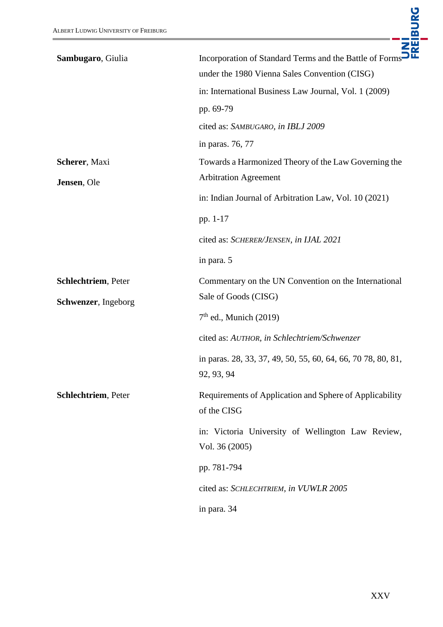| Sambugaro, Giulia                          | Incorporation of Standard Terms and the Battle of Forms <sup>56</sup><br>under the 1980 Vienna Sales Convention (CISG)<br>in: International Business Law Journal, Vol. 1 (2009)<br>pp. 69-79 |
|--------------------------------------------|----------------------------------------------------------------------------------------------------------------------------------------------------------------------------------------------|
|                                            | cited as: SAMBUGARO, in IBLJ 2009<br>in paras. 76, 77                                                                                                                                        |
| Scherer, Maxi<br>Jensen, Ole               | Towards a Harmonized Theory of the Law Governing the<br><b>Arbitration Agreement</b>                                                                                                         |
|                                            | in: Indian Journal of Arbitration Law, Vol. 10 (2021)<br>pp. 1-17                                                                                                                            |
|                                            | cited as: SCHERER/JENSEN, in IJAL 2021<br>in para. 5                                                                                                                                         |
| Schlechtriem, Peter<br>Schwenzer, Ingeborg | Commentary on the UN Convention on the International<br>Sale of Goods (CISG)<br>$7th$ ed., Munich (2019)                                                                                     |
|                                            | cited as: AUTHOR, in Schlechtriem/Schwenzer<br>in paras. 28, 33, 37, 49, 50, 55, 60, 64, 66, 70 78, 80, 81,<br>92, 93, 94                                                                    |
| Schlechtriem, Peter                        | Requirements of Application and Sphere of Applicability<br>of the CISG                                                                                                                       |
|                                            | in: Victoria University of Wellington Law Review,<br>Vol. 36 (2005)                                                                                                                          |
|                                            | pp. 781-794                                                                                                                                                                                  |
|                                            | cited as: SCHLECHTRIEM, in VUWLR 2005                                                                                                                                                        |
|                                            | in para. 34                                                                                                                                                                                  |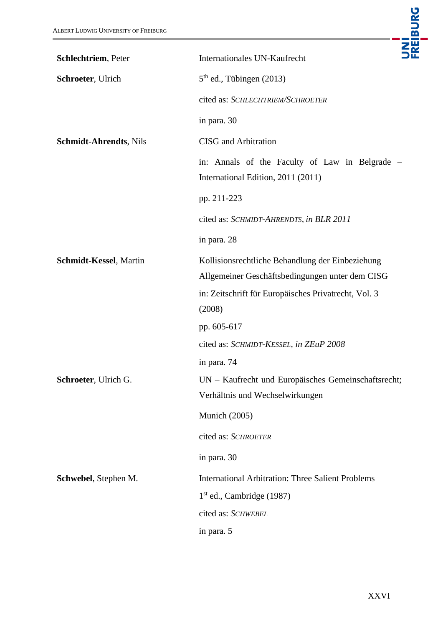| ALBERT LUDWIG UNIVERSITY OF FREIBURG | UNI<br>FREIBURG                                                                                     |
|--------------------------------------|-----------------------------------------------------------------------------------------------------|
| Schlechtriem, Peter                  | Internationales UN-Kaufrecht                                                                        |
| Schroeter, Ulrich                    | $5th$ ed., Tübingen (2013)                                                                          |
|                                      | cited as: SCHLECHTRIEM/SCHROETER                                                                    |
|                                      | in para. 30                                                                                         |
| <b>Schmidt-Ahrendts, Nils</b>        | <b>CISG</b> and Arbitration                                                                         |
|                                      | in: Annals of the Faculty of Law in Belgrade –<br>International Edition, 2011 (2011)                |
|                                      | pp. 211-223                                                                                         |
|                                      | cited as: SCHMIDT-AHRENDTS, in BLR 2011                                                             |
|                                      | in para. 28                                                                                         |
| Schmidt-Kessel, Martin               | Kollisionsrechtliche Behandlung der Einbeziehung<br>Allgemeiner Geschäftsbedingungen unter dem CISG |
|                                      | in: Zeitschrift für Europäisches Privatrecht, Vol. 3<br>(2008)                                      |
|                                      | pp. 605-617                                                                                         |
|                                      | cited as: SCHMIDT-KESSEL, in ZEuP 2008                                                              |
|                                      | in para. 74                                                                                         |
| Schroeter, Ulrich G.                 | UN - Kaufrecht und Europäisches Gemeinschaftsrecht;                                                 |
|                                      | Verhältnis und Wechselwirkungen                                                                     |
|                                      | <b>Munich</b> (2005)                                                                                |
|                                      | cited as: SCHROETER                                                                                 |
|                                      | in para. 30                                                                                         |
| Schwebel, Stephen M.                 | <b>International Arbitration: Three Salient Problems</b>                                            |
|                                      | $1st$ ed., Cambridge (1987)                                                                         |
|                                      | cited as: SCHWEBEL                                                                                  |
|                                      | in para. 5                                                                                          |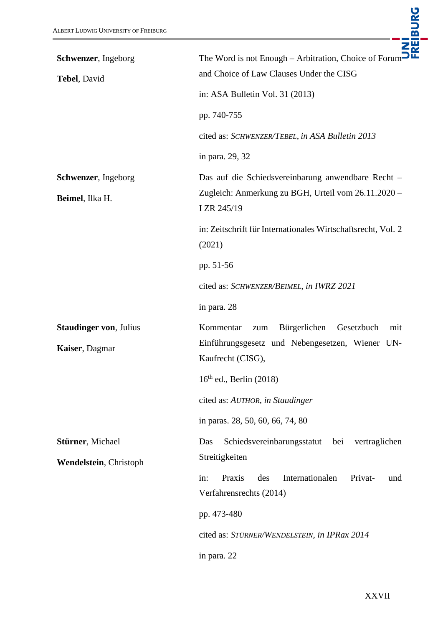| Schwenzer, Ingeborg                             | UNI<br>Freiburg<br>The Word is not Enough - Arbitration, Choice of Forum                                                      |
|-------------------------------------------------|-------------------------------------------------------------------------------------------------------------------------------|
| Tebel, David                                    | and Choice of Law Clauses Under the CISG                                                                                      |
|                                                 | in: ASA Bulletin Vol. 31 (2013)                                                                                               |
|                                                 | pp. 740-755                                                                                                                   |
|                                                 | cited as: SCHWENZER/TEBEL, in ASA Bulletin 2013                                                                               |
|                                                 | in para. 29, 32                                                                                                               |
| Schwenzer, Ingeborg<br>Beimel, Ilka H.          | Das auf die Schiedsvereinbarung anwendbare Recht -<br>Zugleich: Anmerkung zu BGH, Urteil vom 26.11.2020 -<br>I ZR 245/19      |
|                                                 | in: Zeitschrift für Internationales Wirtschaftsrecht, Vol. 2<br>(2021)                                                        |
|                                                 | pp. 51-56                                                                                                                     |
|                                                 | cited as: SCHWENZER/BEIMEL, in IWRZ 2021                                                                                      |
|                                                 | in para. 28                                                                                                                   |
| <b>Staudinger von, Julius</b><br>Kaiser, Dagmar | Kommentar<br>Bürgerlichen<br>Gesetzbuch<br>mit<br>zum<br>Einführungsgesetz und Nebengesetzen, Wiener UN-<br>Kaufrecht (CISG), |
|                                                 | $16th$ ed., Berlin (2018)                                                                                                     |
|                                                 | cited as: AUTHOR, in Staudinger                                                                                               |
|                                                 | in paras. 28, 50, 60, 66, 74, 80                                                                                              |
| Stürner, Michael                                | Schiedsvereinbarungsstatut bei<br>vertraglichen<br>Das                                                                        |
| Wendelstein, Christoph                          | Streitigkeiten                                                                                                                |
|                                                 | in:<br>Praxis<br>Internationalen<br>des<br>Privat-<br>und<br>Verfahrensrechts (2014)                                          |
|                                                 | pp. 473-480                                                                                                                   |
|                                                 | cited as: STÜRNER/WENDELSTEIN, in IPRax 2014                                                                                  |
|                                                 | in para. 22                                                                                                                   |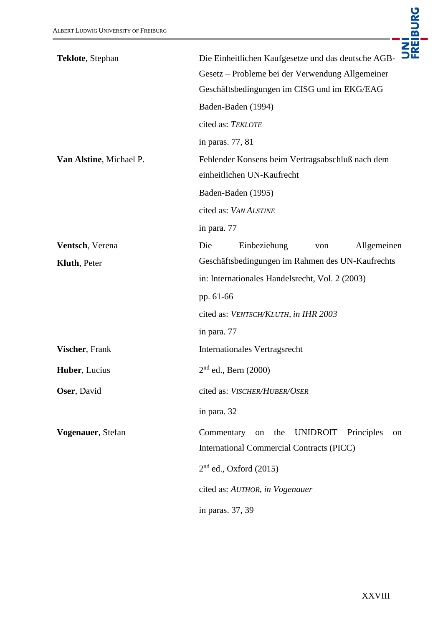| Teklote, Stephan        | Die Einheitlichen Kaufgesetze und das deutsche AGB-<br>Gesetz - Probleme bei der Verwendung Allgemeiner<br>Geschäftsbedingungen im CISG und im EKG/EAG<br>Baden-Baden (1994) |
|-------------------------|------------------------------------------------------------------------------------------------------------------------------------------------------------------------------|
|                         | cited as: TEKLOTE                                                                                                                                                            |
|                         | in paras. 77, 81                                                                                                                                                             |
| Van Alstine, Michael P. | Fehlender Konsens beim Vertragsabschluß nach dem<br>einheitlichen UN-Kaufrecht                                                                                               |
|                         | Baden-Baden (1995)                                                                                                                                                           |
|                         | cited as: VAN ALSTINE                                                                                                                                                        |
|                         | in para. 77                                                                                                                                                                  |
| Ventsch, Verena         | Die<br>Einbeziehung<br>Allgemeinen<br>von                                                                                                                                    |
| <b>Kluth, Peter</b>     | Geschäftsbedingungen im Rahmen des UN-Kaufrechts                                                                                                                             |
|                         | in: Internationales Handelsrecht, Vol. 2 (2003)                                                                                                                              |
|                         | pp. 61-66                                                                                                                                                                    |
|                         | cited as: VENTSCH/KLUTH, in IHR 2003                                                                                                                                         |
|                         | in para. 77                                                                                                                                                                  |
| Vischer, Frank          | <b>Internationales Vertragsrecht</b>                                                                                                                                         |
| Huber, Lucius           | $2nd$ ed., Bern (2000)                                                                                                                                                       |
| Oser, David             | cited as: VISCHER/HUBER/OSER                                                                                                                                                 |
|                         | in para. 32                                                                                                                                                                  |
| Vogenauer, Stefan       | Commentary<br><b>UNIDROIT</b><br>the<br>Principles<br>on<br>on<br><b>International Commercial Contracts (PICC)</b>                                                           |
|                         | $2nd$ ed., Oxford (2015)                                                                                                                                                     |
|                         | cited as: AUTHOR, in Vogenauer                                                                                                                                               |
|                         | in paras. 37, 39                                                                                                                                                             |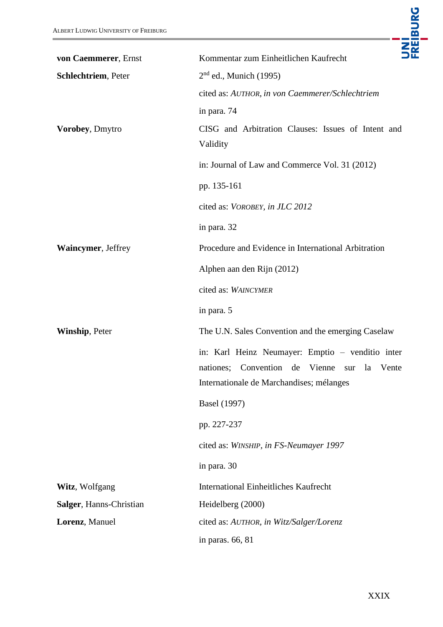| ALBERT LUDWIG UNIVERSITY OF FREIBURG        | UNI<br>FREIBURG                                                                                                                                         |
|---------------------------------------------|---------------------------------------------------------------------------------------------------------------------------------------------------------|
| von Caemmerer, Ernst<br>Schlechtriem, Peter | Kommentar zum Einheitlichen Kaufrecht<br>$2nd$ ed., Munich (1995)                                                                                       |
|                                             | cited as: AUTHOR, in von Caemmerer/Schlechtriem<br>in para. 74                                                                                          |
| Vorobey, Dmytro                             | CISG and Arbitration Clauses: Issues of Intent and<br>Validity                                                                                          |
|                                             | in: Journal of Law and Commerce Vol. 31 (2012)                                                                                                          |
|                                             | pp. 135-161                                                                                                                                             |
|                                             | cited as: VOROBEY, in JLC 2012                                                                                                                          |
|                                             | in para. 32                                                                                                                                             |
| Waincymer, Jeffrey                          | Procedure and Evidence in International Arbitration                                                                                                     |
|                                             | Alphen aan den Rijn (2012)                                                                                                                              |
|                                             | cited as: WAINCYMER                                                                                                                                     |
|                                             | in para. 5                                                                                                                                              |
| Winship, Peter                              | The U.N. Sales Convention and the emerging Caselaw                                                                                                      |
|                                             | in: Karl Heinz Neumayer: Emptio - venditio inter<br>Convention<br>de Vienne<br>nationes;<br>la Vente<br>sur<br>Internationale de Marchandises; mélanges |
|                                             | <b>Basel</b> (1997)                                                                                                                                     |
|                                             | pp. 227-237                                                                                                                                             |
|                                             | cited as: WINSHIP, in FS-Neumayer 1997                                                                                                                  |
|                                             | in para. 30                                                                                                                                             |
| Witz, Wolfgang                              | <b>International Einheitliches Kaufrecht</b>                                                                                                            |
| Salger, Hanns-Christian                     | Heidelberg (2000)                                                                                                                                       |
| Lorenz, Manuel                              | cited as: AUTHOR, in Witz/Salger/Lorenz                                                                                                                 |
|                                             | in paras. 66, 81                                                                                                                                        |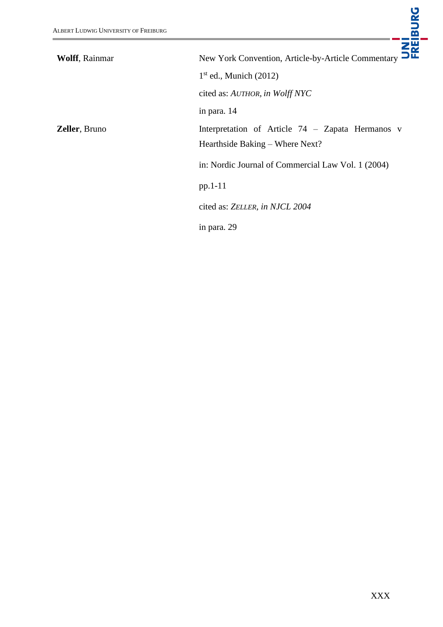| <b>ALBERT LUDWIG UNIVERSITY OF FREIBURG</b> | UNI<br>Freiburg                                                                       |
|---------------------------------------------|---------------------------------------------------------------------------------------|
| <b>Wolff</b> , Rainmar                      | New York Convention, Article-by-Article Commentary                                    |
|                                             | $1st$ ed., Munich (2012)                                                              |
|                                             | cited as: AUTHOR, in Wolff NYC                                                        |
|                                             | in para. 14                                                                           |
| <b>Zeller</b> , Bruno                       | Interpretation of Article $74 - Zapata$ Hermanos v<br>Hearthside Baking – Where Next? |
|                                             | in: Nordic Journal of Commercial Law Vol. 1 (2004)                                    |
|                                             | pp.1-11                                                                               |
|                                             | cited as: ZELLER, in NJCL 2004                                                        |
|                                             | in para. 29                                                                           |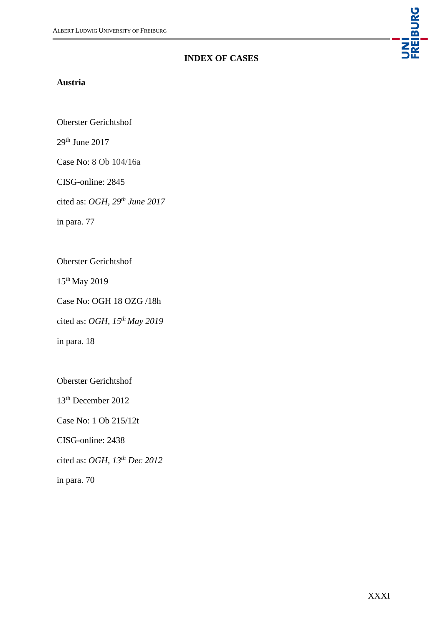### **INDEX OF CASES**

#### <span id="page-30-0"></span>**Austria**

Oberster Gerichtshof

29th June 2017

Case No: 8 Ob 104/16a

CISG-online: 2845

cited as: *OGH, 29th June 2017*

in para. 77

Oberster Gerichtshof

15th May 2019

Case No: OGH 18 OZG /18h

cited as: *OGH, 15th May 2019*

in para. 18

Oberster Gerichtshof

13th December 2012

Case No: 1 Ob 215/12t

CISG-online: 2438

cited as: *OGH, 13th Dec 2012*

in para. 70

UNI<br>Freiburg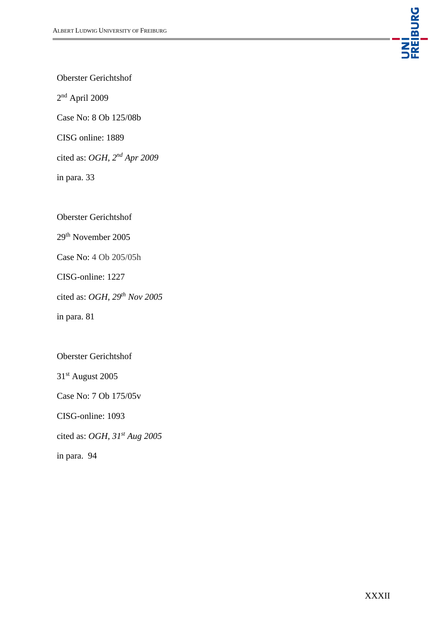

Oberster Gerichtshof

2 nd April 2009

Case No: 8 Ob 125/08b

CISG online: 1889

cited as: *OGH, 2nd Apr 2009*

in para. 33

Oberster Gerichtshof

29th November 2005

Case No: 4 Ob 205/05h

CISG-online: 1227

cited as: *OGH, 29th Nov 2005*

in para. 81

Oberster Gerichtshof

31st August 2005

Case No: 7 Ob 175/05v

CISG-online: 1093

cited as: *OGH, 31st Aug 2005*

in para. 94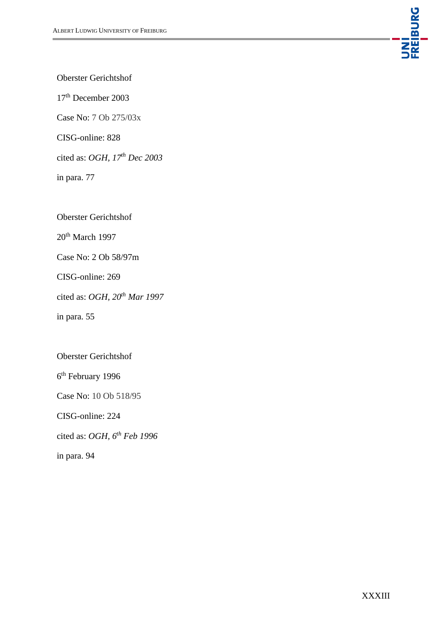

Oberster Gerichtshof

17th December 2003

Case No: 7 Ob 275/03x

CISG-online: 828

cited as: *OGH, 17th Dec 2003*

in para. 77

Oberster Gerichtshof

20<sup>th</sup> March 1997

Case No: 2 Ob 58/97m

CISG-online: 269

cited as: *OGH, 20th Mar 1997*

in para. 55

Oberster Gerichtshof

6<sup>th</sup> February 1996

Case No: 10 Ob 518/95

CISG-online: 224

cited as: *OGH, 6th Feb 1996*

in para. 94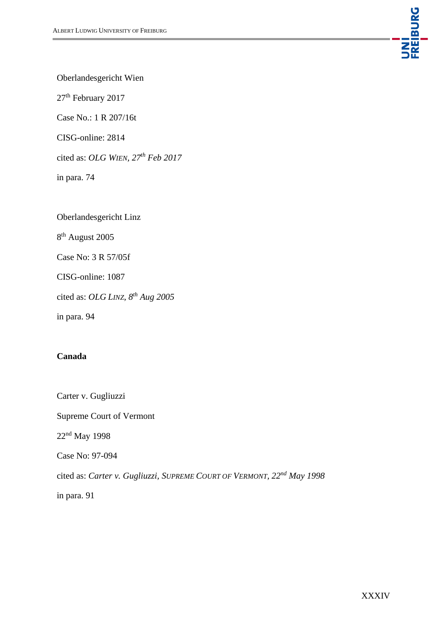

Oberlandesgericht Wien

27<sup>th</sup> February 2017

Case No.: 1 R 207/16t

CISG-online: 2814

cited as: *OLG WIEN, 27th Feb 2017*

in para. 74

Oberlandesgericht Linz

8<sup>th</sup> August 2005

Case No: 3 R 57/05f

CISG-online: 1087

cited as: *OLG LINZ, 8th Aug 2005*

in para. 94

## **Canada**

Carter v. Gugliuzzi Supreme Court of Vermont 22nd May 1998 Case No: 97-094 cited as: *Carter v. Gugliuzzi, SUPREME COURT OF VERMONT, 22nd May 1998* in para. 91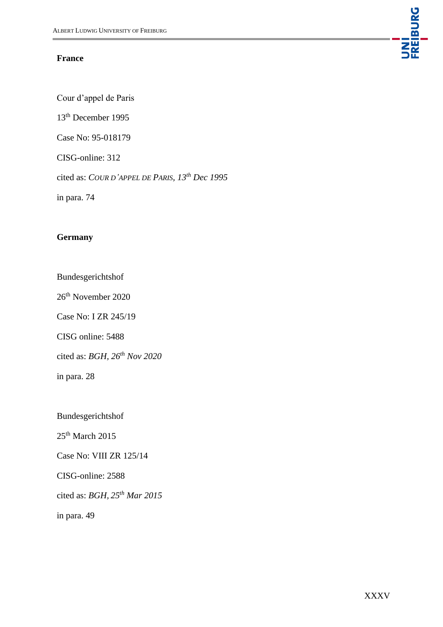#### **France**

UNI<br>FREIBURG

Cour d'appel de Paris

13th December 1995

Case No: 95-018179

CISG-online: 312

cited as: *COUR D'APPEL DE PARIS, 13th Dec 1995*

in para. 74

## **Germany**

Bundesgerichtshof

26th November 2020

Case No: I ZR 245/19

CISG online: 5488

cited as: *BGH, 26th Nov 2020*

in para. 28

Bundesgerichtshof

 $25<sup>th</sup>$  March 2015

Case No: VIII ZR 125/14

CISG-online: 2588

cited as: *BGH, 25th Mar 2015*

in para. 49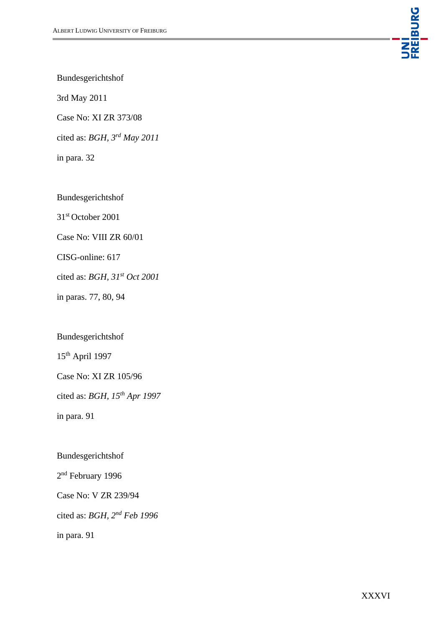

Bundesgerichtshof

3rd May 2011

Case No: XI ZR 373/08

cited as: *BGH, 3rd May 2011*

in para. 32

Bundesgerichtshof

31st October 2001

Case No: VIII ZR 60/01

CISG-online: 617

cited as: *BGH, 31st Oct 2001*

in paras. 77, 80, 94

Bundesgerichtshof

15th April 1997

Case No: XI ZR 105/96

cited as: *BGH, 15th Apr 1997*

in para. 91

Bundesgerichtshof

2<sup>nd</sup> February 1996

Case No: V ZR 239/94

cited as: *BGH, 2nd Feb 1996*

in para. 91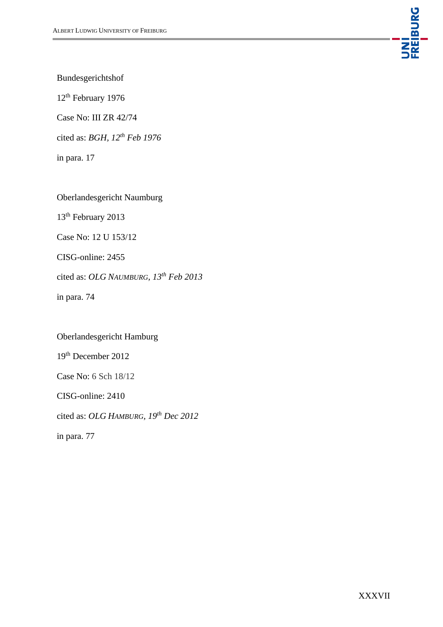

Bundesgerichtshof

12th February 1976

Case No: III ZR 42/74

cited as: *BGH, 12th Feb 1976*

in para. 17

Oberlandesgericht Naumburg

13<sup>th</sup> February 2013

Case No: 12 U 153/12

CISG-online: 2455

cited as: *OLG NAUMBURG, 13th Feb 2013* 

in para. 74

Oberlandesgericht Hamburg 19th December 2012 Case No: 6 Sch 18/12 CISG-online: 2410 cited as: *OLG HAMBURG, 19th Dec 2012* in para. 77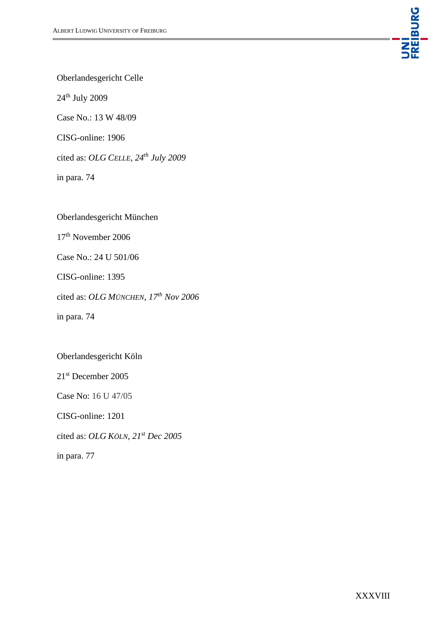

Oberlandesgericht Celle

24th July 2009

Case No.: 13 W 48/09

CISG-online: 1906

cited as: *OLG CELLE, 24th July 2009*

in para. 74

Oberlandesgericht München

17th November 2006

Case No.: 24 U 501/06

CISG-online: 1395

cited as: *OLG MÜNCHEN, 17th Nov 2006*

in para. 74

#### Oberlandesgericht Köln

21st December 2005

Case No: 16 U 47/05

CISG-online: 1201

cited as: *OLG KÖLN, 21st Dec 2005*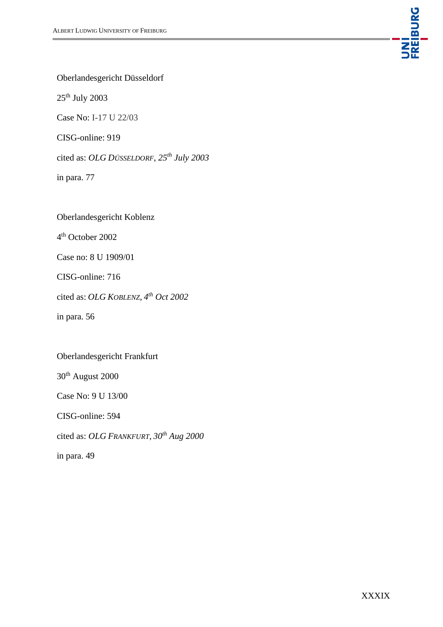

Oberlandesgericht Düsseldorf

25th July 2003

Case No: I-17 U 22/03

CISG-online: 919

cited as: *OLG DÜSSELDORF, 25th July 2003*

in para. 77

Oberlandesgericht Koblenz

4 th October 2002

Case no: 8 U 1909/01

CISG-online: 716

cited as: *OLG KOBLENZ, 4 th Oct 2002*

in para. 56

#### Oberlandesgericht Frankfurt

30th August 2000

Case No: 9 U 13/00

CISG-online: 594

cited as: *OLG FRANKFURT, 30th Aug 2000*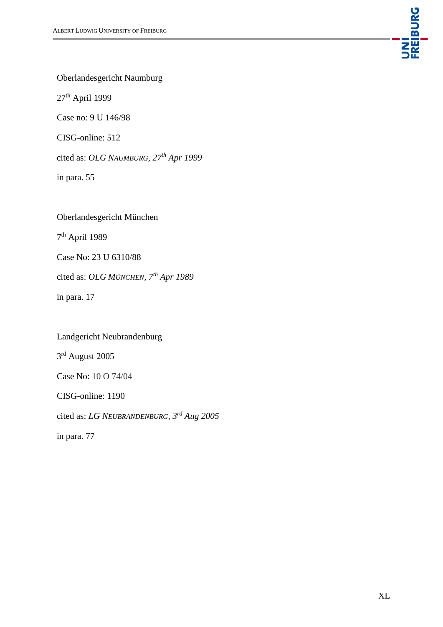

Oberlandesgericht Naumburg

27th April 1999

Case no: 9 U 146/98

CISG-online: 512

cited as: *OLG NAUMBURG, 27th Apr 1999*

in para. 55

Oberlandesgericht München

7<sup>th</sup> April 1989

Case No: 23 U 6310/88

cited as: *OLG MÜNCHEN, 7th Apr 1989*

in para. 17

Landgericht Neubrandenburg 3<sup>rd</sup> August 2005 Case No: 10 O 74/04 CISG-online: 1190

cited as: *LG NEUBRANDENBURG, 3rd Aug 2005*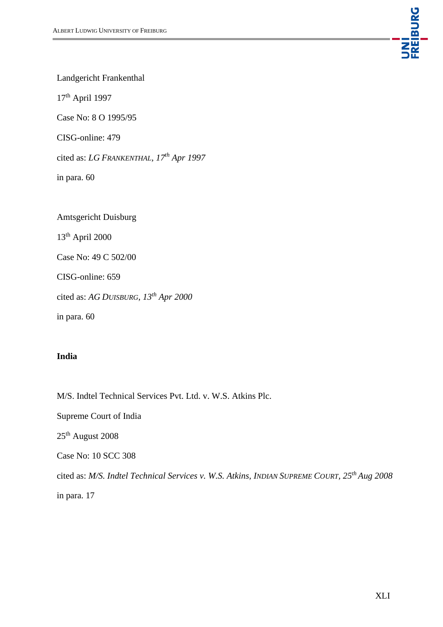

Landgericht Frankenthal

17th April 1997

Case No: 8 O 1995/95

CISG-online: 479

cited as: *LG FRANKENTHAL, 17th Apr 1997*

in para. 60

Amtsgericht Duisburg 13th April 2000 Case No: 49 C 502/00 CISG-online: 659 cited as: *AG DUISBURG, 13th Apr 2000* in para. 60

## **India**

M/S. Indtel Technical Services Pvt. Ltd. v. W.S. Atkins Plc.

Supreme Court of India

25th August 2008

Case No: 10 SCC 308

cited as: *M/S. Indtel Technical Services v. W.S. Atkins, INDIAN SUPREME COURT, 25th Aug 2008*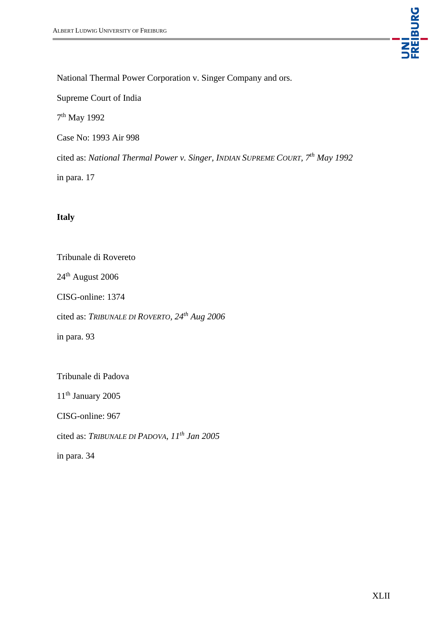

National Thermal Power Corporation v. Singer Company and ors.

Supreme Court of India

7<sup>th</sup> May 1992

Case No: 1993 Air 998

cited as: *National Thermal Power v. Singer, INDIAN SUPREME COURT, 7th May 1992*

in para. 17

## **Italy**

Tribunale di Rovereto

24th August 2006

CISG-online: 1374

cited as: *TRIBUNALE DI ROVERTO, 24th Aug 2006*

in para. 93

Tribunale di Padova

11<sup>th</sup> January 2005

CISG-online: 967

cited as: *TRIBUNALE DI PADOVA, 11th Jan 2005*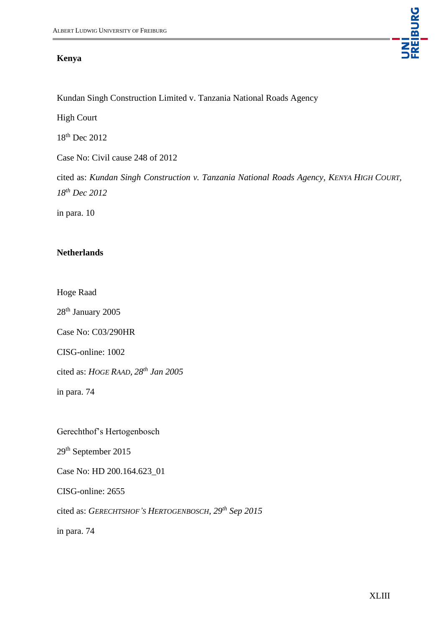#### **Kenya**

Kundan Singh Construction Limited v. Tanzania National Roads Agency

High Court

18th Dec 2012

Case No: Civil cause 248 of 2012

cited as: *Kundan Singh Construction v. Tanzania National Roads Agency, KENYA HIGH COURT, 18th Dec 2012*

in para. 10

#### **Netherlands**

Hoge Raad

28<sup>th</sup> January 2005

Case No: C03/290HR

CISG-online: 1002

cited as: *HOGE RAAD, 28th Jan 2005*

in para. 74

Gerechthof's Hertogenbosch

29th September 2015

Case No: HD 200.164.623\_01

CISG-online: 2655

cited as: *GERECHTSHOF'S HERTOGENBOSCH, 29th Sep 2015* 

in para. 74

UNI<br>FREIBURG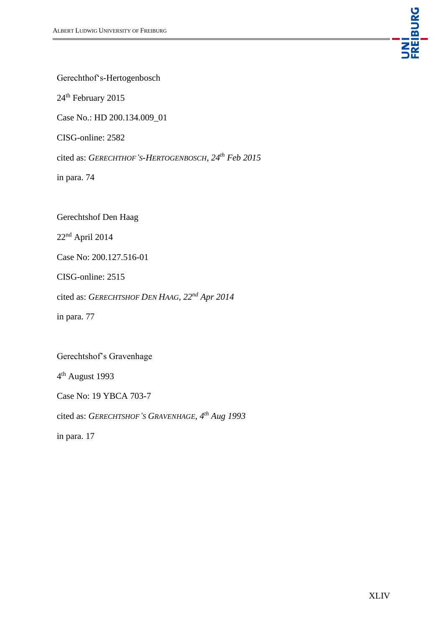

Gerechthof's-Hertogenbosch

24<sup>th</sup> February 2015

Case No.: HD 200.134.009\_01

CISG-online: 2582

cited as: *GERECHTHOF'S-HERTOGENBOSCH, 24th Feb 2015*

in para. 74

Gerechtshof Den Haag

22nd April 2014

Case No: 200.127.516-01

CISG-online: 2515

cited as: *GERECHTSHOF DEN HAAG, 22nd Apr 2014*

in para. 77

Gerechtshof's Gravenhage

4<sup>th</sup> August 1993

Case No: 19 YBCA 703-7

cited as: *GERECHTSHOF'S GRAVENHAGE, 4 th Aug 1993*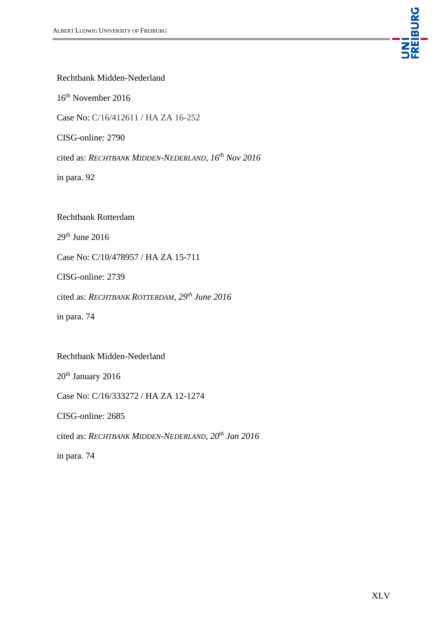

Rechtbank Midden-Nederland

16th November 2016

Case No: C/16/412611 / HA ZA 16-252

CISG-online: 2790

cited as: *RECHTBANK MIDDEN-NEDERLAND, 16th Nov 2016*

in para. 92

Rechtbank Rotterdam

 $29<sup>th</sup>$  June 2016

Case No: C/10/478957 / HA ZA 15-711

CISG-online: 2739

cited as: *RECHTBANK ROTTERDAM, 29th June 2016* 

in para. 74

Rechtbank Midden-Nederland

20<sup>th</sup> January 2016

Case No: C/16/333272 / HA ZA 12-1274

CISG-online: 2685

cited as: *RECHTBANK MIDDEN-NEDERLAND, 20th Jan 2016*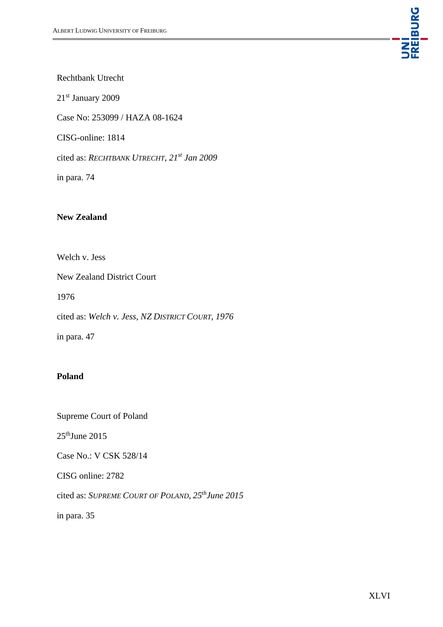

Rechtbank Utrecht

21st January 2009

Case No: 253099 / HAZA 08-1624

CISG-online: 1814

cited as: *RECHTBANK UTRECHT, 21st Jan 2009*

in para. 74

## **New Zealand**

Welch v. Jess

New Zealand District Court

1976

cited as: *Welch v. Jess, NZ DISTRICT COURT, 1976*

in para. 47

#### **Poland**

Supreme Court of Poland

 $25<sup>th</sup>$ June 2015

Case No.: V CSK 528/14

CISG online: 2782

cited as: *SUPREME COURT OF POLAND, 25thJune 2015*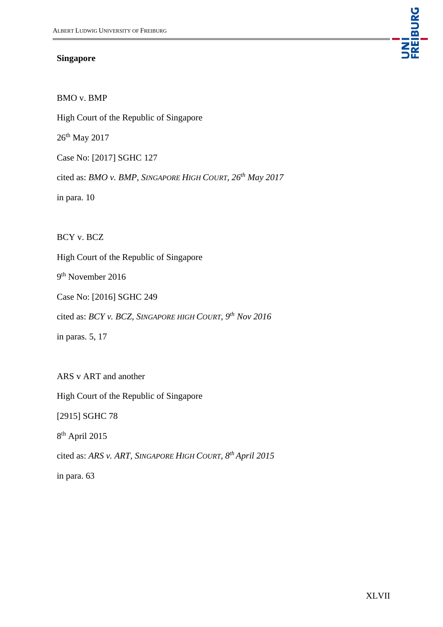#### **Singapore**



BMO v. BMP

High Court of the Republic of Singapore

26<sup>th</sup> May 2017

Case No: [2017] SGHC 127

cited as: *BMO v. BMP, SINGAPORE HIGH COURT, 26th May 2017*

in para. 10

BCY v. BCZ

High Court of the Republic of Singapore

9<sup>th</sup> November 2016

Case No: [2016] SGHC 249

cited as: *BCY v. BCZ, SINGAPORE HIGH COURT, 9th Nov 2016*

in paras. 5, 17

ARS v ART and another

High Court of the Republic of Singapore

[2915] SGHC 78

8 th April 2015

cited as: *ARS v. ART, SINGAPORE HIGH COURT, 8th April 2015*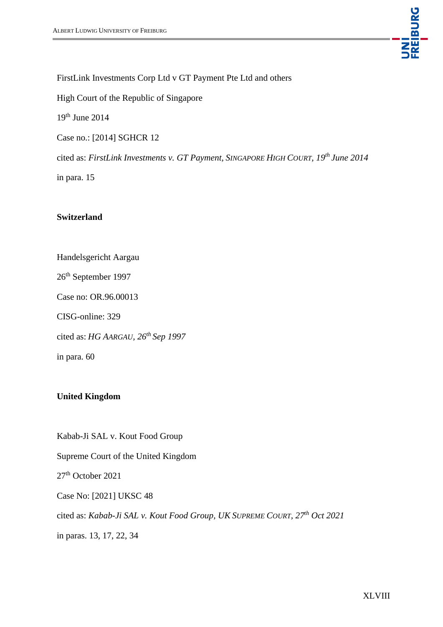

FirstLink Investments Corp Ltd v GT Payment Pte Ltd and others

High Court of the Republic of Singapore

19th June 2014

Case no.: [2014] SGHCR 12

cited as: *FirstLink Investments v. GT Payment, SINGAPORE HIGH COURT, 19th June 2014*

in para. 15

#### **Switzerland**

Handelsgericht Aargau

26th September 1997

Case no: OR.96.00013

CISG-online: 329

cited as: *HG AARGAU, 26th Sep 1997*

in para. 60

## **United Kingdom**

Kabab-Ji SAL v. Kout Food Group Supreme Court of the United Kingdom 27th October 2021 Case No: [2021] UKSC 48 cited as: *Kabab-Ji SAL v. Kout Food Group, UK SUPREME COURT, 27th Oct 2021* in paras. 13, 17, 22, 34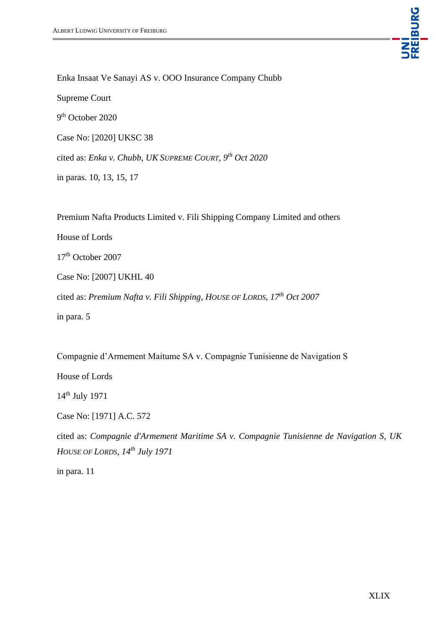

Enka Insaat Ve Sanayi AS v. OOO Insurance Company Chubb

Supreme Court

9<sup>th</sup> October 2020

Case No: [2020] UKSC 38

cited as: *Enka v. Chubb, UK SUPREME COURT, 9th Oct 2020*

in paras. 10, 13, 15, 17

Premium Nafta Products Limited v. Fili Shipping Company Limited and others

House of Lords

17<sup>th</sup> October 2007

Case No: [2007] UKHL 40

cited as: *Premium Nafta v. Fili Shipping, HOUSE OF LORDS, 17th Oct 2007*

in para. 5

Compagnie d'Armement Maitume SA v. Compagnie Tunisienne de Navigation S

House of Lords

14th July 1971

Case No: [1971] A.C. 572

cited as: *Compagnie d'Armement Maritime SA v. Compagnie Tunisienne de Navigation S, UK HOUSE OF LORDS, 14th July 1971*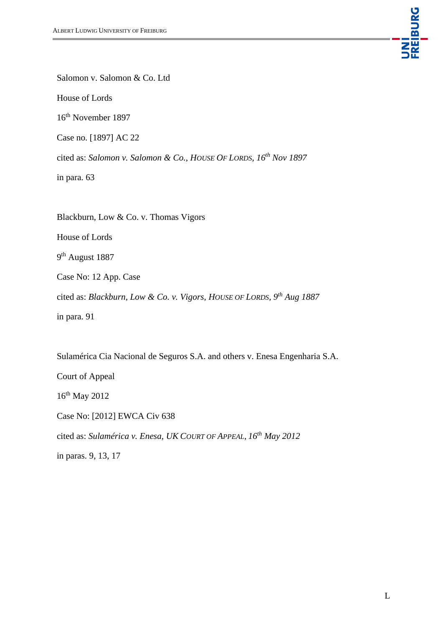

Salomon v. Salomon & Co. Ltd

House of Lords

16th November 1897

Case no. [1897] AC 22

cited as: *Salomon v. Salomon & Co., HOUSE OF LORDS, 16th Nov 1897*

in para. 63

Blackburn, Low & Co. v. Thomas Vigors

House of Lords

9<sup>th</sup> August 1887

Case No: 12 App. Case

cited as: *Blackburn, Low & Co. v. Vigors, HOUSE OF LORDS, 9th Aug 1887*

in para. 91

Sulamérica Cia Nacional de Seguros S.A. and others v. Enesa Engenharia S.A. Court of Appeal 16th May 2012 Case No: [2012] EWCA Civ 638 cited as: *Sulamérica v. Enesa, UK COURT OF APPEAL, 16th May 2012* in paras. 9, 13, 17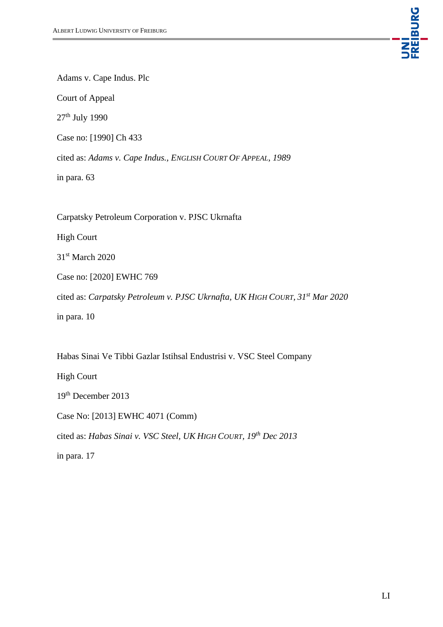

Adams v. Cape Indus. Plc

Court of Appeal

27th July 1990

Case no: [1990] Ch 433

cited as: *Adams v. Cape Indus., ENGLISH COURT OF APPEAL, 1989*

in para. 63

Carpatsky Petroleum Corporation v. PJSC Ukrnafta

High Court

31<sup>st</sup> March 2020

Case no: [2020] EWHC 769

cited as: *Carpatsky Petroleum v. PJSC Ukrnafta, UK HIGH COURT, 31st Mar 2020*

in para. 10

Habas Sinai Ve Tibbi Gazlar Istihsal Endustrisi v. VSC Steel Company

High Court

19th December 2013

Case No: [2013] EWHC 4071 (Comm)

cited as: *Habas Sinai v. VSC Steel, UK HIGH COURT, 19th Dec 2013*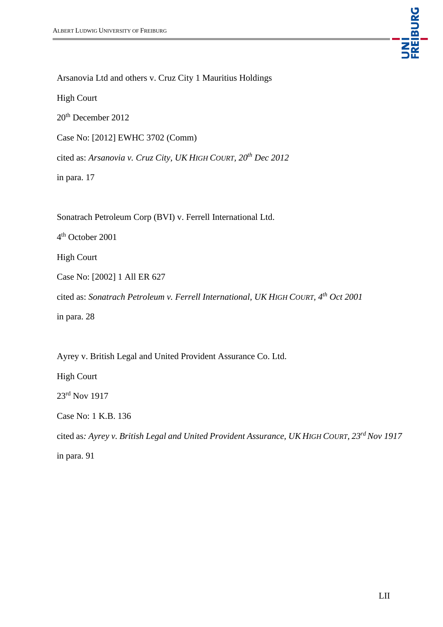

Arsanovia Ltd and others v. Cruz City 1 Mauritius Holdings

High Court

20th December 2012

Case No: [2012] EWHC 3702 (Comm)

cited as: *Arsanovia v. Cruz City, UK HIGH COURT, 20th Dec 2012*

in para. 17

Sonatrach Petroleum Corp (BVI) v. Ferrell International Ltd.

4 th October 2001

High Court

Case No: [2002] 1 All ER 627

cited as: *Sonatrach Petroleum v. Ferrell International, UK HIGH COURT, 4th Oct 2001*

in para. 28

Ayrey v. British Legal and United Provident Assurance Co. Ltd.

High Court

23rd Nov 1917

Case No: 1 K.B. 136

cited as*: Ayrey v. British Legal and United Provident Assurance, UK HIGH COURT, 23rd Nov 1917*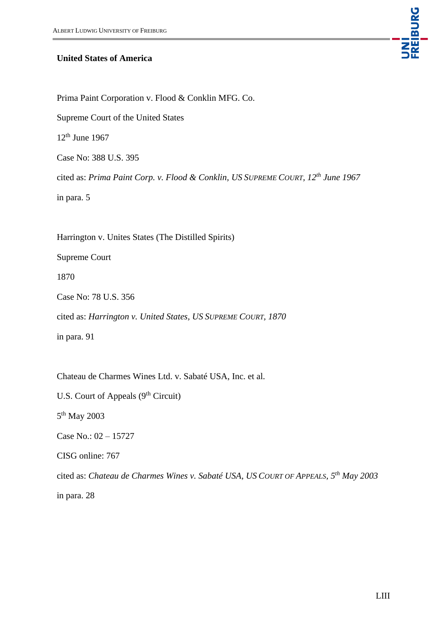

#### **United States of America**

Prima Paint Corporation v. Flood & Conklin MFG. Co.

Supreme Court of the United States

 $12<sup>th</sup>$  June 1967

Case No: 388 U.S. 395

cited as: *Prima Paint Corp. v. Flood & Conklin, US SUPREME COURT, 12th June 1967*

in para. 5

Harrington v. Unites States (The Distilled Spirits)

Supreme Court

1870

Case No: 78 U.S. 356

cited as: *Harrington v. United States, US SUPREME COURT, 1870*

in para. 91

Chateau de Charmes Wines Ltd. v. Sabaté USA, Inc. et al.

U.S. Court of Appeals  $(9<sup>th</sup> Circuit)$ 

5<sup>th</sup> May 2003

Case No.: 02 – 15727

CISG online: 767

cited as: *Chateau de Charmes Wines v. Sabaté USA, US COURT OF APPEALS, 5th May 2003*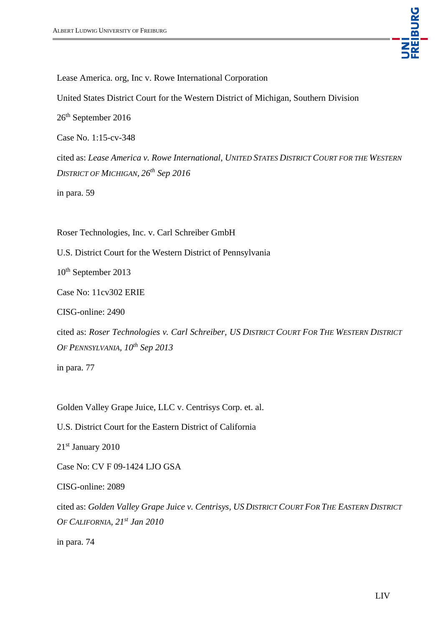

Lease America. org, Inc v. Rowe International Corporation

United States District Court for the Western District of Michigan, Southern Division

26<sup>th</sup> September 2016

Case No. 1:15-cv-348

cited as: *Lease America v. Rowe International, UNITED STATES DISTRICT COURT FOR THE WESTERN DISTRICT OF MICHIGAN, 26th Sep 2016*

in para. 59

Roser Technologies, Inc. v. Carl Schreiber GmbH

U.S. District Court for the Western District of Pennsylvania

10<sup>th</sup> September 2013

Case No: 11cv302 ERIE

CISG-online: 2490

cited as: *Roser Technologies v. Carl Schreiber, US DISTRICT COURT FOR THE WESTERN DISTRICT OF PENNSYLVANIA, 10th Sep 2013* 

in para. 77

Golden Valley Grape Juice, LLC v. Centrisys Corp. et. al.

U.S. District Court for the Eastern District of California

21st January 2010

Case No: CV F 09-1424 LJO GSA

CISG-online: 2089

cited as: *Golden Valley Grape Juice v. Centrisys, US DISTRICT COURT FOR THE EASTERN DISTRICT OF CALIFORNIA, 21st Jan 2010*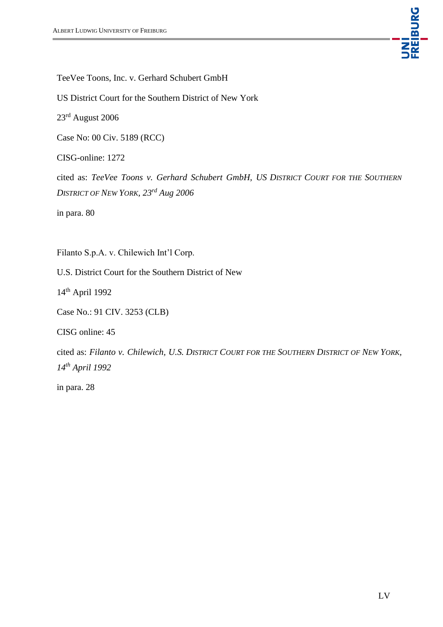

TeeVee Toons, Inc. v. Gerhard Schubert GmbH

US District Court for the Southern District of New York

23rd August 2006

Case No: 00 Civ. 5189 (RCC)

CISG-online: 1272

cited as: *TeeVee Toons v. Gerhard Schubert GmbH, US DISTRICT COURT FOR THE SOUTHERN DISTRICT OF NEW YORK, 23rd Aug 2006*

in para. 80

Filanto S.p.A. v. Chilewich Int'l Corp.

U.S. District Court for the Southern District of New

14th April 1992

Case No.: 91 CIV. 3253 (CLB)

CISG online: 45

cited as: *Filanto v. Chilewich, U.S. DISTRICT COURT FOR THE SOUTHERN DISTRICT OF NEW YORK, 14th April 1992*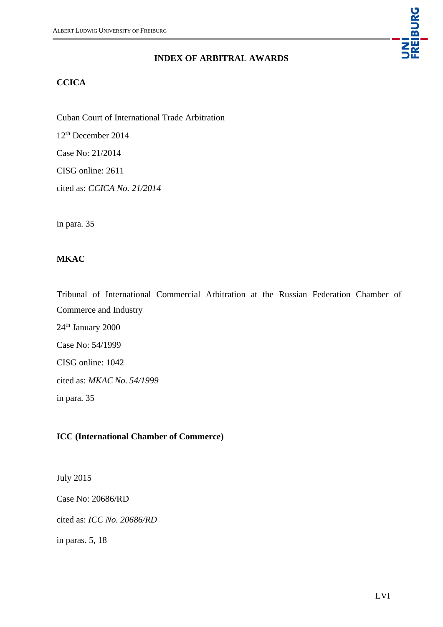#### **INDEX OF ARBITRAL AWARDS**

### **CCICA**

Cuban Court of International Trade Arbitration

12th December 2014

Case No: 21/2014

CISG online: 2611

cited as: *CCICA No. 21/2014*

in para. 35

## **MKAC**

Tribunal of International Commercial Arbitration at the Russian Federation Chamber of Commerce and Industry 24<sup>th</sup> January 2000 Case No: 54/1999 CISG online: 1042 cited as: *MKAC No. 54/1999* in para. 35

#### **ICC (International Chamber of Commerce)**

July 2015

Case No: 20686/RD

cited as: *ICC No. 20686/RD*

in paras. 5, 18

UNI<br>FREIBURG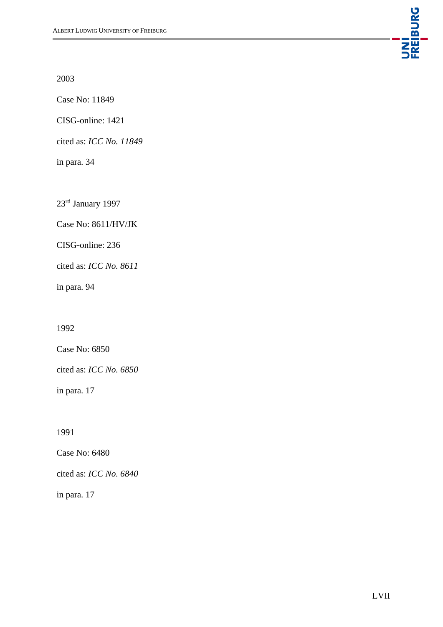

2003

Case No: 11849

CISG-online: 1421

cited as: *ICC No. 11849*

in para. 34

23rd January 1997

Case No: 8611/HV/JK

CISG-online: 236

cited as: *ICC No. 8611*

in para. 94

1992

Case No: 6850

cited as: *ICC No. 6850*

in para. 17

1991

Case No: 6480

cited as: *ICC No. 6840*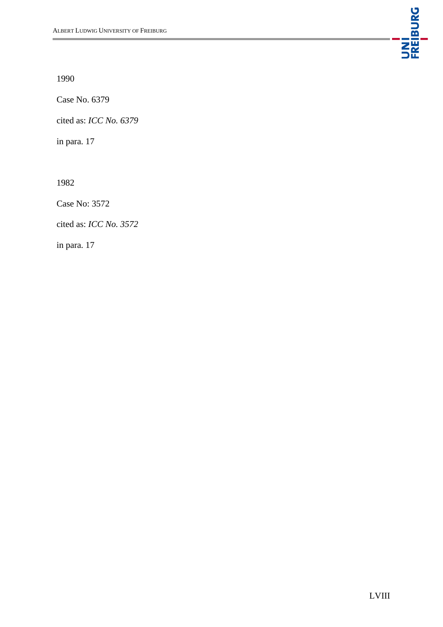

1990

Case No. 6379

cited as: *ICC No. 6379*

in para. 17

1982

Case No: 3572

cited as: *ICC No. 3572*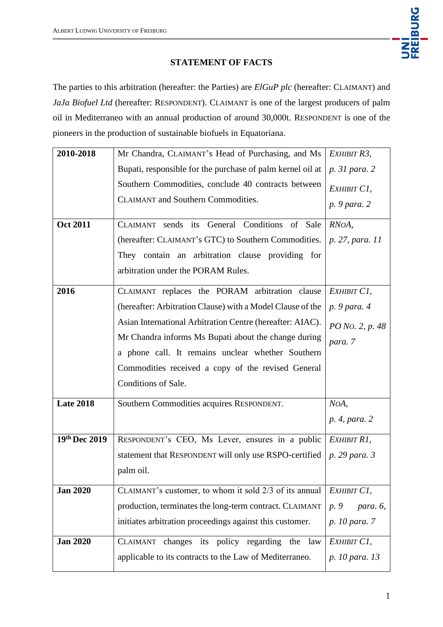

## **STATEMENT OF FACTS**

The parties to this arbitration (hereafter: the Parties) are *ElGuP plc* (hereafter: CLAIMANT) and *JaJa Biofuel Ltd* (hereafter: RESPONDENT). CLAIMANT is one of the largest producers of palm oil in Mediterraneo with an annual production of around 30,000t. RESPONDENT is one of the pioneers in the production of sustainable biofuels in Equatoriana.

| 2010-2018        | Mr Chandra, CLAIMANT's Head of Purchasing, and Ms          | EXHIBIT R3,      |
|------------------|------------------------------------------------------------|------------------|
|                  | Bupati, responsible for the purchase of palm kernel oil at | p. 31 para. 2    |
|                  | Southern Commodities, conclude 40 contracts between        | EXHIBIT C1,      |
|                  | <b>CLAIMANT</b> and Southern Commodities.                  | p. 9 para. 2     |
| <b>Oct 2011</b>  | CLAIMANT sends its General Conditions of Sale              | RNOA,            |
|                  | (hereafter: CLAIMANT's GTC) to Southern Commodities.       | p. 27, para. 11  |
|                  | They contain an arbitration clause providing for           |                  |
|                  | arbitration under the PORAM Rules.                         |                  |
|                  |                                                            |                  |
| 2016             | CLAIMANT replaces the PORAM arbitration clause             | EXHIBIT C1,      |
|                  | (hereafter: Arbitration Clause) with a Model Clause of the | p. 9 para. 4     |
|                  | Asian International Arbitration Centre (hereafter: AIAC).  | PO No. 2, p. 48  |
|                  | Mr Chandra informs Ms Bupati about the change during       | para. 7          |
|                  | a phone call. It remains unclear whether Southern          |                  |
|                  | Commodities received a copy of the revised General         |                  |
|                  | Conditions of Sale.                                        |                  |
| <b>Late 2018</b> | Southern Commodities acquires RESPONDENT.                  | NOA,             |
|                  |                                                            | p. 4, para. 2    |
| 19th Dec 2019    | RESPONDENT's CEO, Ms Lever, ensures in a public            | EXHIBIT R1,      |
|                  | statement that RESPONDENT will only use RSPO-certified     | p. 29 para. 3    |
|                  | palm oil.                                                  |                  |
| <b>Jan 2020</b>  | CLAIMANT's customer, to whom it sold 2/3 of its annual     | EXHIBIT C1,      |
|                  | production, terminates the long-term contract. CLAIMANT    | p. 9<br>para. 6, |
|                  | initiates arbitration proceedings against this customer.   | p. 10 para. 7    |
| <b>Jan 2020</b>  | CLAIMANT changes its policy regarding the law              | EXHIBIT C1,      |
|                  | applicable to its contracts to the Law of Mediterraneo.    | p. 10 para. 13   |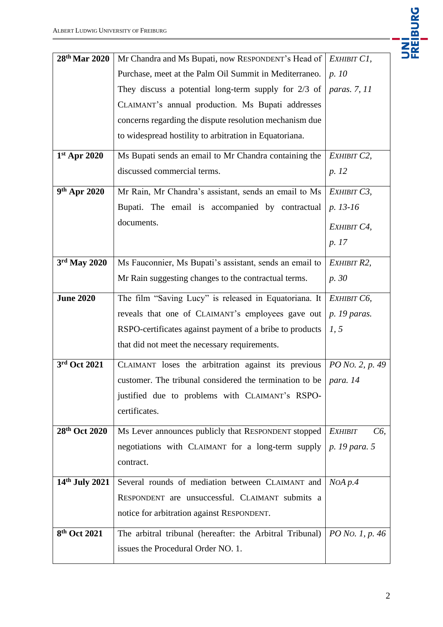

| 28th Mar 2020            | Mr Chandra and Ms Bupati, now RESPONDENT's Head of   EXHIBIT C1,    |                            |
|--------------------------|---------------------------------------------------------------------|----------------------------|
|                          | Purchase, meet at the Palm Oil Summit in Mediterraneo.              | p. 10                      |
|                          | They discuss a potential long-term supply for $2/3$ of              | <i>paras.</i> 7, 11        |
|                          | CLAIMANT's annual production. Ms Bupati addresses                   |                            |
|                          | concerns regarding the dispute resolution mechanism due             |                            |
|                          | to widespread hostility to arbitration in Equatoriana.              |                            |
| $1st$ Apr 2020           | Ms Bupati sends an email to Mr Chandra containing the               | EXHIBIT C2,                |
|                          | discussed commercial terms.                                         | p. 12                      |
| 9 <sup>th</sup> Apr 2020 | Mr Rain, Mr Chandra's assistant, sends an email to Ms               | ЕХНІВІТ СЗ,                |
|                          | Bupati. The email is accompanied by contractual                     | p. 13-16                   |
|                          | documents.                                                          | ЕХНІВІТ С4,                |
|                          |                                                                     | p. 17                      |
| $3rd$ May 2020           | Ms Fauconnier, Ms Bupati's assistant, sends an email to             | EXHIBIT R2,                |
|                          | Mr Rain suggesting changes to the contractual terms.                | p. 30                      |
| <b>June 2020</b>         | The film "Saving Lucy" is released in Equatoriana. It               | ЕХНІВІТ Сб,                |
|                          | reveals that one of CLAIMANT's employees gave out                   | <i>p.</i> 19 <i>paras.</i> |
|                          | RSPO-certificates against payment of a bribe to products            | 1, 5                       |
|                          | that did not meet the necessary requirements.                       |                            |
| 3rd Oct 2021             | CLAIMANT loses the arbitration against its previous                 | PO No. 2, p. 49            |
|                          | customer. The tribunal considered the termination to be $ para. 14$ |                            |
|                          | justified due to problems with CLAIMANT's RSPO-                     |                            |
|                          | certificates.                                                       |                            |
| 28th Oct 2020            | Ms Lever announces publicly that RESPONDENT stopped                 | <b>EXHIBIT</b><br>C6,      |
|                          | negotiations with CLAIMANT for a long-term supply                   | p. 19 para. 5              |
|                          | contract.                                                           |                            |
| 14th July 2021           | Several rounds of mediation between CLAIMANT and                    | $N$ OA $p$ .4              |
|                          | RESPONDENT are unsuccessful. CLAIMANT submits a                     |                            |
|                          | notice for arbitration against RESPONDENT.                          |                            |
| 8th Oct 2021             | The arbitral tribunal (hereafter: the Arbitral Tribunal)            | PO No. 1, p. 46            |
|                          | issues the Procedural Order NO. 1.                                  |                            |
|                          |                                                                     |                            |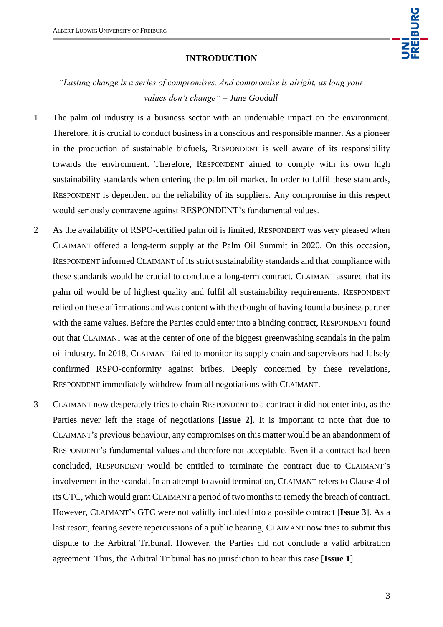

#### **INTRODUCTION**

*"Lasting change is a series of compromises. And compromise is alright, as long your values don't change" – Jane Goodall*

- 1 The palm oil industry is a business sector with an undeniable impact on the environment. Therefore, it is crucial to conduct business in a conscious and responsible manner. As a pioneer in the production of sustainable biofuels, RESPONDENT is well aware of its responsibility towards the environment. Therefore, RESPONDENT aimed to comply with its own high sustainability standards when entering the palm oil market. In order to fulfil these standards, RESPONDENT is dependent on the reliability of its suppliers. Any compromise in this respect would seriously contravene against RESPONDENT's fundamental values.
- 2 As the availability of RSPO-certified palm oil is limited, RESPONDENT was very pleased when CLAIMANT offered a long-term supply at the Palm Oil Summit in 2020. On this occasion, RESPONDENT informed CLAIMANT of its strict sustainability standards and that compliance with these standards would be crucial to conclude a long-term contract. CLAIMANT assured that its palm oil would be of highest quality and fulfil all sustainability requirements. RESPONDENT relied on these affirmations and was content with the thought of having found a business partner with the same values. Before the Parties could enter into a binding contract, RESPONDENT found out that CLAIMANT was at the center of one of the biggest greenwashing scandals in the palm oil industry. In 2018, CLAIMANT failed to monitor its supply chain and supervisors had falsely confirmed RSPO-conformity against bribes. Deeply concerned by these revelations, RESPONDENT immediately withdrew from all negotiations with CLAIMANT.
- 3 CLAIMANT now desperately tries to chain RESPONDENT to a contract it did not enter into, as the Parties never left the stage of negotiations [**Issue 2**]. It is important to note that due to CLAIMANT's previous behaviour, any compromises on this matter would be an abandonment of RESPONDENT's fundamental values and therefore not acceptable. Even if a contract had been concluded, RESPONDENT would be entitled to terminate the contract due to CLAIMANT's involvement in the scandal. In an attempt to avoid termination, CLAIMANT refers to Clause 4 of its GTC, which would grant CLAIMANT a period of two months to remedy the breach of contract. However, CLAIMANT's GTC were not validly included into a possible contract [**Issue 3**]. As a last resort, fearing severe repercussions of a public hearing, CLAIMANT now tries to submit this dispute to the Arbitral Tribunal. However, the Parties did not conclude a valid arbitration agreement. Thus, the Arbitral Tribunal has no jurisdiction to hear this case [**Issue 1**].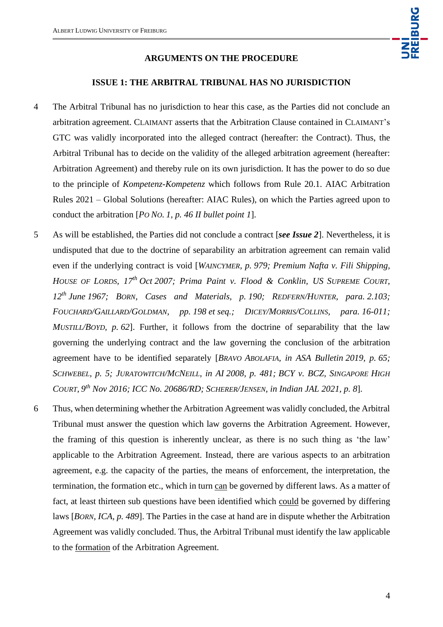#### **ARGUMENTS ON THE PROCEDURE**

#### **ISSUE 1: THE ARBITRAL TRIBUNAL HAS NO JURISDICTION**

- 4 The Arbitral Tribunal has no jurisdiction to hear this case, as the Parties did not conclude an arbitration agreement. CLAIMANT asserts that the Arbitration Clause contained in CLAIMANT's GTC was validly incorporated into the alleged contract (hereafter: the Contract). Thus, the Arbitral Tribunal has to decide on the validity of the alleged arbitration agreement (hereafter: Arbitration Agreement) and thereby rule on its own jurisdiction. It has the power to do so due to the principle of *Kompetenz-Kompetenz* which follows from Rule 20.1. AIAC Arbitration Rules 2021 – Global Solutions (hereafter: AIAC Rules), on which the Parties agreed upon to conduct the arbitration [*PO NO. 1, p. 46 II bullet point 1*].
- 5 As will be established, the Parties did not conclude a contract [*see Issue 2*]. Nevertheless, it is undisputed that due to the doctrine of separability an arbitration agreement can remain valid even if the underlying contract is void [*WAINCYMER, p. 979; Premium Nafta v. Fili Shipping, HOUSE OF LORDS, 17th Oct 2007; Prima Paint v. Flood & Conklin, US SUPREME COURT, 12th June 1967; BORN, Cases and Materials, p. 190; REDFERN/HUNTER, para. 2.103; FOUCHARD/GAILLARD/GOLDMAN, pp. 198 et seq.; DICEY/MORRIS/COLLINS, para. 16-011; MUSTILL/BOYD, p. 62*]. Further, it follows from the doctrine of separability that the law governing the underlying contract and the law governing the conclusion of the arbitration agreement have to be identified separately [*BRAVO ABOLAFIA, in ASA Bulletin 2019, p. 65; SCHWEBEL, p. 5; JURATOWITCH/MCNEILL, in AI 2008, p. 481; BCY v. BCZ, SINGAPORE HIGH COURT, 9 th Nov 2016; ICC No. 20686/RD; SCHERER/JENSEN, in Indian JAL 2021, p. 8*].
- 6 Thus, when determining whether the Arbitration Agreement was validly concluded, the Arbitral Tribunal must answer the question which law governs the Arbitration Agreement. However, the framing of this question is inherently unclear, as there is no such thing as 'the law' applicable to the Arbitration Agreement. Instead, there are various aspects to an arbitration agreement, e.g. the capacity of the parties, the means of enforcement, the interpretation, the termination, the formation etc., which in turn can be governed by different laws. As a matter of fact, at least thirteen sub questions have been identified which could be governed by differing laws [*BORN, ICA, p. 489*]. The Parties in the case at hand are in dispute whether the Arbitration Agreement was validly concluded. Thus, the Arbitral Tribunal must identify the law applicable to the formation of the Arbitration Agreement.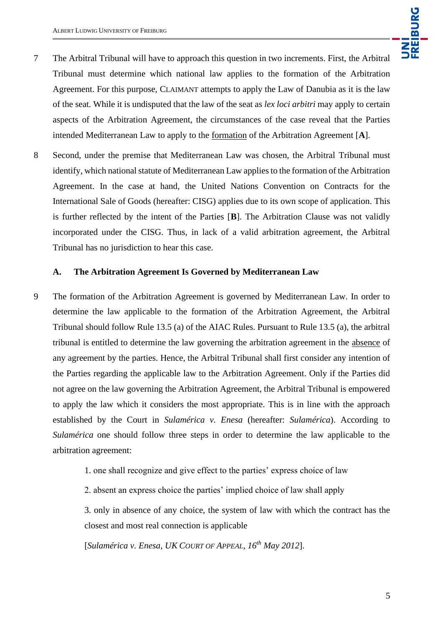

- 7 The Arbitral Tribunal will have to approach this question in two increments. First, the Arbitral Tribunal must determine which national law applies to the formation of the Arbitration Agreement. For this purpose, CLAIMANT attempts to apply the Law of Danubia as it is the law of the seat*.* While it is undisputed that the law of the seat as *lex loci arbitri* may apply to certain aspects of the Arbitration Agreement, the circumstances of the case reveal that the Parties intended Mediterranean Law to apply to the formation of the Arbitration Agreement [**A**].
- 8 Second, under the premise that Mediterranean Law was chosen, the Arbitral Tribunal must identify, which national statute of Mediterranean Law applies to the formation of the Arbitration Agreement. In the case at hand, the United Nations Convention on Contracts for the International Sale of Goods (hereafter: CISG) applies due to its own scope of application. This is further reflected by the intent of the Parties [**B**]. The Arbitration Clause was not validly incorporated under the CISG. Thus, in lack of a valid arbitration agreement, the Arbitral Tribunal has no jurisdiction to hear this case.

#### **A. The Arbitration Agreement Is Governed by Mediterranean Law**

- 9 The formation of the Arbitration Agreement is governed by Mediterranean Law. In order to determine the law applicable to the formation of the Arbitration Agreement, the Arbitral Tribunal should follow Rule 13.5 (a) of the AIAC Rules. Pursuant to Rule 13.5 (a), the arbitral tribunal is entitled to determine the law governing the arbitration agreement in the absence of any agreement by the parties. Hence, the Arbitral Tribunal shall first consider any intention of the Parties regarding the applicable law to the Arbitration Agreement. Only if the Parties did not agree on the law governing the Arbitration Agreement, the Arbitral Tribunal is empowered to apply the law which it considers the most appropriate. This is in line with the approach established by the Court in *Sulamérica v. Enesa* (hereafter: *Sulamérica*). According to *Sulamérica* one should follow three steps in order to determine the law applicable to the arbitration agreement:
	- 1. one shall recognize and give effect to the parties' express choice of law
	- 2. absent an express choice the parties' implied choice of law shall apply

3. only in absence of any choice, the system of law with which the contract has the closest and most real connection is applicable

[*Sulamérica v. Enesa, UK COURT OF APPEAL, 16th May 2012*].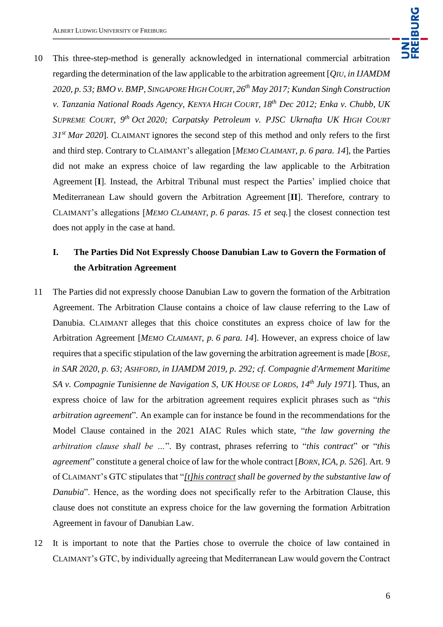10 This three-step-method is generally acknowledged in international commercial arbitration regarding the determination of the law applicable to the arbitration agreement [*QIU, in IJAMDM 2020, p. 53; BMO v. BMP, SINGAPORE HIGH COURT, 26th May 2017; Kundan Singh Construction v. Tanzania National Roads Agency, KENYA HIGH COURT, 18th Dec 2012; Enka v. Chubb, UK SUPREME COURT, 9th Oct 2020; Carpatsky Petroleum v. PJSC Ukrnafta UK HIGH COURT 31st Mar 2020*]. CLAIMANT ignores the second step of this method and only refers to the first and third step. Contrary to CLAIMANT's allegation [*MEMO CLAIMANT, p. 6 para. 14*], the Parties did not make an express choice of law regarding the law applicable to the Arbitration Agreement [**I**]. Instead, the Arbitral Tribunal must respect the Parties' implied choice that Mediterranean Law should govern the Arbitration Agreement [**II**]. Therefore, contrary to CLAIMANT's allegations [*MEMO CLAIMANT, p. 6 paras. 15 et seq.*] the closest connection test does not apply in the case at hand.

# **I. The Parties Did Not Expressly Choose Danubian Law to Govern the Formation of the Arbitration Agreement**

- 11 The Parties did not expressly choose Danubian Law to govern the formation of the Arbitration Agreement. The Arbitration Clause contains a choice of law clause referring to the Law of Danubia. CLAIMANT alleges that this choice constitutes an express choice of law for the Arbitration Agreement [*MEMO CLAIMANT, p. 6 para. 14*]. However, an express choice of law requires that a specific stipulation of the law governing the arbitration agreement is made [*BOSE, in SAR 2020, p. 63; ASHFORD, in IJAMDM 2019, p. 292; cf. Compagnie d'Armement Maritime SA v. Compagnie Tunisienne de Navigation S, UK HOUSE OF LORDS, 14th July 1971*]. Thus, an express choice of law for the arbitration agreement requires explicit phrases such as "*this arbitration agreement*". An example can for instance be found in the recommendations for the Model Clause contained in the 2021 AIAC Rules which state, "*the law governing the arbitration clause shall be …*". By contrast, phrases referring to "*this contract*" or "*this agreement*" constitute a general choice of law for the whole contract [*BORN, ICA, p. 526*]. Art. 9 of CLAIMANT's GTC stipulates that "*[t]his contract shall be governed by the substantive law of Danubia*". Hence, as the wording does not specifically refer to the Arbitration Clause, this clause does not constitute an express choice for the law governing the formation Arbitration Agreement in favour of Danubian Law.
- 12 It is important to note that the Parties chose to overrule the choice of law contained in CLAIMANT's GTC, by individually agreeing that Mediterranean Law would govern the Contract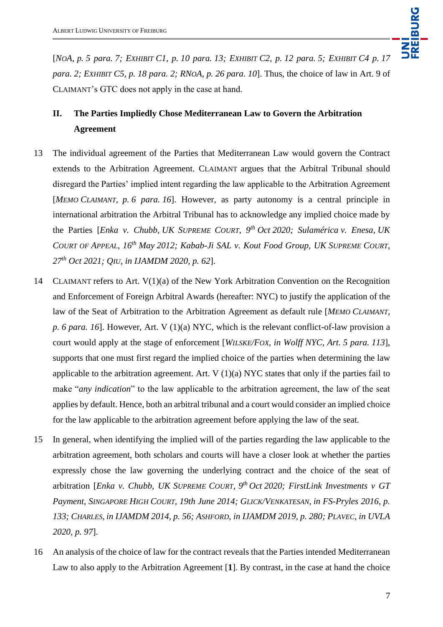UNI<br>Freiburg

[NOA, p. 5 para. 7; EXHIBIT C1, p. 10 para. 13; EXHIBIT C2, p. 12 para. 5; EXHIBIT C4 p. 17 *para. 2; EXHIBIT C5, p. 18 para. 2; RNOA, p. 26 para. 10*]. Thus, the choice of law in Art. 9 of CLAIMANT's GTC does not apply in the case at hand.

# **II. The Parties Impliedly Chose Mediterranean Law to Govern the Arbitration Agreement**

- 13 The individual agreement of the Parties that Mediterranean Law would govern the Contract extends to the Arbitration Agreement. CLAIMANT argues that the Arbitral Tribunal should disregard the Parties' implied intent regarding the law applicable to the Arbitration Agreement [*MEMO CLAIMANT, p. 6 para. 16*]. However, as party autonomy is a central principle in international arbitration the Arbitral Tribunal has to acknowledge any implied choice made by the Parties [*Enka v. Chubb, UK SUPREME COURT, 9th Oct 2020; Sulamérica v. Enesa, UK COURT OF APPEAL, 16th May 2012; Kabab-Ji SAL v. Kout Food Group, UK SUPREME COURT, 27th Oct 2021; QIU, in IJAMDM 2020, p. 62*].
- 14 CLAIMANT refers to Art. V(1)(a) of the New York Arbitration Convention on the Recognition and Enforcement of Foreign Arbitral Awards (hereafter: NYC) to justify the application of the law of the Seat of Arbitration to the Arbitration Agreement as default rule [*MEMO CLAIMANT, p. 6 para. 16*]. However, Art. V (1)(a) NYC, which is the relevant conflict-of-law provision a court would apply at the stage of enforcement [*WILSKE/FOX, in Wolff NYC, Art. 5 para. 113*], supports that one must first regard the implied choice of the parties when determining the law applicable to the arbitration agreement. Art.  $V(1)(a) NYC$  states that only if the parties fail to make "*any indication*" to the law applicable to the arbitration agreement, the law of the seat applies by default. Hence, both an arbitral tribunal and a court would consider an implied choice for the law applicable to the arbitration agreement before applying the law of the seat.
- 15 In general, when identifying the implied will of the parties regarding the law applicable to the arbitration agreement, both scholars and courts will have a closer look at whether the parties expressly chose the law governing the underlying contract and the choice of the seat of arbitration [*Enka v. Chubb, UK SUPREME COURT, 9 th Oct 2020; FirstLink Investments v GT Payment, SINGAPORE HIGH COURT, 19th June 2014; GLICK/VENKATESAN, in FS-Pryles 2016, p. 133; CHARLES, in IJAMDM 2014, p. 56; ASHFORD, in IJAMDM 2019, p. 280; PLAVEC, in UVLA 2020, p. 97*].
- 16 An analysis of the choice of law for the contract reveals that the Parties intended Mediterranean Law to also apply to the Arbitration Agreement [**1**]. By contrast, in the case at hand the choice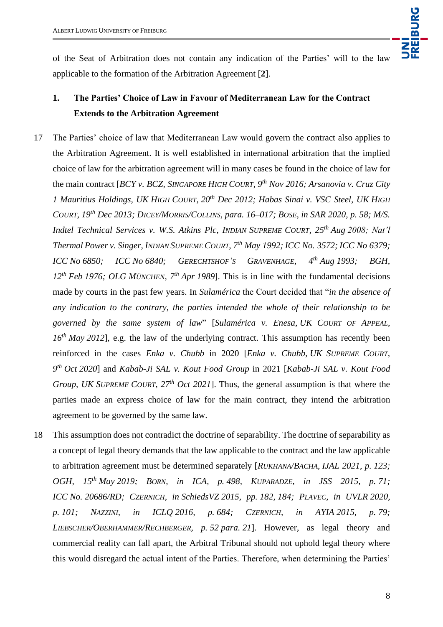UNI<br>Freiburg

of the Seat of Arbitration does not contain any indication of the Parties' will to the law applicable to the formation of the Arbitration Agreement [**2**].

# **1. The Parties' Choice of Law in Favour of Mediterranean Law for the Contract Extends to the Arbitration Agreement**

- 17 The Parties' choice of law that Mediterranean Law would govern the contract also applies to the Arbitration Agreement. It is well established in international arbitration that the implied choice of law for the arbitration agreement will in many cases be found in the choice of law for the main contract [*BCY v. BCZ, SINGAPORE HIGH COURT, 9th Nov 2016; Arsanovia v. Cruz City 1 Mauritius Holdings, UK HIGH COURT, 20th Dec 2012; Habas Sinai v. VSC Steel, UK HIGH COURT, 19th Dec 2013; DICEY/MORRIS/COLLINS, para. 16–017; BOSE, in SAR 2020, p. 58; M/S. Indtel Technical Services v. W.S. Atkins Plc, INDIAN SUPREME COURT, 25th Aug 2008; Nat'l Thermal Power v. Singer, INDIAN SUPREME COURT, 7 th May 1992; ICC No. 3572; ICC No 6379; ICC No 6850; ICC No 6840; GERECHTSHOF'S GRAVENHAGE, 4 th Aug 1993; BGH, 12th Feb 1976; OLG MÜNCHEN, 7th Apr 1989*]. This is in line with the fundamental decisions made by courts in the past few years. In *Sulamérica* the Court decided that "*in the absence of any indication to the contrary, the parties intended the whole of their relationship to be governed by the same system of law*" [*Sulamérica v. Enesa, UK COURT OF APPEAL, 16th May 2012*]*,* e.g. the law of the underlying contract. This assumption has recently been reinforced in the cases *Enka v. Chubb* in 2020 [*Enka v. Chubb, UK SUPREME COURT, 9 th Oct 2020*] and *Kabab-Ji SAL v. Kout Food Group* in 2021 [*Kabab-Ji SAL v. Kout Food Group, UK SUPREME COURT, 27th Oct 2021*]. Thus, the general assumption is that where the parties made an express choice of law for the main contract, they intend the arbitration agreement to be governed by the same law.
- 18 This assumption does not contradict the doctrine of separability. The doctrine of separability as a concept of legal theory demands that the law applicable to the contract and the law applicable to arbitration agreement must be determined separately [*RUKHANA/BACHA, IJAL 2021, p. 123; OGH, 15th May 2019; BORN, in ICA, p. 498, KUPARADZE, in JSS 2015, p. 71; ICC No. 20686/RD; CZERNICH, in SchiedsVZ 2015, pp. 182, 184; PLAVEC, in UVLR 2020, p. 101; NAZZINI, in ICLQ 2016, p. 684; CZERNICH, in AYIA 2015, p. 79; LIEBSCHER/OBERHAMMER/RECHBERGER, p. 52 para. 21*]. However, as legal theory and commercial reality can fall apart, the Arbitral Tribunal should not uphold legal theory where this would disregard the actual intent of the Parties. Therefore, when determining the Parties'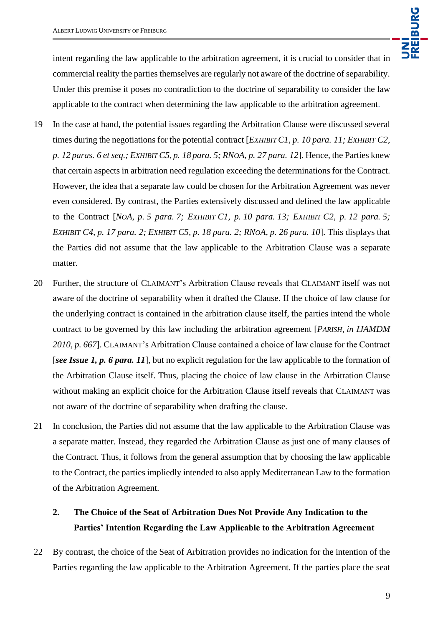intent regarding the law applicable to the arbitration agreement, it is crucial to consider that in commercial reality the parties themselves are regularly not aware of the doctrine of separability. Under this premise it poses no contradiction to the doctrine of separability to consider the law applicable to the contract when determining the law applicable to the arbitration agreement.

- 19 In the case at hand, the potential issues regarding the Arbitration Clause were discussed several times during the negotiations for the potential contract [*EXHIBIT C1, p. 10 para. 11; EXHIBIT C2, p. 12 paras. 6 et seq.; EXHIBIT C5, p. 18 para. 5; RNOA, p. 27 para. 12*]. Hence, the Parties knew that certain aspects in arbitration need regulation exceeding the determinations for the Contract. However, the idea that a separate law could be chosen for the Arbitration Agreement was never even considered. By contrast, the Parties extensively discussed and defined the law applicable to the Contract [*NOA, p. 5 para. 7; EXHIBIT C1, p. 10 para. 13; EXHIBIT C2, p. 12 para. 5; EXHIBIT C4, p. 17 para. 2; EXHIBIT C5, p. 18 para. 2; RNOA, p. 26 para. 10*]. This displays that the Parties did not assume that the law applicable to the Arbitration Clause was a separate matter.
- 20 Further, the structure of CLAIMANT's Arbitration Clause reveals that CLAIMANT itself was not aware of the doctrine of separability when it drafted the Clause. If the choice of law clause for the underlying contract is contained in the arbitration clause itself, the parties intend the whole contract to be governed by this law including the arbitration agreement [*PARISH, in IJAMDM 2010, p. 667*]. CLAIMANT's Arbitration Clause contained a choice of law clause for the Contract [*see Issue 1, p. 6 para. 11*], but no explicit regulation for the law applicable to the formation of the Arbitration Clause itself. Thus, placing the choice of law clause in the Arbitration Clause without making an explicit choice for the Arbitration Clause itself reveals that CLAIMANT was not aware of the doctrine of separability when drafting the clause.
- 21 In conclusion, the Parties did not assume that the law applicable to the Arbitration Clause was a separate matter. Instead, they regarded the Arbitration Clause as just one of many clauses of the Contract. Thus, it follows from the general assumption that by choosing the law applicable to the Contract, the parties impliedly intended to also apply Mediterranean Law to the formation of the Arbitration Agreement.

# **2. The Choice of the Seat of Arbitration Does Not Provide Any Indication to the Parties' Intention Regarding the Law Applicable to the Arbitration Agreement**

22 By contrast, the choice of the Seat of Arbitration provides no indication for the intention of the Parties regarding the law applicable to the Arbitration Agreement. If the parties place the seat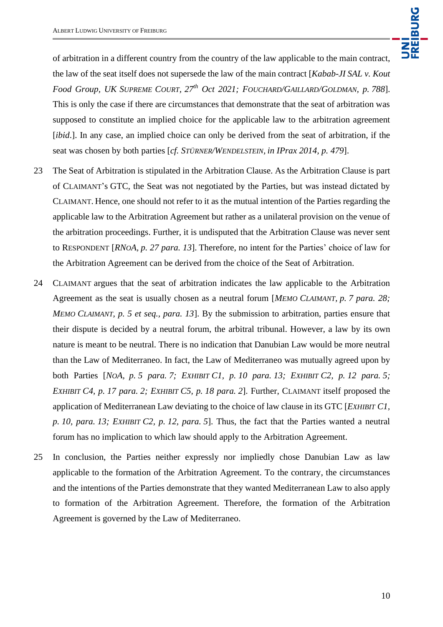of arbitration in a different country from the country of the law applicable to the main contract, the law of the seat itself does not supersede the law of the main contract [*Kabab-JI SAL v. Kout Food Group, UK SUPREME COURT, 27th Oct 2021; FOUCHARD/GAILLARD/GOLDMAN, p. 788*]. This is only the case if there are circumstances that demonstrate that the seat of arbitration was supposed to constitute an implied choice for the applicable law to the arbitration agreement [*ibid*.]. In any case, an implied choice can only be derived from the seat of arbitration, if the seat was chosen by both parties [*cf. STÜRNER/WENDELSTEIN, in IPrax 2014, p. 479*].

- 23 The Seat of Arbitration is stipulated in the Arbitration Clause. As the Arbitration Clause is part of CLAIMANT's GTC, the Seat was not negotiated by the Parties, but was instead dictated by CLAIMANT. Hence, one should not refer to it as the mutual intention of the Parties regarding the applicable law to the Arbitration Agreement but rather as a unilateral provision on the venue of the arbitration proceedings. Further, it is undisputed that the Arbitration Clause was never sent to RESPONDENT [*RNOA, p. 27 para. 13*]. Therefore, no intent for the Parties' choice of law for the Arbitration Agreement can be derived from the choice of the Seat of Arbitration.
- 24 CLAIMANT argues that the seat of arbitration indicates the law applicable to the Arbitration Agreement as the seat is usually chosen as a neutral forum [*MEMO CLAIMANT, p. 7 para. 28; MEMO CLAIMANT, p. 5 et seq., para. 13*]. By the submission to arbitration, parties ensure that their dispute is decided by a neutral forum, the arbitral tribunal. However, a law by its own nature is meant to be neutral. There is no indication that Danubian Law would be more neutral than the Law of Mediterraneo. In fact, the Law of Mediterraneo was mutually agreed upon by both Parties [*NOA, p. 5 para. 7; EXHIBIT C1, p. 10 para. 13; EXHIBIT C2, p. 12 para. 5; EXHIBIT C4, p. 17 para. 2; EXHIBIT C5, p. 18 para. 2*]. Further, CLAIMANT itself proposed the application of Mediterranean Law deviating to the choice of law clause in its GTC [*EXHIBIT C1, p. 10, para. 13; EXHIBIT C2, p. 12, para. 5*]. Thus, the fact that the Parties wanted a neutral forum has no implication to which law should apply to the Arbitration Agreement.
- 25 In conclusion, the Parties neither expressly nor impliedly chose Danubian Law as law applicable to the formation of the Arbitration Agreement. To the contrary, the circumstances and the intentions of the Parties demonstrate that they wanted Mediterranean Law to also apply to formation of the Arbitration Agreement. Therefore, the formation of the Arbitration Agreement is governed by the Law of Mediterraneo.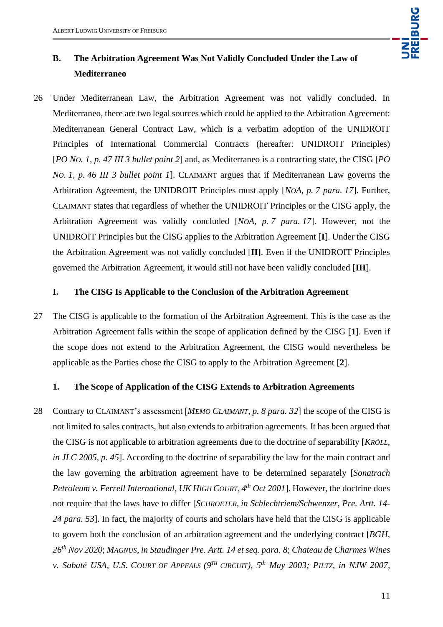

# **B. The Arbitration Agreement Was Not Validly Concluded Under the Law of Mediterraneo**

26 Under Mediterranean Law, the Arbitration Agreement was not validly concluded. In Mediterraneo, there are two legal sources which could be applied to the Arbitration Agreement: Mediterranean General Contract Law, which is a verbatim adoption of the UNIDROIT Principles of International Commercial Contracts (hereafter: UNIDROIT Principles) [*PO NO. 1, p. 47 III 3 bullet point 2*] and, as Mediterraneo is a contracting state, the CISG [*PO NO. 1, p. 46 III 3 bullet point 1*]. CLAIMANT argues that if Mediterranean Law governs the Arbitration Agreement, the UNIDROIT Principles must apply [*NOA, p. 7 para. 17*]. Further, CLAIMANT states that regardless of whether the UNIDROIT Principles or the CISG apply, the Arbitration Agreement was validly concluded [*NOA, p. 7 para. 17*]. However, not the UNIDROIT Principles but the CISG applies to the Arbitration Agreement [**I**]. Under the CISG the Arbitration Agreement was not validly concluded [**II]**. Even if the UNIDROIT Principles governed the Arbitration Agreement, it would still not have been validly concluded [**III**].

#### **I. The CISG Is Applicable to the Conclusion of the Arbitration Agreement**

27 The CISG is applicable to the formation of the Arbitration Agreement. This is the case as the Arbitration Agreement falls within the scope of application defined by the CISG [**1**]. Even if the scope does not extend to the Arbitration Agreement, the CISG would nevertheless be applicable as the Parties chose the CISG to apply to the Arbitration Agreement [**2**].

#### **1. The Scope of Application of the CISG Extends to Arbitration Agreements**

28 Contrary to CLAIMANT's assessment [*MEMO CLAIMANT, p. 8 para. 32*] the scope of the CISG is not limited to sales contracts, but also extends to arbitration agreements. It has been argued that the CISG is not applicable to arbitration agreements due to the doctrine of separability [*KRÖLL, in JLC 2005, p. 45*]. According to the doctrine of separability the law for the main contract and the law governing the arbitration agreement have to be determined separately [*Sonatrach Petroleum v. Ferrell International, UK HIGH COURT, 4 th Oct 2001*]. However, the doctrine does not require that the laws have to differ [*SCHROETER, in Schlechtriem/Schwenzer, Pre. Artt. 14- 24 para. 53*]. In fact, the majority of courts and scholars have held that the CISG is applicable to govern both the conclusion of an arbitration agreement and the underlying contract [*BGH, 26th Nov 2020*; *MAGNUS, in Staudinger Pre. Artt. 14 et seq. para. 8*; *Chateau de Charmes Wines v. Sabaté USA, U.S. COURT OF APPEALS (9TH CIRCUIT), 5th May 2003; PILTZ, in NJW 2007,*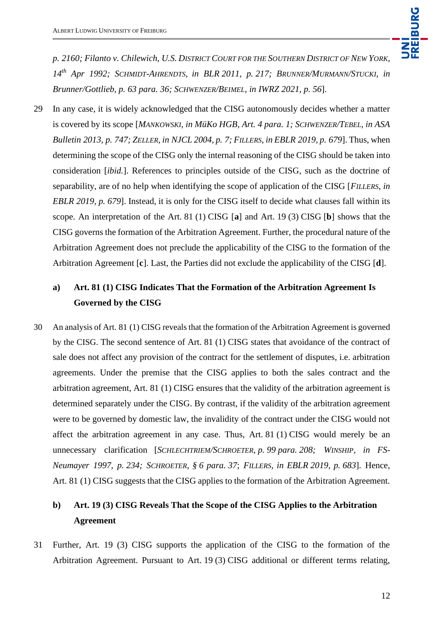*p. 2160; Filanto v. Chilewich, U.S. DISTRICT COURT FOR THE SOUTHERN DISTRICT OF NEW YORK, 14th Apr 1992; SCHMIDT-AHRENDTS, in BLR 2011, p. 217; BRUNNER/MURMANN/STUCKI, in Brunner/Gottlieb, p. 63 para. 36; SCHWENZER/BEIMEL, in IWRZ 2021, p. 56*].

29 In any case, it is widely acknowledged that the CISG autonomously decides whether a matter is covered by its scope [*MANKOWSKI, in MüKo HGB, Art. 4 para. 1; SCHWENZER/TEBEL, in ASA Bulletin 2013, p. 747; ZELLER, in NJCL 2004, p. 7; FILLERS, in EBLR 2019, p. 679*]. Thus, when determining the scope of the CISG only the internal reasoning of the CISG should be taken into consideration [*ibid.*]. References to principles outside of the CISG, such as the doctrine of separability, are of no help when identifying the scope of application of the CISG [*FILLERS, in EBLR 2019, p. 679*]. Instead, it is only for the CISG itself to decide what clauses fall within its scope. An interpretation of the Art. 81 (1) CISG [**a**] and Art. 19 (3) CISG [**b**] shows that the CISG governs the formation of the Arbitration Agreement. Further, the procedural nature of the Arbitration Agreement does not preclude the applicability of the CISG to the formation of the Arbitration Agreement [**c**]. Last, the Parties did not exclude the applicability of the CISG [**d**].

# **a) Art. 81 (1) CISG Indicates That the Formation of the Arbitration Agreement Is Governed by the CISG**

30 An analysis of Art. 81 (1) CISG reveals that the formation of the Arbitration Agreement is governed by the CISG. The second sentence of Art. 81 (1) CISG states that avoidance of the contract of sale does not affect any provision of the contract for the settlement of disputes, i.e. arbitration agreements. Under the premise that the CISG applies to both the sales contract and the arbitration agreement, Art. 81 (1) CISG ensures that the validity of the arbitration agreement is determined separately under the CISG. By contrast, if the validity of the arbitration agreement were to be governed by domestic law, the invalidity of the contract under the CISG would not affect the arbitration agreement in any case. Thus, Art. 81 (1) CISG would merely be an unnecessary clarification [*SCHLECHTRIEM/SCHROETER, p. 99 para. 208; WINSHIP, in FS-Neumayer 1997, p. 234; SCHROETER, § 6 para. 37*; *FILLERS, in EBLR 2019, p. 683*]. Hence, Art. 81 (1) CISG suggests that the CISG applies to the formation of the Arbitration Agreement.

## **b) Art. 19 (3) CISG Reveals That the Scope of the CISG Applies to the Arbitration Agreement**

31 Further, Art. 19 (3) CISG supports the application of the CISG to the formation of the Arbitration Agreement. Pursuant to Art. 19 (3) CISG additional or different terms relating,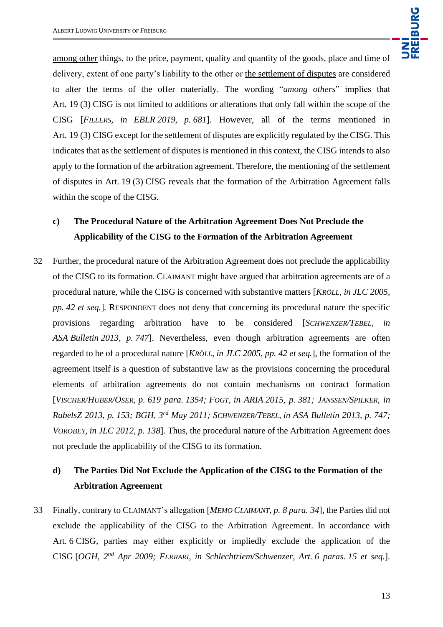among other things, to the price, payment, quality and quantity of the goods, place and time of delivery, extent of one party's liability to the other or the settlement of disputes are considered to alter the terms of the offer materially. The wording "*among others*" implies that Art. 19 (3) CISG is not limited to additions or alterations that only fall within the scope of the CISG [*FILLERS, in EBLR 2019, p. 681*]. However, all of the terms mentioned in Art. 19 (3) CISG except for the settlement of disputes are explicitly regulated by the CISG. This indicates that as the settlement of disputes is mentioned in this context, the CISG intends to also apply to the formation of the arbitration agreement. Therefore, the mentioning of the settlement of disputes in Art. 19 (3) CISG reveals that the formation of the Arbitration Agreement falls within the scope of the CISG.

## **c) The Procedural Nature of the Arbitration Agreement Does Not Preclude the Applicability of the CISG to the Formation of the Arbitration Agreement**

32 Further, the procedural nature of the Arbitration Agreement does not preclude the applicability of the CISG to its formation. CLAIMANT might have argued that arbitration agreements are of a procedural nature, while the CISG is concerned with substantive matters [*KRÖLL, in JLC 2005, pp. 42 et seq.*]*.* RESPONDENT does not deny that concerning its procedural nature the specific provisions regarding arbitration have to be considered [*SCHWENZER/TEBEL, in ASA Bulletin 2013, p. 747*]. Nevertheless, even though arbitration agreements are often regarded to be of a procedural nature [*KRÖLL, in JLC 2005, pp. 42 et seq.*], the formation of the agreement itself is a question of substantive law as the provisions concerning the procedural elements of arbitration agreements do not contain mechanisms on contract formation [VISCHER/HUBER/OSER, p. 619 para. 1354; FOGT, in ARIA 2015, p. 381; JANSSEN/SPILKER, in *RabelsZ 2013, p. 153; BGH, 3rd May 2011; SCHWENZER/TEBEL, in ASA Bulletin 2013, p. 747; VOROBEY, in JLC 2012, p. 138*]. Thus, the procedural nature of the Arbitration Agreement does not preclude the applicability of the CISG to its formation.

## **d) The Parties Did Not Exclude the Application of the CISG to the Formation of the Arbitration Agreement**

33 Finally, contrary to CLAIMANT's allegation [*MEMO CLAIMANT, p. 8 para. 34*], the Parties did not exclude the applicability of the CISG to the Arbitration Agreement. In accordance with Art. 6 CISG, parties may either explicitly or impliedly exclude the application of the CISG [*OGH, 2nd Apr 2009; FERRARI, in Schlechtriem/Schwenzer, Art. 6 paras. 15 et seq.*].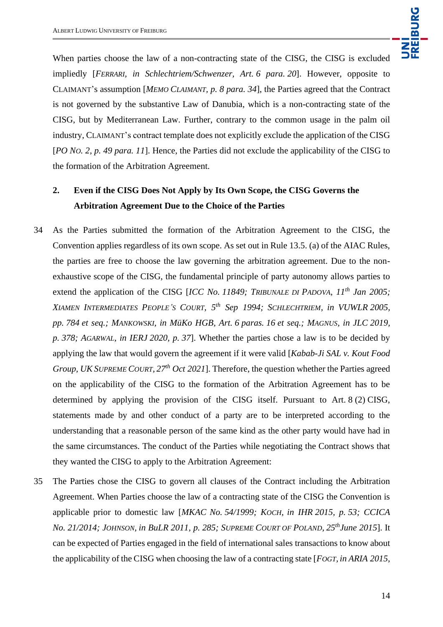

When parties choose the law of a non-contracting state of the CISG, the CISG is excluded impliedly [*FERRARI, in Schlechtriem/Schwenzer, Art. 6 para. 20*]. However, opposite to CLAIMANT's assumption [*MEMO CLAIMANT, p. 8 para. 34*], the Parties agreed that the Contract is not governed by the substantive Law of Danubia, which is a non-contracting state of the CISG, but by Mediterranean Law. Further, contrary to the common usage in the palm oil industry, CLAIMANT's contract template does not explicitly exclude the application of the CISG [*PO NO. 2, p. 49 para. 11*]. Hence, the Parties did not exclude the applicability of the CISG to the formation of the Arbitration Agreement.

# **2. Even if the CISG Does Not Apply by Its Own Scope, the CISG Governs the Arbitration Agreement Due to the Choice of the Parties**

- 34 As the Parties submitted the formation of the Arbitration Agreement to the CISG, the Convention applies regardless of its own scope. As set out in Rule 13.5. (a) of the AIAC Rules, the parties are free to choose the law governing the arbitration agreement. Due to the nonexhaustive scope of the CISG, the fundamental principle of party autonomy allows parties to extend the application of the CISG [*ICC No. 11849; TRIBUNALE DI PADOVA, 11th Jan 2005; XIAMEN INTERMEDIATES PEOPLE'S COURT, 5th Sep 1994; SCHLECHTRIEM, in VUWLR 2005, pp. 784 et seq.; MANKOWSKI, in MüKo HGB, Art. 6 paras. 16 et seq.; MAGNUS, in JLC 2019, p. 378; AGARWAL, in IERJ 2020, p. 37*]. Whether the parties chose a law is to be decided by applying the law that would govern the agreement if it were valid [*Kabab-Ji SAL v. Kout Food Group, UK SUPREME COURT, 27th Oct 2021*]. Therefore, the question whether the Parties agreed on the applicability of the CISG to the formation of the Arbitration Agreement has to be determined by applying the provision of the CISG itself. Pursuant to Art. 8 (2) CISG, statements made by and other conduct of a party are to be interpreted according to the understanding that a reasonable person of the same kind as the other party would have had in the same circumstances. The conduct of the Parties while negotiating the Contract shows that they wanted the CISG to apply to the Arbitration Agreement:
- 35 The Parties chose the CISG to govern all clauses of the Contract including the Arbitration Agreement. When Parties choose the law of a contracting state of the CISG the Convention is applicable prior to domestic law [*MKAC No. 54/1999; KOCH, in IHR 2015, p. 53; CCICA No. 21/2014; JOHNSON, in BuLR 2011, p. 285; SUPREME COURT OF POLAND, 25thJune 2015*]. It can be expected of Parties engaged in the field of international sales transactions to know about the applicability of the CISG when choosing the law of a contracting state [*FOGT, in ARIA 2015,*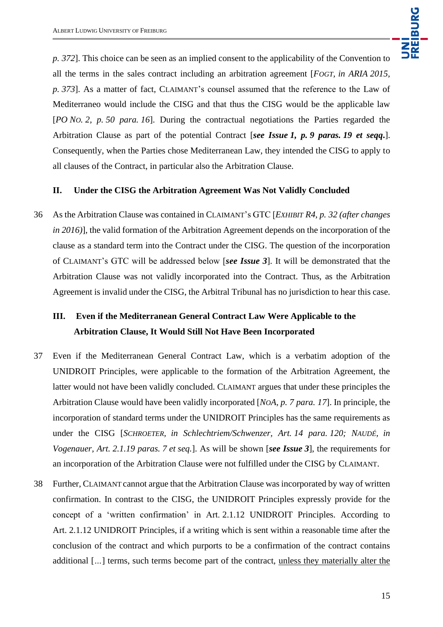*p. 372*]. This choice can be seen as an implied consent to the applicability of the Convention to all the terms in the sales contract including an arbitration agreement [*FOGT, in ARIA 2015, p. 373*]. As a matter of fact, CLAIMANT's counsel assumed that the reference to the Law of Mediterraneo would include the CISG and that thus the CISG would be the applicable law [*PO NO. 2, p. 50 para. 16*]. During the contractual negotiations the Parties regarded the Arbitration Clause as part of the potential Contract [*see Issue 1, p. 9 paras. 19 et seqq***.**]. Consequently, when the Parties chose Mediterranean Law, they intended the CISG to apply to all clauses of the Contract, in particular also the Arbitration Clause.

### **II. Under the CISG the Arbitration Agreement Was Not Validly Concluded**

36 As the Arbitration Clause was contained in CLAIMANT's GTC [*EXHIBIT R4, p. 32 (after changes in 2016)*], the valid formation of the Arbitration Agreement depends on the incorporation of the clause as a standard term into the Contract under the CISG. The question of the incorporation of CLAIMANT's GTC will be addressed below [*see Issue 3*]. It will be demonstrated that the Arbitration Clause was not validly incorporated into the Contract. Thus, as the Arbitration Agreement is invalid under the CISG, the Arbitral Tribunal has no jurisdiction to hear this case.

## **III. Even if the Mediterranean General Contract Law Were Applicable to the Arbitration Clause, It Would Still Not Have Been Incorporated**

- 37 Even if the Mediterranean General Contract Law, which is a verbatim adoption of the UNIDROIT Principles, were applicable to the formation of the Arbitration Agreement, the latter would not have been validly concluded. CLAIMANT argues that under these principles the Arbitration Clause would have been validly incorporated [*NOA, p. 7 para. 17*]. In principle, the incorporation of standard terms under the UNIDROIT Principles has the same requirements as under the CISG [*SCHROETER, in Schlechtriem/Schwenzer, Art. 14 para. 120; NAUDÉ, in Vogenauer, Art. 2.1.19 paras. 7 et seq.*]. As will be shown [*see Issue 3*], the requirements for an incorporation of the Arbitration Clause were not fulfilled under the CISG by CLAIMANT.
- 38 Further, CLAIMANT cannot argue that the Arbitration Clause was incorporated by way of written confirmation. In contrast to the CISG, the UNIDROIT Principles expressly provide for the concept of a 'written confirmation' in Art. 2.1.12 UNIDROIT Principles. According to Art. 2.1.12 UNIDROIT Principles, if a writing which is sent within a reasonable time after the conclusion of the contract and which purports to be a confirmation of the contract contains additional [*…*] terms, such terms become part of the contract, unless they materially alter the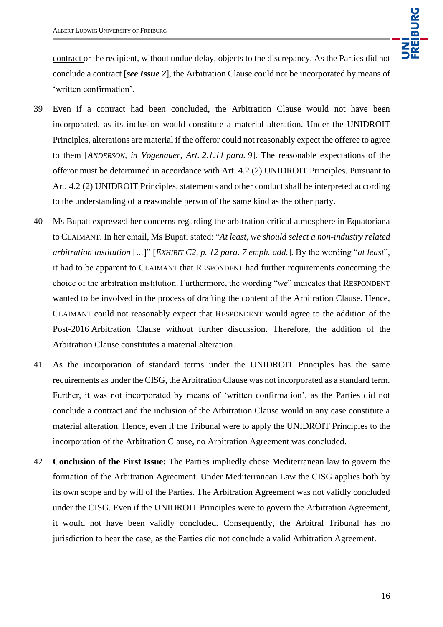contract or the recipient, without undue delay, objects to the discrepancy. As the Parties did not conclude a contract [*see Issue 2*], the Arbitration Clause could not be incorporated by means of 'written confirmation'.

- 39 Even if a contract had been concluded, the Arbitration Clause would not have been incorporated, as its inclusion would constitute a material alteration. Under the UNIDROIT Principles, alterations are material if the offeror could not reasonably expect the offeree to agree to them [*ANDERSON, in Vogenauer, Art. 2.1.11 para. 9*]. The reasonable expectations of the offeror must be determined in accordance with Art. 4.2 (2) UNIDROIT Principles. Pursuant to Art. 4.2 (2) UNIDROIT Principles, statements and other conduct shall be interpreted according to the understanding of a reasonable person of the same kind as the other party.
- 40 Ms Bupati expressed her concerns regarding the arbitration critical atmosphere in Equatoriana to CLAIMANT. In her email, Ms Bupati stated: "*At least, we should select a non-industry related arbitration institution* [*…*]" [*EXHIBIT C2, p. 12 para. 7 emph. add.*]. By the wording "*at least*", it had to be apparent to CLAIMANT that RESPONDENT had further requirements concerning the choice of the arbitration institution. Furthermore, the wording "*we*" indicates that RESPONDENT wanted to be involved in the process of drafting the content of the Arbitration Clause. Hence, CLAIMANT could not reasonably expect that RESPONDENT would agree to the addition of the Post-2016 Arbitration Clause without further discussion. Therefore, the addition of the Arbitration Clause constitutes a material alteration.
- 41 As the incorporation of standard terms under the UNIDROIT Principles has the same requirements as under the CISG, the Arbitration Clause was not incorporated as a standard term. Further, it was not incorporated by means of 'written confirmation', as the Parties did not conclude a contract and the inclusion of the Arbitration Clause would in any case constitute a material alteration. Hence, even if the Tribunal were to apply the UNIDROIT Principles to the incorporation of the Arbitration Clause, no Arbitration Agreement was concluded.
- 42 **Conclusion of the First Issue:** The Parties impliedly chose Mediterranean law to govern the formation of the Arbitration Agreement. Under Mediterranean Law the CISG applies both by its own scope and by will of the Parties. The Arbitration Agreement was not validly concluded under the CISG. Even if the UNIDROIT Principles were to govern the Arbitration Agreement, it would not have been validly concluded. Consequently, the Arbitral Tribunal has no jurisdiction to hear the case, as the Parties did not conclude a valid Arbitration Agreement.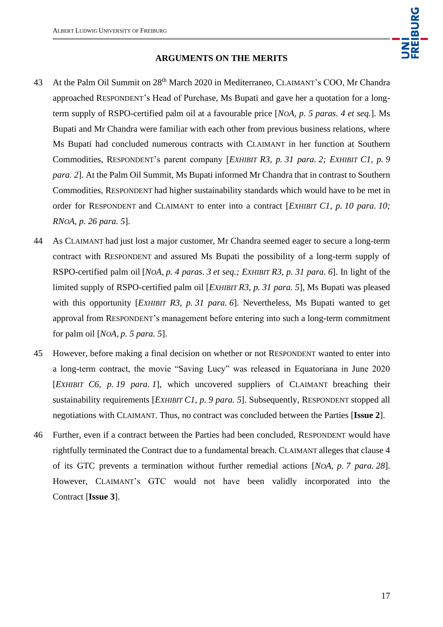

#### **ARGUMENTS ON THE MERITS**

- 43 At the Palm Oil Summit on 28<sup>th</sup> March 2020 in Mediterraneo, CLAIMANT's COO, Mr Chandra approached RESPONDENT's Head of Purchase, Ms Bupati and gave her a quotation for a longterm supply of RSPO-certified palm oil at a favourable price [*NOA, p. 5 paras. 4 et seq.*]. Ms Bupati and Mr Chandra were familiar with each other from previous business relations, where Ms Bupati had concluded numerous contracts with CLAIMANT in her function at Southern Commodities, RESPONDENT's parent company [*EXHIBIT R3, p. 31 para. 2; EXHIBIT C1, p. 9 para. 2*]. At the Palm Oil Summit, Ms Bupati informed Mr Chandra that in contrast to Southern Commodities, RESPONDENT had higher sustainability standards which would have to be met in order for RESPONDENT and CLAIMANT to enter into a contract [*EXHIBIT C1, p. 10 para. 10; RNOA, p. 26 para. 5*].
- 44 As CLAIMANT had just lost a major customer, Mr Chandra seemed eager to secure a long-term contract with RESPONDENT and assured Ms Bupati the possibility of a long-term supply of RSPO-certified palm oil [*NOA, p. 4 paras. 3 et seq.; EXHIBIT R3, p. 31 para. 6*]. In light of the limited supply of RSPO-certified palm oil [*EXHIBIT R3*, *p. 31 para. 5*], Ms Bupati was pleased with this opportunity [*EXHIBIT R3, p. 31 para. 6*]. Nevertheless, Ms Bupati wanted to get approval from RESPONDENT's management before entering into such a long-term commitment for palm oil [*NOA, p. 5 para. 5*].
- 45 However, before making a final decision on whether or not RESPONDENT wanted to enter into a long-term contract, the movie "Saving Lucy" was released in Equatoriana in June 2020 [*EXHIBIT C6, p. 19 para. 1*], which uncovered suppliers of CLAIMANT breaching their sustainability requirements [*EXHIBIT C1, p. 9 para. 5*]. Subsequently, RESPONDENT stopped all negotiations with CLAIMANT. Thus, no contract was concluded between the Parties [**Issue 2**].
- 46 Further, even if a contract between the Parties had been concluded, RESPONDENT would have rightfully terminated the Contract due to a fundamental breach. CLAIMANT alleges that clause 4 of its GTC prevents a termination without further remedial actions [*NOA, p. 7 para. 28*]. However, CLAIMANT's GTC would not have been validly incorporated into the Contract [**Issue 3**].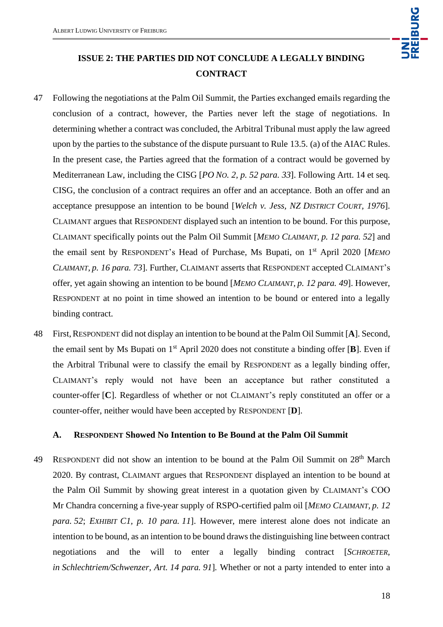

# **ISSUE 2: THE PARTIES DID NOT CONCLUDE A LEGALLY BINDING CONTRACT**

- 47 Following the negotiations at the Palm Oil Summit, the Parties exchanged emails regarding the conclusion of a contract, however, the Parties never left the stage of negotiations. In determining whether a contract was concluded, the Arbitral Tribunal must apply the law agreed upon by the parties to the substance of the dispute pursuant to Rule 13.5. (a) of the AIAC Rules. In the present case, the Parties agreed that the formation of a contract would be governed by Mediterranean Law, including the CISG [*PO NO. 2, p. 52 para. 33*]. Following Artt. 14 et seq*.*  CISG, the conclusion of a contract requires an offer and an acceptance. Both an offer and an acceptance presuppose an intention to be bound [*Welch v. Jess, NZ DISTRICT COURT, 1976*]. CLAIMANT argues that RESPONDENT displayed such an intention to be bound. For this purpose, CLAIMANT specifically points out the Palm Oil Summit [*MEMO CLAIMANT, p. 12 para. 52*] and the email sent by RESPONDENT's Head of Purchase, Ms Bupati, on 1st April 2020 [*MEMO CLAIMANT, p. 16 para. 73*]. Further, CLAIMANT asserts that RESPONDENT accepted CLAIMANT's offer, yet again showing an intention to be bound [*MEMO CLAIMANT, p. 12 para. 49*]. However, RESPONDENT at no point in time showed an intention to be bound or entered into a legally binding contract.
- 48 First,RESPONDENT did not display an intention to be bound at the Palm Oil Summit [**A**]. Second, the email sent by Ms Bupati on 1st April 2020 does not constitute a binding offer [**B**]. Even if the Arbitral Tribunal were to classify the email by RESPONDENT as a legally binding offer, CLAIMANT's reply would not have been an acceptance but rather constituted a counter-offer [**C**]. Regardless of whether or not CLAIMANT's reply constituted an offer or a counter-offer, neither would have been accepted by RESPONDENT [**D**].

### **A. RESPONDENT Showed No Intention to Be Bound at the Palm Oil Summit**

49 RESPONDENT did not show an intention to be bound at the Palm Oil Summit on 28<sup>th</sup> March 2020. By contrast, CLAIMANT argues that RESPONDENT displayed an intention to be bound at the Palm Oil Summit by showing great interest in a quotation given by CLAIMANT's COO Mr Chandra concerning a five-year supply of RSPO-certified palm oil [*MEMO CLAIMANT, p. 12 para. 52*; *EXHIBIT C1, p. 10 para. 11*]. However, mere interest alone does not indicate an intention to be bound, as an intention to be bound draws the distinguishing line between contract negotiations and the will to enter a legally binding contract [*SCHROETER, in Schlechtriem/Schwenzer, Art. 14 para. 91*]*.* Whether or not a party intended to enter into a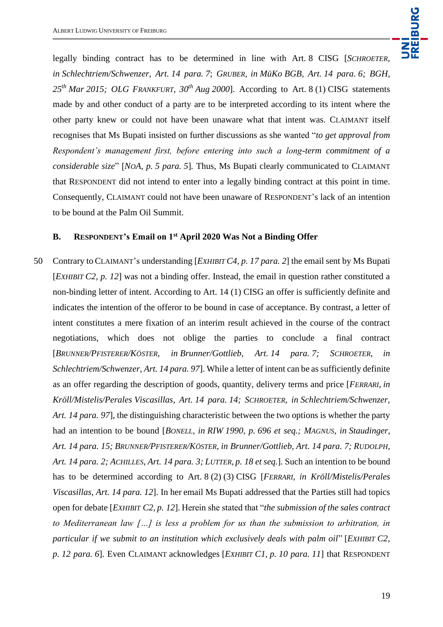

legally binding contract has to be determined in line with Art. 8 CISG [*SCHROETER, in Schlechtriem/Schwenzer, Art. 14 para. 7*; *GRUBER, in MüKo BGB, Art. 14 para. 6; BGH, 25th Mar 2015; OLG FRANKFURT, 30th Aug 2000*]. According to Art. 8 (1) CISG statements made by and other conduct of a party are to be interpreted according to its intent where the other party knew or could not have been unaware what that intent was. CLAIMANT itself recognises that Ms Bupati insisted on further discussions as she wanted "*to get approval from Respondent's management first, before entering into such a long-term commitment of a considerable size*" [*NOA, p. 5 para. 5*]*.* Thus, Ms Bupati clearly communicated to CLAIMANT that RESPONDENT did not intend to enter into a legally binding contract at this point in time. Consequently, CLAIMANT could not have been unaware of RESPONDENT's lack of an intention to be bound at the Palm Oil Summit.

### **B. RESPONDENT's Email on 1st April 2020 Was Not a Binding Offer**

50 Contrary to CLAIMANT's understanding [*EXHIBIT C4, p. 17 para. 2*] the email sent by Ms Bupati [*EXHIBIT C2, p. 12*] was not a binding offer. Instead, the email in question rather constituted a non-binding letter of intent. According to Art. 14 (1) CISG an offer is sufficiently definite and indicates the intention of the offeror to be bound in case of acceptance. By contrast, a letter of intent constitutes a mere fixation of an interim result achieved in the course of the contract negotiations, which does not oblige the parties to conclude a final contract [*BRUNNER/PFISTERER/KÖSTER, in Brunner/Gottlieb, Art. 14 para. 7; SCHROETER, in Schlechtriem/Schwenzer, Art. 14 para. 97*]. While a letter of intent can be as sufficiently definite as an offer regarding the description of goods, quantity, delivery terms and price [*FERRARI, in Kröll/Mistelis/Perales Viscasillas, Art. 14 para. 14; SCHROETER, in Schlechtriem/Schwenzer, Art. 14 para. 97*], the distinguishing characteristic between the two options is whether the party had an intention to be bound [*BONELL, in RIW 1990, p. 696 et seq.; MAGNUS, in Staudinger, Art. 14 para. 15; BRUNNER/PFISTERER/KÖSTER, in Brunner/Gottlieb, Art. 14 para. 7; RUDOLPH, Art. 14 para. 2; ACHILLES, Art. 14 para. 3; LUTTER, p. 18 et seq.*]*.* Such an intention to be bound has to be determined according to Art. 8 (2) (3) CISG [*FERRARI, in Kröll/Mistelis/Perales Viscasillas, Art. 14 para. 12*]. In her email Ms Bupati addressed that the Parties still had topics open for debate [*EXHIBIT C2, p. 12*]. Herein she stated that "*the submission of the sales contract to Mediterranean law […] is less a problem for us than the submission to arbitration, in particular if we submit to an institution which exclusively deals with palm oil*" [*EXHIBIT C2, p. 12 para. 6*]. Even CLAIMANT acknowledges [*EXHIBIT C1, p. 10 para. 11*] that RESPONDENT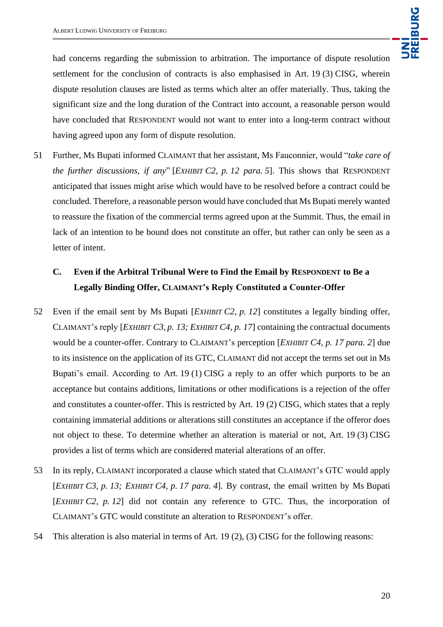had concerns regarding the submission to arbitration. The importance of dispute resolution settlement for the conclusion of contracts is also emphasised in Art. 19 (3) CISG, wherein dispute resolution clauses are listed as terms which alter an offer materially. Thus, taking the significant size and the long duration of the Contract into account, a reasonable person would have concluded that RESPONDENT would not want to enter into a long-term contract without having agreed upon any form of dispute resolution.

51 Further, Ms Bupati informed CLAIMANT that her assistant, Ms Fauconnier, would "*take care of the further discussions, if any*" [*EXHIBIT C2, p. 12 para. 5*]. This shows that RESPONDENT anticipated that issues might arise which would have to be resolved before a contract could be concluded. Therefore, a reasonable person would have concluded that Ms Bupati merely wanted to reassure the fixation of the commercial terms agreed upon at the Summit. Thus, the email in lack of an intention to be bound does not constitute an offer, but rather can only be seen as a letter of intent.

# **C. Even if the Arbitral Tribunal Were to Find the Email by RESPONDENT to Be a Legally Binding Offer, CLAIMANT's Reply Constituted a Counter-Offer**

- 52 Even if the email sent by Ms Bupati [*EXHIBIT C2, p. 12*] constitutes a legally binding offer, CLAIMANT's reply [*EXHIBIT C3, p. 13; EXHIBIT C4, p. 17*] containing the contractual documents would be a counter-offer. Contrary to CLAIMANT's perception [*EXHIBIT C4, p. 17 para. 2*] due to its insistence on the application of its GTC, CLAIMANT did not accept the terms set out in Ms Bupati's email. According to Art. 19 (1) CISG a reply to an offer which purports to be an acceptance but contains additions, limitations or other modifications is a rejection of the offer and constitutes a counter-offer. This is restricted by Art. 19 (2) CISG, which states that a reply containing immaterial additions or alterations still constitutes an acceptance if the offeror does not object to these. To determine whether an alteration is material or not, Art. 19 (3) CISG provides a list of terms which are considered material alterations of an offer.
- 53 In its reply, CLAIMANT incorporated a clause which stated that CLAIMANT's GTC would apply [*EXHIBIT C3, p. 13; EXHIBIT C4, p. 17 para. 4*]. By contrast, the email written by Ms Bupati [*EXHIBIT C2, p. 12*] did not contain any reference to GTC. Thus, the incorporation of CLAIMANT's GTC would constitute an alteration to RESPONDENT's offer.
- 54 This alteration is also material in terms of Art. 19 (2), (3) CISG for the following reasons: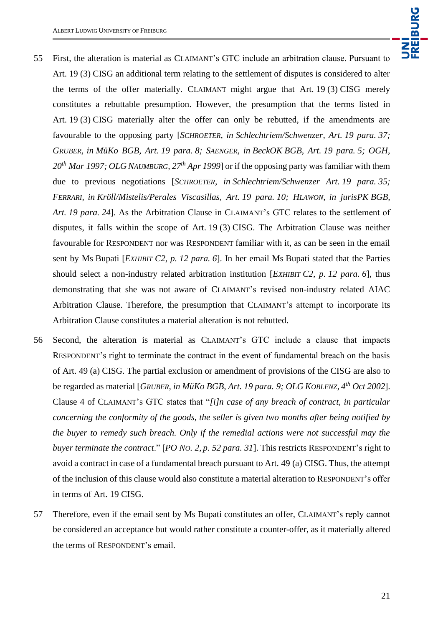

- 55 First, the alteration is material as CLAIMANT's GTC include an arbitration clause. Pursuant to Art. 19 (3) CISG an additional term relating to the settlement of disputes is considered to alter the terms of the offer materially. CLAIMANT might argue that Art. 19 (3) CISG merely constitutes a rebuttable presumption. However, the presumption that the terms listed in Art. 19 (3) CISG materially alter the offer can only be rebutted, if the amendments are favourable to the opposing party [*SCHROETER, in Schlechtriem/Schwenzer, Art. 19 para. 37; GRUBER, in MüKo BGB, Art. 19 para. 8; SAENGER, in BeckOK BGB, Art. 19 para. 5; OGH, 20th Mar 1997; OLG NAUMBURG, 27th Apr 1999*] or if the opposing party was familiar with them due to previous negotiations [*SCHROETER, in Schlechtriem/Schwenzer Art. 19 para. 35; FERRARI, in Kröll/Mistelis/Perales Viscasillas, Art. 19 para. 10; HLAWON, in jurisPK BGB, Art. 19 para. 24*]*.* As the Arbitration Clause in CLAIMANT's GTC relates to the settlement of disputes, it falls within the scope of Art. 19 (3) CISG. The Arbitration Clause was neither favourable for RESPONDENT nor was RESPONDENT familiar with it, as can be seen in the email sent by Ms Bupati [*EXHIBIT C2, p. 12 para. 6*]. In her email Ms Bupati stated that the Parties should select a non-industry related arbitration institution [*EXHIBIT C2, p. 12 para. 6*], thus demonstrating that she was not aware of CLAIMANT's revised non-industry related AIAC Arbitration Clause. Therefore, the presumption that CLAIMANT's attempt to incorporate its Arbitration Clause constitutes a material alteration is not rebutted.
- 56 Second, the alteration is material as CLAIMANT's GTC include a clause that impacts RESPONDENT's right to terminate the contract in the event of fundamental breach on the basis of Art. 49 (a) CISG. The partial exclusion or amendment of provisions of the CISG are also to be regarded as material [*GRUBER, in MüKo BGB, Art. 19 para. 9; OLG KOBLENZ, 4 th Oct 2002*]. Clause 4 of CLAIMANT's GTC states that "*[i]n case of any breach of contract, in particular concerning the conformity of the goods, the seller is given two months after being notified by the buyer to remedy such breach. Only if the remedial actions were not successful may the buyer terminate the contract*." [*PO NO. 2, p. 52 para. 31*]. This restricts RESPONDENT's right to avoid a contract in case of a fundamental breach pursuant to Art. 49 (a) CISG. Thus, the attempt of the inclusion of this clause would also constitute a material alteration to RESPONDENT's offer in terms of Art. 19 CISG.
- 57 Therefore, even if the email sent by Ms Bupati constitutes an offer, CLAIMANT's reply cannot be considered an acceptance but would rather constitute a counter-offer, as it materially altered the terms of RESPONDENT's email.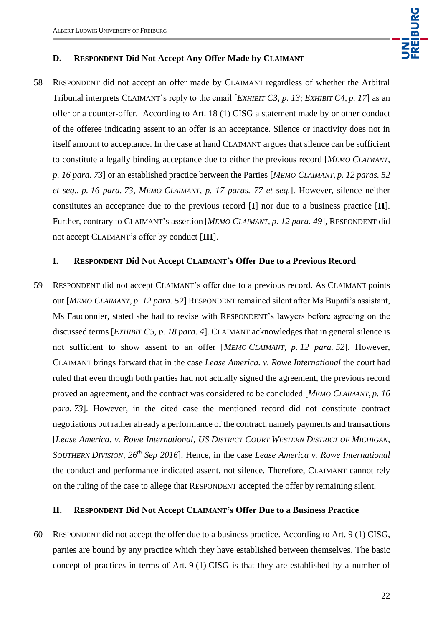

#### **D. RESPONDENT Did Not Accept Any Offer Made by CLAIMANT**

58 RESPONDENT did not accept an offer made by CLAIMANT regardless of whether the Arbitral Tribunal interprets CLAIMANT's reply to the email [*EXHIBIT C3, p. 13; EXHIBIT C4, p. 17*] as an offer or a counter-offer. According to Art. 18 (1) CISG a statement made by or other conduct of the offeree indicating assent to an offer is an acceptance. Silence or inactivity does not in itself amount to acceptance. In the case at hand CLAIMANT argues that silence can be sufficient to constitute a legally binding acceptance due to either the previous record [*MEMO CLAIMANT, p. 16 para. 73*] or an established practice between the Parties [*MEMO CLAIMANT, p. 12 paras. 52 et seq., p. 16 para. 73, MEMO CLAIMANT, p. 17 paras. 77 et seq.*]. However, silence neither constitutes an acceptance due to the previous record [**I**] nor due to a business practice [**II**]. Further, contrary to CLAIMANT's assertion [*MEMO CLAIMANT, p. 12 para. 49*], RESPONDENT did not accept CLAIMANT's offer by conduct [**III**].

### **I. RESPONDENT Did Not Accept CLAIMANT's Offer Due to a Previous Record**

59 RESPONDENT did not accept CLAIMANT's offer due to a previous record. As CLAIMANT points out [*MEMO CLAIMANT, p. 12 para. 52*] RESPONDENT remained silent after Ms Bupati's assistant, Ms Fauconnier, stated she had to revise with RESPONDENT's lawyers before agreeing on the discussed terms [*EXHIBIT C5, p. 18 para. 4*]. CLAIMANT acknowledges that in general silence is not sufficient to show assent to an offer [*MEMO CLAIMANT, p. 12 para. 52*]. However, CLAIMANT brings forward that in the case *Lease America. v. Rowe International* the court had ruled that even though both parties had not actually signed the agreement, the previous record proved an agreement, and the contract was considered to be concluded [*MEMO CLAIMANT, p. 16 para. 73*]. However, in the cited case the mentioned record did not constitute contract negotiations but rather already a performance of the contract, namely payments and transactions [*Lease America. v. Rowe International, US DISTRICT COURT WESTERN DISTRICT OF MICHIGAN, SOUTHERN DIVISION*, *26th Sep 2016*]. Hence, in the case *Lease America v. Rowe International* the conduct and performance indicated assent, not silence. Therefore, CLAIMANT cannot rely on the ruling of the case to allege that RESPONDENT accepted the offer by remaining silent.

#### **II. RESPONDENT Did Not Accept CLAIMANT's Offer Due to a Business Practice**

60 RESPONDENT did not accept the offer due to a business practice. According to Art. 9 (1) CISG, parties are bound by any practice which they have established between themselves. The basic concept of practices in terms of Art. 9 (1) CISG is that they are established by a number of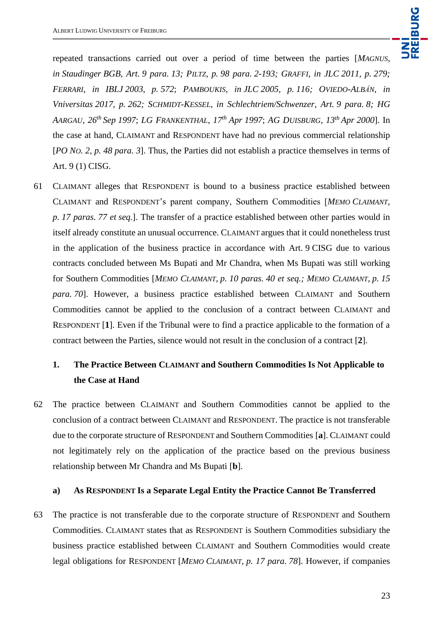repeated transactions carried out over a period of time between the parties [*MAGNUS, in Staudinger BGB, Art. 9 para. 13; PILTZ, p. 98 para. 2-193; GRAFFI, in JLC 2011, p. 279; FERRARI, in IBLJ 2003, p. 572*; *PAMBOUKIS, in JLC 2005, p. 116; OVIEDO-ALBÁN, in Vniversitas 2017, p. 262; SCHMIDT-KESSEL, in Schlechtriem/Schwenzer, Art. 9 para. 8; HG AARGAU, 26th Sep 1997*; *LG FRANKENTHAL, 17 th Apr 1997*; *AG DUISBURG, 13th Apr 2000*]. In the case at hand, CLAIMANT and RESPONDENT have had no previous commercial relationship [*PO NO. 2, p. 48 para. 3*]. Thus, the Parties did not establish a practice themselves in terms of Art. 9 (1) CISG.

61 CLAIMANT alleges that RESPONDENT is bound to a business practice established between CLAIMANT and RESPONDENT's parent company, Southern Commodities [*MEMO CLAIMANT, p. 17 paras. 77 et seq.*]. The transfer of a practice established between other parties would in itself already constitute an unusual occurrence. CLAIMANT argues that it could nonetheless trust in the application of the business practice in accordance with Art. 9 CISG due to various contracts concluded between Ms Bupati and Mr Chandra, when Ms Bupati was still working for Southern Commodities [*MEMO CLAIMANT, p. 10 paras. 40 et seq.; MEMO CLAIMANT, p. 15 para. 70*]. However, a business practice established between CLAIMANT and Southern Commodities cannot be applied to the conclusion of a contract between CLAIMANT and RESPONDENT [**1**]. Even if the Tribunal were to find a practice applicable to the formation of a contract between the Parties, silence would not result in the conclusion of a contract [**2**].

## **1. The Practice Between CLAIMANT and Southern Commodities Is Not Applicable to the Case at Hand**

62 The practice between CLAIMANT and Southern Commodities cannot be applied to the conclusion of a contract between CLAIMANT and RESPONDENT. The practice is not transferable due to the corporate structure of RESPONDENT and Southern Commodities [**a**]. CLAIMANT could not legitimately rely on the application of the practice based on the previous business relationship between Mr Chandra and Ms Bupati [**b**].

#### **a) As RESPONDENT Is a Separate Legal Entity the Practice Cannot Be Transferred**

63 The practice is not transferable due to the corporate structure of RESPONDENT and Southern Commodities. CLAIMANT states that as RESPONDENT is Southern Commodities subsidiary the business practice established between CLAIMANT and Southern Commodities would create legal obligations for RESPONDENT [*MEMO CLAIMANT, p. 17 para. 78*]. However, if companies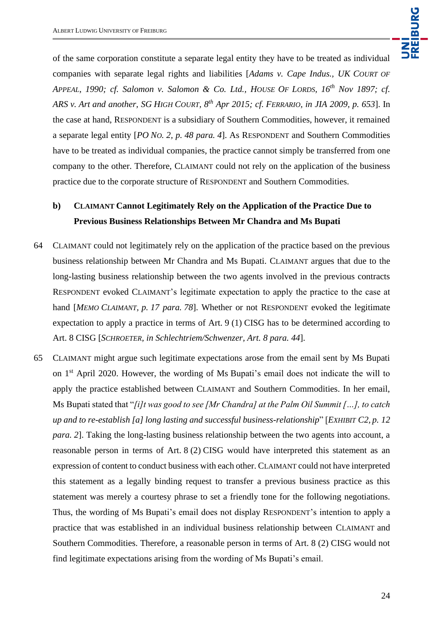

of the same corporation constitute a separate legal entity they have to be treated as individual companies with separate legal rights and liabilities [*Adams v. Cape Indus., UK COURT OF APPEAL, 1990; cf. Salomon v. Salomon & Co. Ltd., HOUSE OF LORDS, 16th Nov 1897; cf. ARS v. Art and another, SG HIGH COURT, 8th Apr 2015; cf. FERRARIO, in JIA 2009, p. 653*]. In the case at hand, RESPONDENT is a subsidiary of Southern Commodities, however, it remained a separate legal entity [*PO NO. 2, p. 48 para. 4*]. As RESPONDENT and Southern Commodities have to be treated as individual companies, the practice cannot simply be transferred from one company to the other. Therefore, CLAIMANT could not rely on the application of the business practice due to the corporate structure of RESPONDENT and Southern Commodities.

## **b) CLAIMANT Cannot Legitimately Rely on the Application of the Practice Due to Previous Business Relationships Between Mr Chandra and Ms Bupati**

- 64 CLAIMANT could not legitimately rely on the application of the practice based on the previous business relationship between Mr Chandra and Ms Bupati. CLAIMANT argues that due to the long-lasting business relationship between the two agents involved in the previous contracts RESPONDENT evoked CLAIMANT's legitimate expectation to apply the practice to the case at hand [*MEMO CLAIMANT, p. 17 para. 78*]. Whether or not RESPONDENT evoked the legitimate expectation to apply a practice in terms of Art. 9 (1) CISG has to be determined according to Art. 8 CISG [*SCHROETER, in Schlechtriem/Schwenzer, Art. 8 para. 44*].
- 65 CLAIMANT might argue such legitimate expectations arose from the email sent by Ms Bupati on 1st April 2020. However, the wording of Ms Bupati's email does not indicate the will to apply the practice established between CLAIMANT and Southern Commodities. In her email, Ms Bupati stated that "*[i]t was good to see [Mr Chandra] at the Palm Oil Summit […], to catch up and to re-establish [a] long lasting and successful business-relationship*" [*EXHIBIT C2, p. 12 para. 2*]. Taking the long-lasting business relationship between the two agents into account, a reasonable person in terms of Art. 8 (2) CISG would have interpreted this statement as an expression of content to conduct business with each other. CLAIMANT could not have interpreted this statement as a legally binding request to transfer a previous business practice as this statement was merely a courtesy phrase to set a friendly tone for the following negotiations. Thus, the wording of Ms Bupati's email does not display RESPONDENT's intention to apply a practice that was established in an individual business relationship between CLAIMANT and Southern Commodities. Therefore, a reasonable person in terms of Art. 8 (2) CISG would not find legitimate expectations arising from the wording of Ms Bupati's email.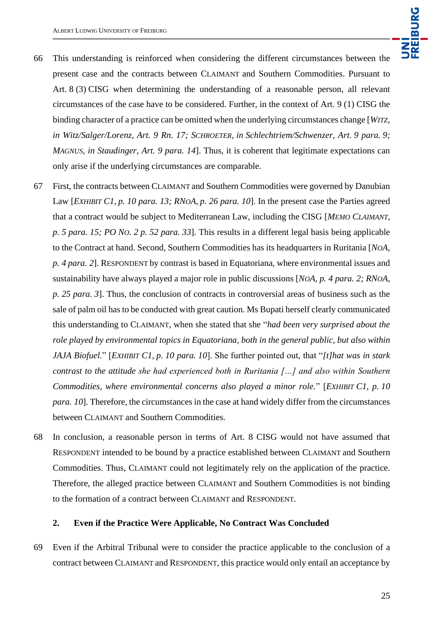

- 66 This understanding is reinforced when considering the different circumstances between the present case and the contracts between CLAIMANT and Southern Commodities. Pursuant to Art. 8 (3) CISG when determining the understanding of a reasonable person, all relevant circumstances of the case have to be considered. Further, in the context of Art. 9 (1) CISG the binding character of a practice can be omitted when the underlying circumstances change [*WITZ, in Witz/Salger/Lorenz, Art. 9 Rn. 17; SCHROETER, in Schlechtriem/Schwenzer, Art. 9 para. 9; MAGNUS, in Staudinger, Art. 9 para. 14*]. Thus, it is coherent that legitimate expectations can only arise if the underlying circumstances are comparable.
- 67 First, the contracts between CLAIMANT and Southern Commodities were governed by Danubian Law [*EXHIBIT C1, p. 10 para. 13; RNOA, p. 26 para. 10*]. In the present case the Parties agreed that a contract would be subject to Mediterranean Law, including the CISG [*MEMO CLAIMANT, p. 5 para. 15; PO NO. 2 p. 52 para. 33*]. This results in a different legal basis being applicable to the Contract at hand. Second, Southern Commodities has its headquarters in Ruritania [*NOA, p. 4 para. 2*]. RESPONDENT by contrast is based in Equatoriana, where environmental issues and sustainability have always played a major role in public discussions [*NOA, p. 4 para. 2; RNOA, p. 25 para. 3*]. Thus, the conclusion of contracts in controversial areas of business such as the sale of palm oil has to be conducted with great caution. Ms Bupati herself clearly communicated this understanding to CLAIMANT, when she stated that she "*had been very surprised about the role played by environmental topics in Equatoriana, both in the general public, but also within JAJA Biofuel.*" [*EXHIBIT C1, p. 10 para. 10*]. She further pointed out, that "*[t]hat was in stark contrast to the attitude she had experienced both in Ruritania […] and also within Southern Commodities, where environmental concerns also played a minor role.*" [*EXHIBIT C1, p. 10 para. 10*]. Therefore, the circumstances in the case at hand widely differ from the circumstances between CLAIMANT and Southern Commodities.
- 68 In conclusion, a reasonable person in terms of Art. 8 CISG would not have assumed that RESPONDENT intended to be bound by a practice established between CLAIMANT and Southern Commodities. Thus, CLAIMANT could not legitimately rely on the application of the practice. Therefore, the alleged practice between CLAIMANT and Southern Commodities is not binding to the formation of a contract between CLAIMANT and RESPONDENT.

#### **2. Even if the Practice Were Applicable, No Contract Was Concluded**

69 Even if the Arbitral Tribunal were to consider the practice applicable to the conclusion of a contract between CLAIMANT and RESPONDENT, this practice would only entail an acceptance by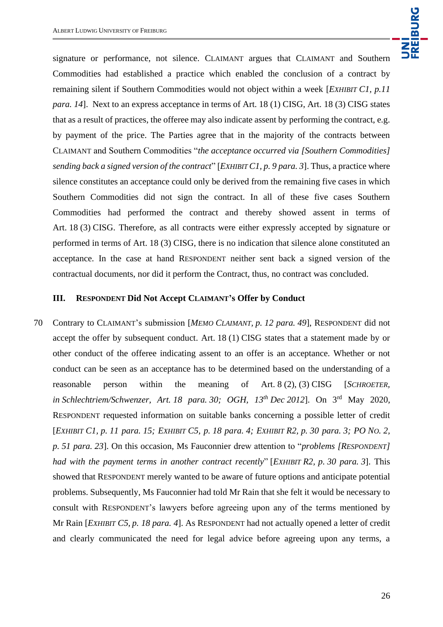signature or performance, not silence. CLAIMANT argues that CLAIMANT and Southern Commodities had established a practice which enabled the conclusion of a contract by remaining silent if Southern Commodities would not object within a week [*EXHIBIT C1, p.11 para.* 14. Next to an express acceptance in terms of Art. 18 (1) CISG, Art. 18 (3) CISG states that as a result of practices, the offeree may also indicate assent by performing the contract, e.g. by payment of the price. The Parties agree that in the majority of the contracts between CLAIMANT and Southern Commodities "*the acceptance occurred via [Southern Commodities] sending back a signed version of the contract*" [*EXHIBIT C1, p. 9 para. 3*]. Thus, a practice where silence constitutes an acceptance could only be derived from the remaining five cases in which Southern Commodities did not sign the contract. In all of these five cases Southern Commodities had performed the contract and thereby showed assent in terms of Art. 18 (3) CISG. Therefore, as all contracts were either expressly accepted by signature or performed in terms of Art. 18 (3) CISG, there is no indication that silence alone constituted an acceptance. In the case at hand RESPONDENT neither sent back a signed version of the contractual documents, nor did it perform the Contract, thus, no contract was concluded.

#### **III. RESPONDENT Did Not Accept CLAIMANT's Offer by Conduct**

70 Contrary to CLAIMANT's submission [*MEMO CLAIMANT, p. 12 para. 49*], RESPONDENT did not accept the offer by subsequent conduct. Art. 18 (1) CISG states that a statement made by or other conduct of the offeree indicating assent to an offer is an acceptance. Whether or not conduct can be seen as an acceptance has to be determined based on the understanding of a reasonable person within the meaning of Art. 8 (2), (3) CISG [*SCHROETER, in Schlechtriem/Schwenzer, Art. 18 para. 30; OGH, 13th Dec 2012*]. On 3rd May 2020, RESPONDENT requested information on suitable banks concerning a possible letter of credit [EXHIBIT C1, p. 11 para. 15; EXHIBIT C5, p. 18 para. 4; EXHIBIT R2, p. 30 para. 3; PO No. 2, *p. 51 para. 23*]. On this occasion, Ms Fauconnier drew attention to "*problems [RESPONDENT] had with the payment terms in another contract recently*" [*EXHIBIT R2, p. 30 para. 3*]. This showed that RESPONDENT merely wanted to be aware of future options and anticipate potential problems. Subsequently, Ms Fauconnier had told Mr Rain that she felt it would be necessary to consult with RESPONDENT's lawyers before agreeing upon any of the terms mentioned by Mr Rain [*EXHIBIT C5, p. 18 para. 4*]. As RESPONDENT had not actually opened a letter of credit and clearly communicated the need for legal advice before agreeing upon any terms, a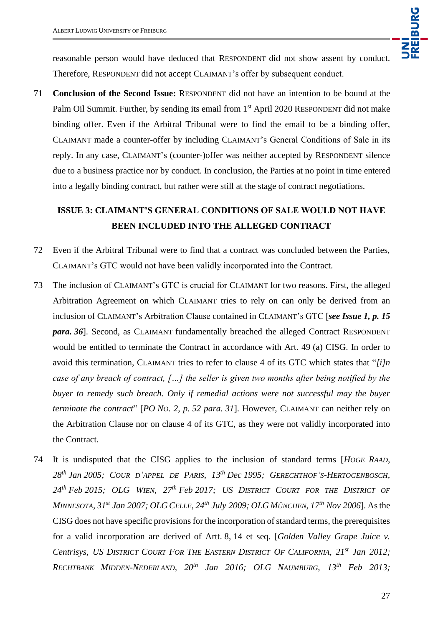reasonable person would have deduced that RESPONDENT did not show assent by conduct. Therefore, RESPONDENT did not accept CLAIMANT's offer by subsequent conduct.

71 **Conclusion of the Second Issue:** RESPONDENT did not have an intention to be bound at the Palm Oil Summit. Further, by sending its email from 1<sup>st</sup> April 2020 RESPONDENT did not make binding offer. Even if the Arbitral Tribunal were to find the email to be a binding offer, CLAIMANT made a counter-offer by including CLAIMANT's General Conditions of Sale in its reply. In any case, CLAIMANT's (counter-)offer was neither accepted by RESPONDENT silence due to a business practice nor by conduct. In conclusion, the Parties at no point in time entered into a legally binding contract, but rather were still at the stage of contract negotiations.

## **ISSUE 3: CLAIMANT'S GENERAL CONDITIONS OF SALE WOULD NOT HAVE BEEN INCLUDED INTO THE ALLEGED CONTRACT**

- 72 Even if the Arbitral Tribunal were to find that a contract was concluded between the Parties, CLAIMANT's GTC would not have been validly incorporated into the Contract.
- 73 The inclusion of CLAIMANT's GTC is crucial for CLAIMANT for two reasons. First, the alleged Arbitration Agreement on which CLAIMANT tries to rely on can only be derived from an inclusion of CLAIMANT's Arbitration Clause contained in CLAIMANT's GTC [*see Issue 1, p. 15 para. 36*]. Second, as CLAIMANT fundamentally breached the alleged Contract RESPONDENT would be entitled to terminate the Contract in accordance with Art. 49 (a) CISG. In order to avoid this termination, CLAIMANT tries to refer to clause 4 of its GTC which states that "*[i]n case of any breach of contract, […] the seller is given two months after being notified by the buyer to remedy such breach. Only if remedial actions were not successful may the buyer terminate the contract*" [*PO NO. 2, p. 52 para. 31*]. However, CLAIMANT can neither rely on the Arbitration Clause nor on clause 4 of its GTC, as they were not validly incorporated into the Contract.
- 74 It is undisputed that the CISG applies to the inclusion of standard terms [*HOGE RAAD,*  28<sup>th</sup> Jan 2005; COUR D'APPEL DE PARIS, 13<sup>th</sup> Dec 1995; GERECHTHOF'S-HERTOGENBOSCH, *24th Feb 2015; OLG WIEN, 27th Feb 2017; US DISTRICT COURT FOR THE DISTRICT OF MINNESOTA, 31st Jan 2007; OLG CELLE, 24th July 2009; OLG MÜNCHEN, 17th Nov 2006*]. As the CISG does not have specific provisions for the incorporation of standard terms, the prerequisites for a valid incorporation are derived of Artt. 8, 14 et seq. [*Golden Valley Grape Juice v. Centrisys, US DISTRICT COURT FOR THE EASTERN DISTRICT OF CALIFORNIA, 21st Jan 2012; RECHTBANK MIDDEN-NEDERLAND, 20th Jan 2016; OLG NAUMBURG, 13th Feb 2013;*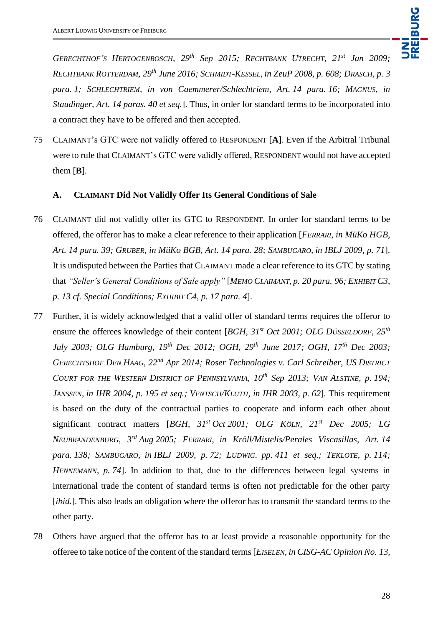*GERECHTHOF'S HERTOGENBOSCH, 29th Sep 2015; RECHTBANK UTRECHT, 21st Jan 2009; RECHTBANK ROTTERDAM, 29th June 2016; SCHMIDT-KESSEL, in ZeuP 2008, p. 608; DRASCH, p. 3 para. 1; SCHLECHTRIEM, in von Caemmerer/Schlechtriem, Art. 14 para. 16; MAGNUS, in Staudinger, Art. 14 paras. 40 et seq.*]. Thus, in order for standard terms to be incorporated into a contract they have to be offered and then accepted.

75 CLAIMANT's GTC were not validly offered to RESPONDENT [**A**]. Even if the Arbitral Tribunal were to rule that CLAIMANT's GTC were validly offered, RESPONDENT would not have accepted them  $[B]$ .

### **A. CLAIMANT Did Not Validly Offer Its General Conditions of Sale**

- 76 CLAIMANT did not validly offer its GTC to RESPONDENT. In order for standard terms to be offered, the offeror has to make a clear reference to their application [*FERRARI, in MüKo HGB, Art. 14 para. 39; GRUBER, in MüKo BGB, Art. 14 para. 28; SAMBUGARO, in IBLJ 2009, p. 71*]. It is undisputed between the Parties that CLAIMANT made a clear reference to its GTC by stating that *"Seller's General Conditions of Sale apply"* [*MEMO CLAIMANT, p. 20 para. 96; EXHIBIT C3, p. 13 cf. Special Conditions; EXHIBIT C4, p. 17 para. 4*].
- 77 Further, it is widely acknowledged that a valid offer of standard terms requires the offeror to ensure the offerees knowledge of their content [*BGH, 31st Oct 2001; OLG DÜSSELDORF, 25th July 2003; OLG Hamburg, 19th Dec 2012; OGH, 29th June 2017; OGH, 17th Dec 2003; GERECHTSHOF DEN HAAG, 22nd Apr 2014; Roser Technologies v. Carl Schreiber, US DISTRICT COURT FOR THE WESTERN DISTRICT OF PENNSYLVANIA, 10th Sep 2013; VAN ALSTINE, p. 194; JANSSEN, in IHR 2004, p. 195 et seq.; VENTSCH/KLUTH, in IHR 2003, p. 62*]. This requirement is based on the duty of the contractual parties to cooperate and inform each other about significant contract matters [*BGH, 31st Oct 2001; OLG KÖLN, 21st Dec 2005; LG NEUBRANDENBURG, 3rd Aug 2005; FERRARI, in Kröll/Mistelis/Perales Viscasillas, Art. 14 para. 138; SAMBUGARO, in IBLJ 2009, p. 72; LUDWIG. pp. 411 et seq.; TEKLOTE, p. 114; HENNEMANN*, p. 74. In addition to that, due to the differences between legal systems in international trade the content of standard terms is often not predictable for the other party [*ibid.*]. This also leads an obligation where the offeror has to transmit the standard terms to the other party.
- 78 Others have argued that the offeror has to at least provide a reasonable opportunity for the offeree to take notice of the content of the standard terms [*EISELEN, in CISG-AC Opinion No. 13,*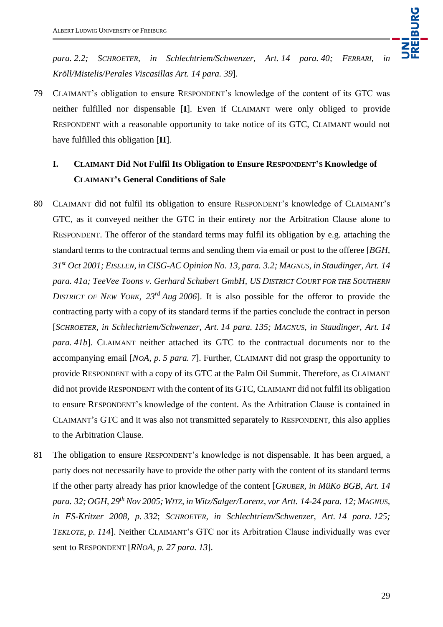*para. 2.2; SCHROETER, in Schlechtriem/Schwenzer, Art. 14 para. 40; FERRARI, in Kröll/Mistelis/Perales Viscasillas Art. 14 para. 39*].

79 CLAIMANT's obligation to ensure RESPONDENT's knowledge of the content of its GTC was neither fulfilled nor dispensable [**I**]. Even if CLAIMANT were only obliged to provide RESPONDENT with a reasonable opportunity to take notice of its GTC, CLAIMANT would not have fulfilled this obligation [**II**].

# **I. CLAIMANT Did Not Fulfil Its Obligation to Ensure RESPONDENT'S Knowledge of CLAIMANT's General Conditions of Sale**

- 80 CLAIMANT did not fulfil its obligation to ensure RESPONDENT's knowledge of CLAIMANT's GTC, as it conveyed neither the GTC in their entirety nor the Arbitration Clause alone to RESPONDENT. The offeror of the standard terms may fulfil its obligation by e.g. attaching the standard terms to the contractual terms and sending them via email or post to the offeree [*BGH, 31st Oct 2001; EISELEN, in CISG-AC Opinion No. 13, para. 3.2; MAGNUS, in Staudinger, Art. 14 para. 41a; TeeVee Toons v. Gerhard Schubert GmbH, US DISTRICT COURT FOR THE SOUTHERN DISTRICT OF NEW YORK,*  $23^{rd}$  *Aug 2006*]. It is also possible for the offeror to provide the contracting party with a copy of its standard terms if the parties conclude the contract in person [*SCHROETER, in Schlechtriem/Schwenzer, Art. 14 para. 135; MAGNUS, in Staudinger, Art. 14 para. 41b*]. CLAIMANT neither attached its GTC to the contractual documents nor to the accompanying email [*NOA, p. 5 para. 7*]. Further, CLAIMANT did not grasp the opportunity to provide RESPONDENT with a copy of its GTC at the Palm Oil Summit. Therefore, as CLAIMANT did not provide RESPONDENT with the content of its GTC, CLAIMANT did not fulfil its obligation to ensure RESPONDENT's knowledge of the content. As the Arbitration Clause is contained in CLAIMANT's GTC and it was also not transmitted separately to RESPONDENT, this also applies to the Arbitration Clause.
- 81 The obligation to ensure RESPONDENT's knowledge is not dispensable. It has been argued, a party does not necessarily have to provide the other party with the content of its standard terms if the other party already has prior knowledge of the content [*GRUBER, in MüKo BGB, Art. 14 para. 32; OGH, 29th Nov 2005; WITZ, in Witz/Salger/Lorenz, vor Artt. 14-24 para. 12; MAGNUS, in FS-Kritzer 2008, p. 332*; *SCHROETER, in Schlechtriem/Schwenzer, Art. 14 para. 125; TEKLOTE, p. 114*]. Neither CLAIMANT's GTC nor its Arbitration Clause individually was ever sent to RESPONDENT [*RNOA, p. 27 para. 13*].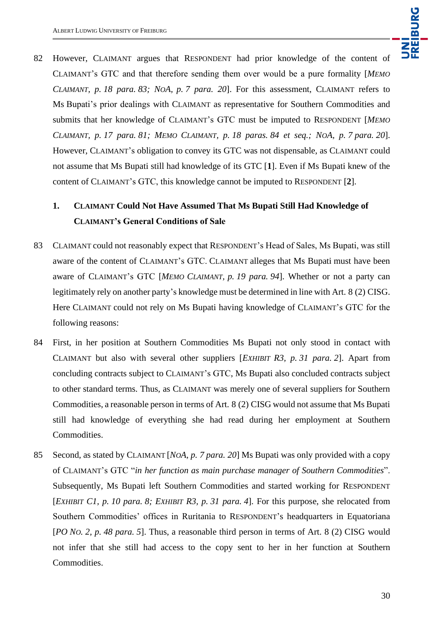

82 However, CLAIMANT argues that RESPONDENT had prior knowledge of the content of CLAIMANT's GTC and that therefore sending them over would be a pure formality [*MEMO CLAIMANT, p. 18 para. 83; NOA, p. 7 para. 20*]. For this assessment, CLAIMANT refers to Ms Bupati's prior dealings with CLAIMANT as representative for Southern Commodities and submits that her knowledge of CLAIMANT's GTC must be imputed to RESPONDENT [*MEMO CLAIMANT, p. 17 para. 81; MEMO CLAIMANT, p. 18 paras. 84 et seq.; NOA, p. 7 para. 20*]. However, CLAIMANT's obligation to convey its GTC was not dispensable, as CLAIMANT could not assume that Ms Bupati still had knowledge of its GTC [**1**]. Even if Ms Bupati knew of the content of CLAIMANT's GTC, this knowledge cannot be imputed to RESPONDENT [**2**].

## **1. CLAIMANT Could Not Have Assumed That Ms Bupati Still Had Knowledge of CLAIMANT's General Conditions of Sale**

- 83 CLAIMANT could not reasonably expect that RESPONDENT's Head of Sales, Ms Bupati, was still aware of the content of CLAIMANT's GTC. CLAIMANT alleges that Ms Bupati must have been aware of CLAIMANT's GTC [*MEMO CLAIMANT, p. 19 para. 94*]. Whether or not a party can legitimately rely on another party's knowledge must be determined in line with Art. 8 (2) CISG. Here CLAIMANT could not rely on Ms Bupati having knowledge of CLAIMANT's GTC for the following reasons:
- 84 First, in her position at Southern Commodities Ms Bupati not only stood in contact with CLAIMANT but also with several other suppliers [*EXHIBIT R3, p. 31 para. 2*]. Apart from concluding contracts subject to CLAIMANT's GTC, Ms Bupati also concluded contracts subject to other standard terms. Thus, as CLAIMANT was merely one of several suppliers for Southern Commodities, a reasonable person in terms of Art. 8 (2) CISG would not assume that Ms Bupati still had knowledge of everything she had read during her employment at Southern Commodities.
- 85 Second, as stated by CLAIMANT [*NOA, p. 7 para. 20*] Ms Bupati was only provided with a copy of CLAIMANT's GTC "*in her function as main purchase manager of Southern Commodities*". Subsequently, Ms Bupati left Southern Commodities and started working for RESPONDENT [*EXHIBIT C1, p. 10 para. 8; EXHIBIT R3, p. 31 para. 4*]. For this purpose, she relocated from Southern Commodities' offices in Ruritania to RESPONDENT's headquarters in Equatoriana [*PO NO. 2, p. 48 para. 5*]. Thus, a reasonable third person in terms of Art. 8 (2) CISG would not infer that she still had access to the copy sent to her in her function at Southern Commodities.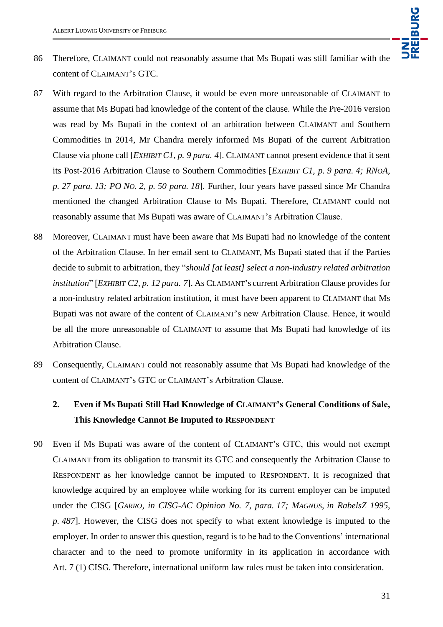

- 86 Therefore, CLAIMANT could not reasonably assume that Ms Bupati was still familiar with the content of CLAIMANT's GTC.
- 87 With regard to the Arbitration Clause, it would be even more unreasonable of CLAIMANT to assume that Ms Bupati had knowledge of the content of the clause. While the Pre-2016 version was read by Ms Bupati in the context of an arbitration between CLAIMANT and Southern Commodities in 2014, Mr Chandra merely informed Ms Bupati of the current Arbitration Clause via phone call [*EXHIBIT C1, p. 9 para. 4*]. CLAIMANT cannot present evidence that it sent its Post-2016 Arbitration Clause to Southern Commodities [*EXHIBIT C1, p. 9 para. 4; RNOA, p. 27 para. 13; PO NO. 2, p. 50 para. 18*]. Further, four years have passed since Mr Chandra mentioned the changed Arbitration Clause to Ms Bupati. Therefore, CLAIMANT could not reasonably assume that Ms Bupati was aware of CLAIMANT's Arbitration Clause.
- 88 Moreover, CLAIMANT must have been aware that Ms Bupati had no knowledge of the content of the Arbitration Clause. In her email sent to CLAIMANT, Ms Bupati stated that if the Parties decide to submit to arbitration, they "*should [at least] select a non-industry related arbitration institution*" [*EXHIBIT C2, p. 12 para. 7*]. As CLAIMANT's current Arbitration Clause provides for a non-industry related arbitration institution, it must have been apparent to CLAIMANT that Ms Bupati was not aware of the content of CLAIMANT's new Arbitration Clause. Hence, it would be all the more unreasonable of CLAIMANT to assume that Ms Bupati had knowledge of its Arbitration Clause.
- 89 Consequently, CLAIMANT could not reasonably assume that Ms Bupati had knowledge of the content of CLAIMANT's GTC or CLAIMANT's Arbitration Clause.

## **2. Even if Ms Bupati Still Had Knowledge of CLAIMANT's General Conditions of Sale, This Knowledge Cannot Be Imputed to RESPONDENT**

90 Even if Ms Bupati was aware of the content of CLAIMANT's GTC, this would not exempt CLAIMANT from its obligation to transmit its GTC and consequently the Arbitration Clause to RESPONDENT as her knowledge cannot be imputed to RESPONDENT. It is recognized that knowledge acquired by an employee while working for its current employer can be imputed under the CISG [*GARRO, in CISG-AC Opinion No. 7, para. 17; MAGNUS, in RabelsZ 1995, p. 487*]. However, the CISG does not specify to what extent knowledge is imputed to the employer. In order to answer this question, regard is to be had to the Conventions' international character and to the need to promote uniformity in its application in accordance with Art. 7 (1) CISG. Therefore, international uniform law rules must be taken into consideration.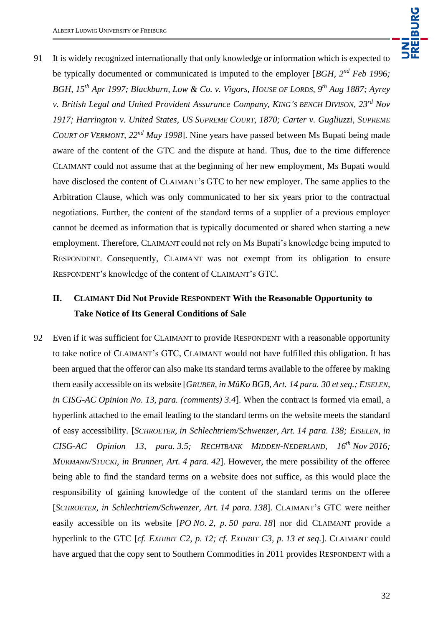91 It is widely recognized internationally that only knowledge or information which is expected to be typically documented or communicated is imputed to the employer [*BGH, 2nd Feb 1996; BGH, 15th Apr 1997; Blackburn, Low & Co. v. Vigors, HOUSE OF LORDS, 9th Aug 1887; Ayrey v. British Legal and United Provident Assurance Company, KING'S BENCH DIVISON, 23rd Nov 1917; Harrington v. United States, US SUPREME COURT, 1870; Carter v. Gugliuzzi, SUPREME COURT OF VERMONT, 22nd May 1998*]. Nine years have passed between Ms Bupati being made aware of the content of the GTC and the dispute at hand. Thus, due to the time difference CLAIMANT could not assume that at the beginning of her new employment, Ms Bupati would have disclosed the content of CLAIMANT's GTC to her new employer. The same applies to the Arbitration Clause, which was only communicated to her six years prior to the contractual negotiations. Further, the content of the standard terms of a supplier of a previous employer cannot be deemed as information that is typically documented or shared when starting a new employment. Therefore, CLAIMANT could not rely on Ms Bupati's knowledge being imputed to RESPONDENT. Consequently, CLAIMANT was not exempt from its obligation to ensure RESPONDENT's knowledge of the content of CLAIMANT's GTC.

## **II. CLAIMANT Did Not Provide RESPONDENT With the Reasonable Opportunity to Take Notice of Its General Conditions of Sale**

92 Even if it was sufficient for CLAIMANT to provide RESPONDENT with a reasonable opportunity to take notice of CLAIMANT's GTC, CLAIMANT would not have fulfilled this obligation. It has been argued that the offeror can also make its standard terms available to the offeree by making them easily accessible on its website [*GRUBER, in MüKo BGB, Art. 14 para. 30 et seq.; EISELEN, in CISG-AC Opinion No. 13, para. (comments) 3.4*]. When the contract is formed via email, a hyperlink attached to the email leading to the standard terms on the website meets the standard of easy accessibility. [*SCHROETER, in Schlechtriem/Schwenzer, Art. 14 para. 138; EISELEN, in CISG-AC Opinion 13, para. 3.5; RECHTBANK MIDDEN-NEDERLAND, 16th Nov 2016; MURMANN/STUCKI, in Brunner, Art. 4 para. 42*]. However, the mere possibility of the offeree being able to find the standard terms on a website does not suffice, as this would place the responsibility of gaining knowledge of the content of the standard terms on the offeree [*SCHROETER, in Schlechtriem/Schwenzer, Art. 14 para. 138*]. CLAIMANT's GTC were neither easily accessible on its website [*PO NO. 2, p. 50 para. 18*] nor did CLAIMANT provide a hyperlink to the GTC [*cf. EXHIBIT C2, p. 12; cf. EXHIBIT C3, p. 13 et seq*.]. CLAIMANT could have argued that the copy sent to Southern Commodities in 2011 provides RESPONDENT with a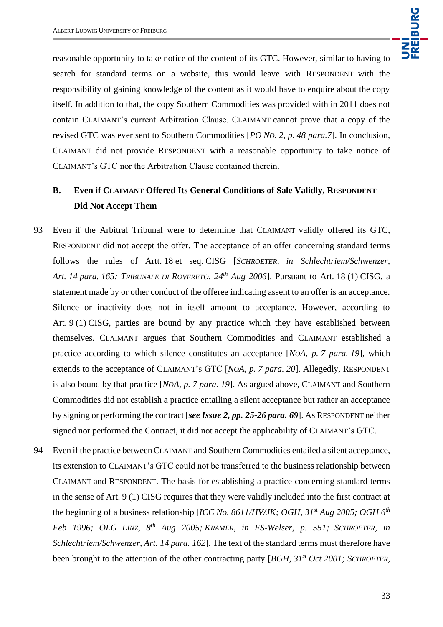

reasonable opportunity to take notice of the content of its GTC. However, similar to having to search for standard terms on a website, this would leave with RESPONDENT with the responsibility of gaining knowledge of the content as it would have to enquire about the copy itself. In addition to that, the copy Southern Commodities was provided with in 2011 does not contain CLAIMANT's current Arbitration Clause. CLAIMANT cannot prove that a copy of the revised GTC was ever sent to Southern Commodities [*PO NO. 2, p. 48 para.7*]. In conclusion, CLAIMANT did not provide RESPONDENT with a reasonable opportunity to take notice of CLAIMANT's GTC nor the Arbitration Clause contained therein.

## **B. Even if CLAIMANT Offered Its General Conditions of Sale Validly, RESPONDENT Did Not Accept Them**

- 93 Even if the Arbitral Tribunal were to determine that CLAIMANT validly offered its GTC, RESPONDENT did not accept the offer. The acceptance of an offer concerning standard terms follows the rules of Artt. 18 et seq. CISG [*SCHROETER, in Schlechtriem/Schwenzer, Art. 14 para. 165; TRIBUNALE DI ROVERETO, 24th Aug 2006*]. Pursuant to Art. 18 (1) CISG, a statement made by or other conduct of the offeree indicating assent to an offer is an acceptance. Silence or inactivity does not in itself amount to acceptance. However, according to Art. 9 (1) CISG, parties are bound by any practice which they have established between themselves. CLAIMANT argues that Southern Commodities and CLAIMANT established a practice according to which silence constitutes an acceptance [*NOA, p. 7 para. 19*], which extends to the acceptance of CLAIMANT's GTC [*NOA, p. 7 para. 20*]. Allegedly, RESPONDENT is also bound by that practice [*NOA, p. 7 para. 19*]. As argued above, CLAIMANT and Southern Commodities did not establish a practice entailing a silent acceptance but rather an acceptance by signing or performing the contract [*see Issue 2, pp. 25-26 para. 69*]. As RESPONDENT neither signed nor performed the Contract, it did not accept the applicability of CLAIMANT's GTC.
- 94 Even if the practice between CLAIMANT and Southern Commodities entailed a silent acceptance, its extension to CLAIMANT's GTC could not be transferred to the business relationship between CLAIMANT and RESPONDENT. The basis for establishing a practice concerning standard terms in the sense of Art. 9 (1) CISG requires that they were validly included into the first contract at the beginning of a business relationship [*ICC No. 8611/HV/JK; OGH, 31st Aug 2005; OGH 6th Feb 1996; OLG LINZ, 8th Aug 2005; KRAMER*, *in FS-Welser, p. 551; SCHROETER, in Schlechtriem/Schwenzer, Art. 14 para. 162*]. The text of the standard terms must therefore have been brought to the attention of the other contracting party [*BGH, 31st Oct 2001; SCHROETER,*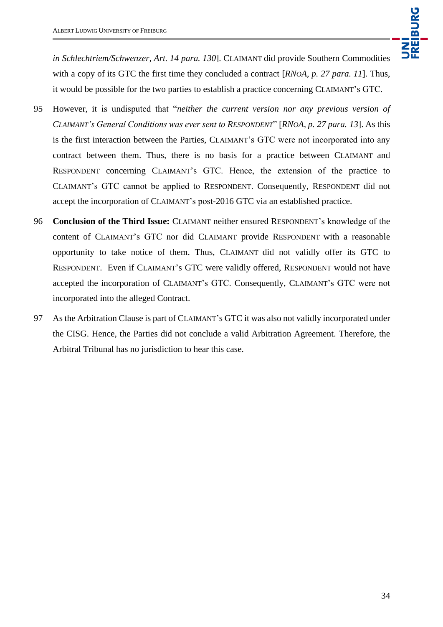*in Schlechtriem/Schwenzer, Art. 14 para. 130*]. CLAIMANT did provide Southern Commodities with a copy of its GTC the first time they concluded a contract [*RNOA, p. 27 para. 11*]. Thus, it would be possible for the two parties to establish a practice concerning CLAIMANT's GTC.

- 95 However, it is undisputed that "*neither the current version nor any previous version of CLAIMANT's General Conditions was ever sent to RESPONDENT*" [*RNOA, p. 27 para. 13*]. As this is the first interaction between the Parties, CLAIMANT's GTC were not incorporated into any contract between them. Thus, there is no basis for a practice between CLAIMANT and RESPONDENT concerning CLAIMANT's GTC. Hence, the extension of the practice to CLAIMANT's GTC cannot be applied to RESPONDENT. Consequently, RESPONDENT did not accept the incorporation of CLAIMANT's post-2016 GTC via an established practice.
- 96 **Conclusion of the Third Issue:** CLAIMANT neither ensured RESPONDENT's knowledge of the content of CLAIMANT's GTC nor did CLAIMANT provide RESPONDENT with a reasonable opportunity to take notice of them. Thus, CLAIMANT did not validly offer its GTC to RESPONDENT. Even if CLAIMANT's GTC were validly offered, RESPONDENT would not have accepted the incorporation of CLAIMANT's GTC. Consequently, CLAIMANT's GTC were not incorporated into the alleged Contract.
- 97 As the Arbitration Clause is part of CLAIMANT's GTC it was also not validly incorporated under the CISG. Hence, the Parties did not conclude a valid Arbitration Agreement. Therefore, the Arbitral Tribunal has no jurisdiction to hear this case.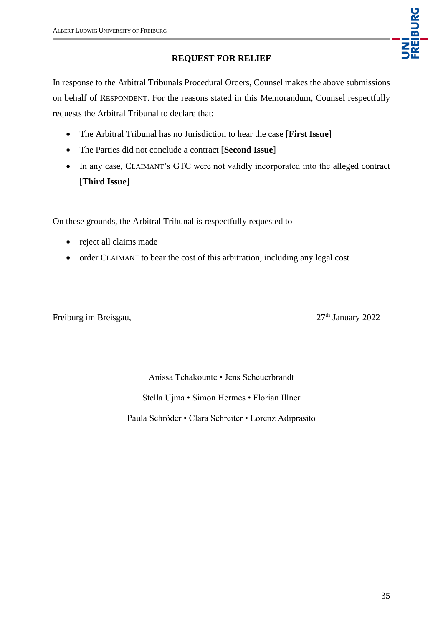### **REQUEST FOR RELIEF**

In response to the Arbitral Tribunals Procedural Orders, Counsel makes the above submissions on behalf of RESPONDENT. For the reasons stated in this Memorandum, Counsel respectfully requests the Arbitral Tribunal to declare that:

- The Arbitral Tribunal has no Jurisdiction to hear the case [**First Issue**]
- The Parties did not conclude a contract [**Second Issue**]
- In any case, CLAIMANT's GTC were not validly incorporated into the alleged contract [**Third Issue**]

On these grounds, the Arbitral Tribunal is respectfully requested to

- reject all claims made
- order CLAIMANT to bear the cost of this arbitration, including any legal cost

Freiburg im Breisgau, 27<sup>th</sup> January 2022

UNI<br>FREIBURG

Anissa Tchakounte • Jens Scheuerbrandt Stella Ujma • Simon Hermes • Florian Illner Paula Schröder • Clara Schreiter • Lorenz Adiprasito